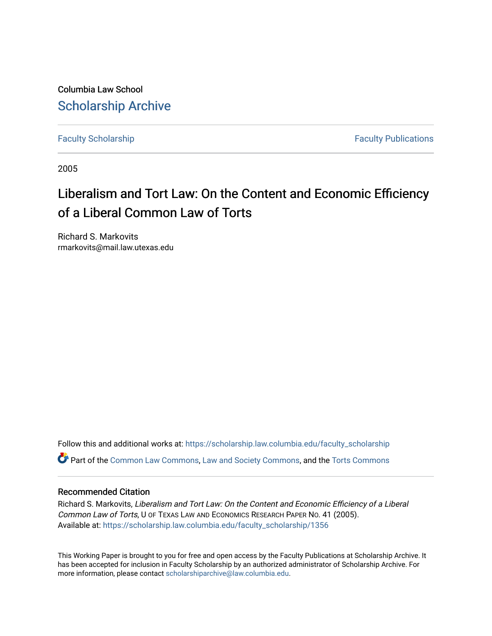Columbia Law School [Scholarship Archive](https://scholarship.law.columbia.edu/) 

[Faculty Scholarship](https://scholarship.law.columbia.edu/faculty_scholarship) **Faculty Scholarship Faculty Publications** 

2005

# Liberalism and Tort Law: On the Content and Economic Efficiency of a Liberal Common Law of Torts

Richard S. Markovits rmarkovits@mail.law.utexas.edu

Follow this and additional works at: [https://scholarship.law.columbia.edu/faculty\\_scholarship](https://scholarship.law.columbia.edu/faculty_scholarship?utm_source=scholarship.law.columbia.edu%2Ffaculty_scholarship%2F1356&utm_medium=PDF&utm_campaign=PDFCoverPages) Part of the [Common Law Commons,](http://network.bepress.com/hgg/discipline/1120?utm_source=scholarship.law.columbia.edu%2Ffaculty_scholarship%2F1356&utm_medium=PDF&utm_campaign=PDFCoverPages) [Law and Society Commons](http://network.bepress.com/hgg/discipline/853?utm_source=scholarship.law.columbia.edu%2Ffaculty_scholarship%2F1356&utm_medium=PDF&utm_campaign=PDFCoverPages), and the [Torts Commons](http://network.bepress.com/hgg/discipline/913?utm_source=scholarship.law.columbia.edu%2Ffaculty_scholarship%2F1356&utm_medium=PDF&utm_campaign=PDFCoverPages) 

#### Recommended Citation

Richard S. Markovits, Liberalism and Tort Law: On the Content and Economic Efficiency of a Liberal Common Law of Torts, U OF TEXAS LAW AND ECONOMICS RESEARCH PAPER NO. 41 (2005). Available at: [https://scholarship.law.columbia.edu/faculty\\_scholarship/1356](https://scholarship.law.columbia.edu/faculty_scholarship/1356?utm_source=scholarship.law.columbia.edu%2Ffaculty_scholarship%2F1356&utm_medium=PDF&utm_campaign=PDFCoverPages)

This Working Paper is brought to you for free and open access by the Faculty Publications at Scholarship Archive. It has been accepted for inclusion in Faculty Scholarship by an authorized administrator of Scholarship Archive. For more information, please contact [scholarshiparchive@law.columbia.edu.](mailto:scholarshiparchive@law.columbia.edu)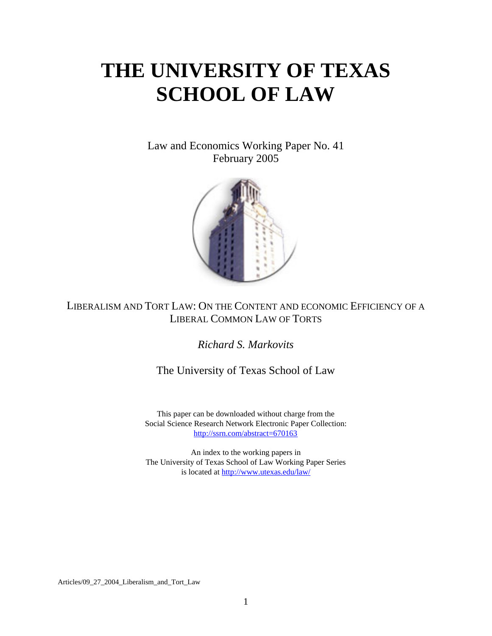# **THE UNIVERSITY OF TEXAS SCHOOL OF LAW**

Law and Economics Working Paper No. 41 February 2005



## LIBERALISM AND TORT LAW: ON THE CONTENT AND ECONOMIC EFFICIENCY OF A LIBERAL COMMON LAW OF TORTS

*Richard S. Markovits* 

The University of Texas School of Law

This paper can be downloaded without charge from the Social Science Research Network Electronic Paper Collection: http://ssrn.com/[abstract=670163](http://www.ssrn.com/index.html)

An index to the working papers in The University of Texas School of Law Working Paper Series is located at <http://www.utexas.edu/law/>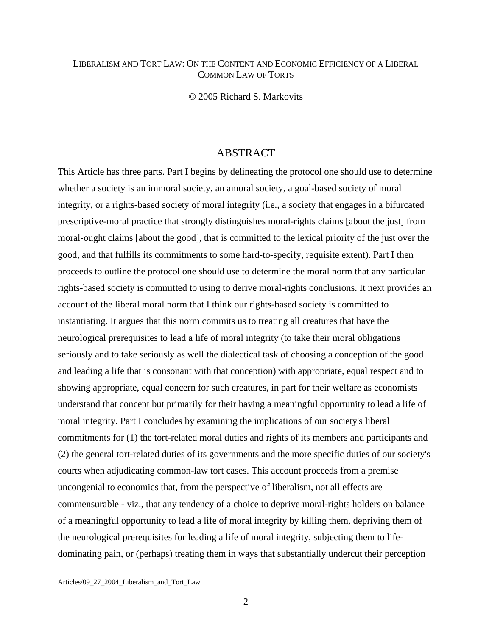#### LIBERALISM AND TORT LAW: ON THE CONTENT AND ECONOMIC EFFICIENCY OF A LIBERAL COMMON LAW OF TORTS

© 2005 Richard S. Markovits

### **ABSTRACT**

This Article has three parts. Part I begins by delineating the protocol one should use to determine whether a society is an immoral society, an amoral society, a goal-based society of moral integrity, or a rights-based society of moral integrity (i.e., a society that engages in a bifurcated prescriptive-moral practice that strongly distinguishes moral-rights claims [about the just] from moral-ought claims [about the good], that is committed to the lexical priority of the just over the good, and that fulfills its commitments to some hard-to-specify, requisite extent). Part I then proceeds to outline the protocol one should use to determine the moral norm that any particular rights-based society is committed to using to derive moral-rights conclusions. It next provides an account of the liberal moral norm that I think our rights-based society is committed to instantiating. It argues that this norm commits us to treating all creatures that have the neurological prerequisites to lead a life of moral integrity (to take their moral obligations seriously and to take seriously as well the dialectical task of choosing a conception of the good and leading a life that is consonant with that conception) with appropriate, equal respect and to showing appropriate, equal concern for such creatures, in part for their welfare as economists understand that concept but primarily for their having a meaningful opportunity to lead a life of moral integrity. Part I concludes by examining the implications of our society's liberal commitments for (1) the tort-related moral duties and rights of its members and participants and (2) the general tort-related duties of its governments and the more specific duties of our society's courts when adjudicating common-law tort cases. This account proceeds from a premise uncongenial to economics that, from the perspective of liberalism, not all effects are commensurable - viz., that any tendency of a choice to deprive moral-rights holders on balance of a meaningful opportunity to lead a life of moral integrity by killing them, depriving them of the neurological prerequisites for leading a life of moral integrity, subjecting them to lifedominating pain, or (perhaps) treating them in ways that substantially undercut their perception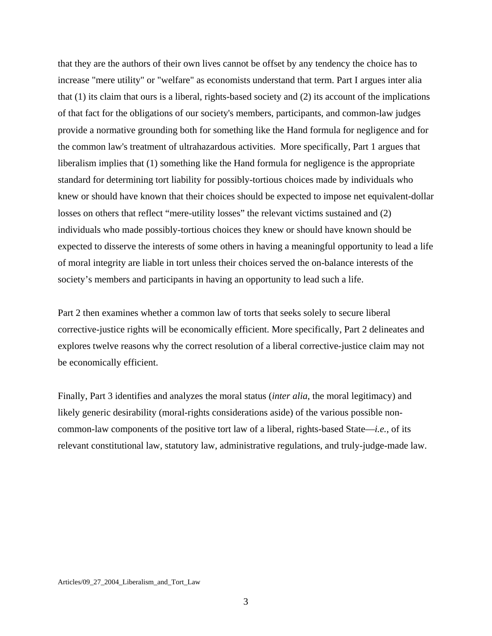that they are the authors of their own lives cannot be offset by any tendency the choice has to increase "mere utility" or "welfare" as economists understand that term. Part I argues inter alia that (1) its claim that ours is a liberal, rights-based society and (2) its account of the implications of that fact for the obligations of our society's members, participants, and common-law judges provide a normative grounding both for something like the Hand formula for negligence and for the common law's treatment of ultrahazardous activities. More specifically, Part 1 argues that liberalism implies that (1) something like the Hand formula for negligence is the appropriate standard for determining tort liability for possibly-tortious choices made by individuals who knew or should have known that their choices should be expected to impose net equivalent-dollar losses on others that reflect "mere-utility losses" the relevant victims sustained and (2) individuals who made possibly-tortious choices they knew or should have known should be expected to disserve the interests of some others in having a meaningful opportunity to lead a life of moral integrity are liable in tort unless their choices served the on-balance interests of the society's members and participants in having an opportunity to lead such a life.

Part 2 then examines whether a common law of torts that seeks solely to secure liberal corrective-justice rights will be economically efficient. More specifically, Part 2 delineates and explores twelve reasons why the correct resolution of a liberal corrective-justice claim may not be economically efficient.

Finally, Part 3 identifies and analyzes the moral status (*inter alia*, the moral legitimacy) and likely generic desirability (moral-rights considerations aside) of the various possible noncommon-law components of the positive tort law of a liberal, rights-based State—*i.e.*, of its relevant constitutional law, statutory law, administrative regulations, and truly-judge-made law.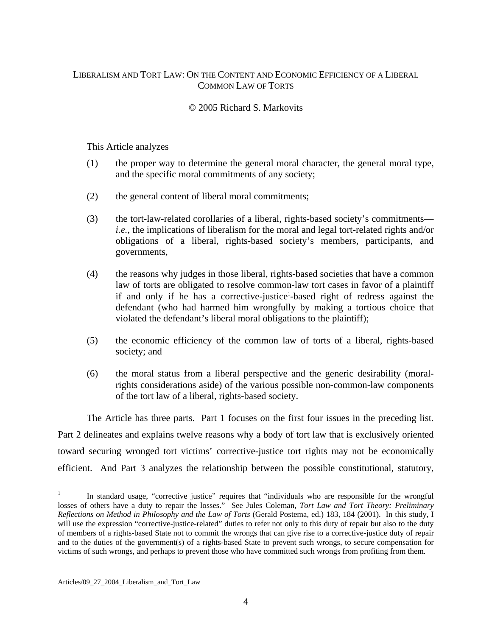#### LIBERALISM AND TORT LAW: ON THE CONTENT AND ECONOMIC EFFICIENCY OF A LIBERAL COMMON LAW OF TORTS

#### © 2005 Richard S. Markovits

#### This Article analyzes

- (1) the proper way to determine the general moral character, the general moral type, and the specific moral commitments of any society;
- (2) the general content of liberal moral commitments;
- (3) the tort-law-related corollaries of a liberal, rights-based society's commitments *i.e.*, the implications of liberalism for the moral and legal tort-related rights and/or obligations of a liberal, rights-based society's members, participants, and governments,
- (4) the reasons why judges in those liberal, rights-based societies that have a common law of torts are obligated to resolve common-law tort cases in favor of a plaintiff if and only if he has a corrective[-](#page-4-0)justice<sup>1</sup>-based right of redress against the defendant (who had harmed him wrongfully by making a tortious choice that violated the defendant's liberal moral obligations to the plaintiff);
- (5) the economic efficiency of the common law of torts of a liberal, rights-based society; and
- (6) the moral status from a liberal perspective and the generic desirability (moralrights considerations aside) of the various possible non-common-law components of the tort law of a liberal, rights-based society.

 The Article has three parts. Part 1 focuses on the first four issues in the preceding list. Part 2 delineates and explains twelve reasons why a body of tort law that is exclusively oriented toward securing wronged tort victims' corrective-justice tort rights may not be economically efficient. And Part 3 analyzes the relationship between the possible constitutional, statutory,

<span id="page-4-0"></span> $\overline{a}$ In standard usage, "corrective justice" requires that "individuals who are responsible for the wrongful losses of others have a duty to repair the losses." See Jules Coleman, *Tort Law and Tort Theory: Preliminary Reflections on Method in Philosophy and the Law of Torts* (Gerald Postema, ed.) 183, 184 (2001). In this study, I will use the expression "corrective-justice-related" duties to refer not only to this duty of repair but also to the duty of members of a rights-based State not to commit the wrongs that can give rise to a corrective-justice duty of repair and to the duties of the government(s) of a rights-based State to prevent such wrongs, to secure compensation for victims of such wrongs, and perhaps to prevent those who have committed such wrongs from profiting from them.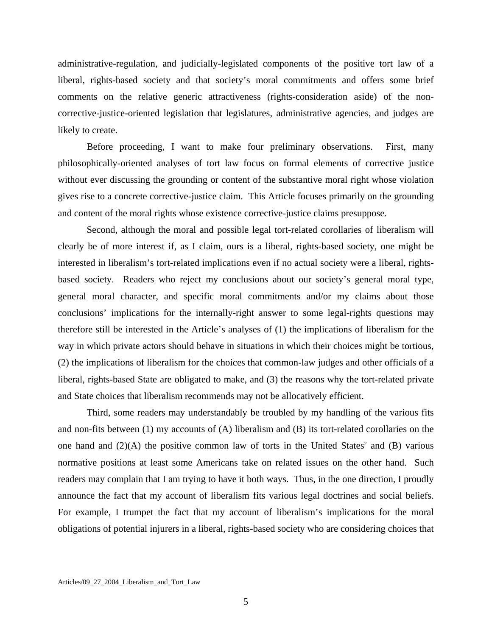administrative-regulation, and judicially-legislated components of the positive tort law of a liberal, rights-based society and that society's moral commitments and offers some brief comments on the relative generic attractiveness (rights-consideration aside) of the noncorrective-justice-oriented legislation that legislatures, administrative agencies, and judges are likely to create.

 Before proceeding, I want to make four preliminary observations. First, many philosophically-oriented analyses of tort law focus on formal elements of corrective justice without ever discussing the grounding or content of the substantive moral right whose violation gives rise to a concrete corrective-justice claim. This Article focuses primarily on the grounding and content of the moral rights whose existence corrective-justice claims presuppose.

 Second, although the moral and possible legal tort-related corollaries of liberalism will clearly be of more interest if, as I claim, ours is a liberal, rights-based society, one might be interested in liberalism's tort-related implications even if no actual society were a liberal, rightsbased society. Readers who reject my conclusions about our society's general moral type, general moral character, and specific moral commitments and/or my claims about those conclusions' implications for the internally-right answer to some legal-rights questions may therefore still be interested in the Article's analyses of (1) the implications of liberalism for the way in which private actors should behave in situations in which their choices might be tortious, (2) the implications of liberalism for the choices that common-law judges and other officials of a liberal, rights-based State are obligated to make, and (3) the reasons why the tort-related private and State choices that liberalism recommends may not be allocatively efficient.

<span id="page-5-0"></span> Third, some readers may understandably be troubled by my handling of the various fits and non-fits between (1) my accounts of (A) liberalism and (B) its tort-related corollaries on the onehand and  $(2)(A)$  the positive common law of torts in the United States<sup>2</sup> and  $(B)$  various normative positions at least some Americans take on related issues on the other hand. Such readers may complain that I am trying to have it both ways. Thus, in the one direction, I proudly announce the fact that my account of liberalism fits various legal doctrines and social beliefs. For example, I trumpet the fact that my account of liberalism's implications for the moral obligations of potential injurers in a liberal, rights-based society who are considering choices that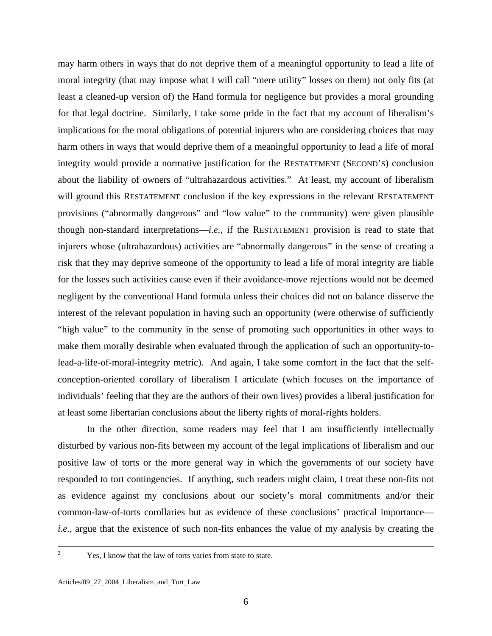may harm others in ways that do not deprive them of a meaningful opportunity to lead a life of moral integrity (that may impose what I will call "mere utility" losses on them) not only fits (at least a cleaned-up version of) the Hand formula for negligence but provides a moral grounding for that legal doctrine. Similarly, I take some pride in the fact that my account of liberalism's implications for the moral obligations of potential injurers who are considering choices that may harm others in ways that would deprive them of a meaningful opportunity to lead a life of moral integrity would provide a normative justification for the RESTATEMENT (SECOND'S) conclusion about the liability of owners of "ultrahazardous activities." At least, my account of liberalism will ground this RESTATEMENT conclusion if the key expressions in the relevant RESTATEMENT provisions ("abnormally dangerous" and "low value" to the community) were given plausible though non-standard interpretations—*i.e.*, if the RESTATEMENT provision is read to state that injurers whose (ultrahazardous) activities are "abnormally dangerous" in the sense of creating a risk that they may deprive someone of the opportunity to lead a life of moral integrity are liable for the losses such activities cause even if their avoidance-move rejections would not be deemed negligent by the conventional Hand formula unless their choices did not on balance disserve the interest of the relevant population in having such an opportunity (were otherwise of sufficiently "high value" to the community in the sense of promoting such opportunities in other ways to make them morally desirable when evaluated through the application of such an opportunity-tolead-a-life-of-moral-integrity metric). And again, I take some comfort in the fact that the selfconception-oriented corollary of liberalism I articulate (which focuses on the importance of individuals' feeling that they are the authors of their own lives) provides a liberal justification for at least some libertarian conclusions about the liberty rights of moral-rights holders.

 In the other direction, some readers may feel that I am insufficiently intellectually disturbed by various non-fits between my account of the legal implications of liberalism and our positive law of torts or the more general way in which the governments of our society have responded to tort contingencies. If anything, such readers might claim, I treat these non-fits not as evidence against my conclusions about our society's moral commitments and/or their common-law-of-torts corollaries but as evidence of these conclusions' practical importance *i.e.*, argue that the existence of such non-fits enhances the value of my analysis by creating the

 $\overline{c}$ 

Yes, I know that the law of torts varies from state to state.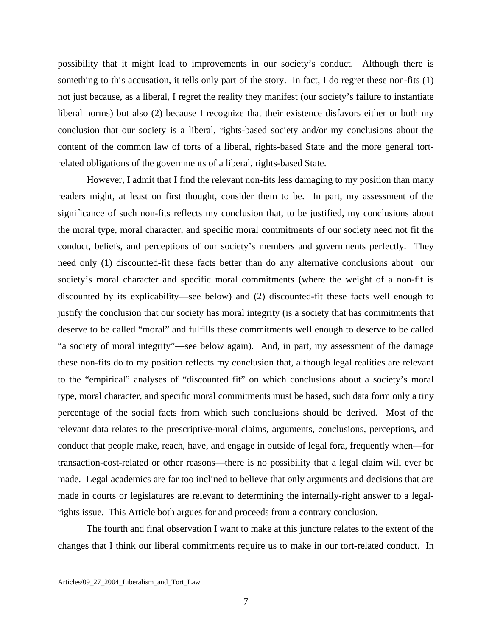possibility that it might lead to improvements in our society's conduct. Although there is something to this accusation, it tells only part of the story. In fact, I do regret these non-fits (1) not just because, as a liberal, I regret the reality they manifest (our society's failure to instantiate liberal norms) but also (2) because I recognize that their existence disfavors either or both my conclusion that our society is a liberal, rights-based society and/or my conclusions about the content of the common law of torts of a liberal, rights-based State and the more general tortrelated obligations of the governments of a liberal, rights-based State.

 However, I admit that I find the relevant non-fits less damaging to my position than many readers might, at least on first thought, consider them to be. In part, my assessment of the significance of such non-fits reflects my conclusion that, to be justified, my conclusions about the moral type, moral character, and specific moral commitments of our society need not fit the conduct, beliefs, and perceptions of our society's members and governments perfectly. They need only (1) discounted-fit these facts better than do any alternative conclusions about our society's moral character and specific moral commitments (where the weight of a non-fit is discounted by its explicability—see below) and (2) discounted-fit these facts well enough to justify the conclusion that our society has moral integrity (is a society that has commitments that deserve to be called "moral" and fulfills these commitments well enough to deserve to be called "a society of moral integrity"—see below again). And, in part, my assessment of the damage these non-fits do to my position reflects my conclusion that, although legal realities are relevant to the "empirical" analyses of "discounted fit" on which conclusions about a society's moral type, moral character, and specific moral commitments must be based, such data form only a tiny percentage of the social facts from which such conclusions should be derived. Most of the relevant data relates to the prescriptive-moral claims, arguments, conclusions, perceptions, and conduct that people make, reach, have, and engage in outside of legal fora, frequently when—for transaction-cost-related or other reasons—there is no possibility that a legal claim will ever be made. Legal academics are far too inclined to believe that only arguments and decisions that are made in courts or legislatures are relevant to determining the internally-right answer to a legalrights issue. This Article both argues for and proceeds from a contrary conclusion.

 The fourth and final observation I want to make at this juncture relates to the extent of the changes that I think our liberal commitments require us to make in our tort-related conduct. In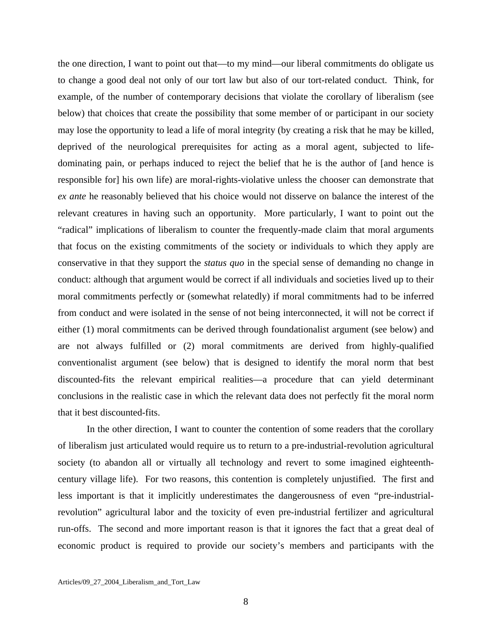the one direction, I want to point out that—to my mind—our liberal commitments do obligate us to change a good deal not only of our tort law but also of our tort-related conduct. Think, for example, of the number of contemporary decisions that violate the corollary of liberalism (see below) that choices that create the possibility that some member of or participant in our society may lose the opportunity to lead a life of moral integrity (by creating a risk that he may be killed, deprived of the neurological prerequisites for acting as a moral agent, subjected to lifedominating pain, or perhaps induced to reject the belief that he is the author of [and hence is responsible for] his own life) are moral-rights-violative unless the chooser can demonstrate that *ex ante* he reasonably believed that his choice would not disserve on balance the interest of the relevant creatures in having such an opportunity. More particularly, I want to point out the "radical" implications of liberalism to counter the frequently-made claim that moral arguments that focus on the existing commitments of the society or individuals to which they apply are conservative in that they support the *status quo* in the special sense of demanding no change in conduct: although that argument would be correct if all individuals and societies lived up to their moral commitments perfectly or (somewhat relatedly) if moral commitments had to be inferred from conduct and were isolated in the sense of not being interconnected, it will not be correct if either (1) moral commitments can be derived through foundationalist argument (see below) and are not always fulfilled or (2) moral commitments are derived from highly-qualified conventionalist argument (see below) that is designed to identify the moral norm that best discounted-fits the relevant empirical realities—a procedure that can yield determinant conclusions in the realistic case in which the relevant data does not perfectly fit the moral norm that it best discounted-fits.

 In the other direction, I want to counter the contention of some readers that the corollary of liberalism just articulated would require us to return to a pre-industrial-revolution agricultural society (to abandon all or virtually all technology and revert to some imagined eighteenthcentury village life). For two reasons, this contention is completely unjustified. The first and less important is that it implicitly underestimates the dangerousness of even "pre-industrialrevolution" agricultural labor and the toxicity of even pre-industrial fertilizer and agricultural run-offs. The second and more important reason is that it ignores the fact that a great deal of economic product is required to provide our society's members and participants with the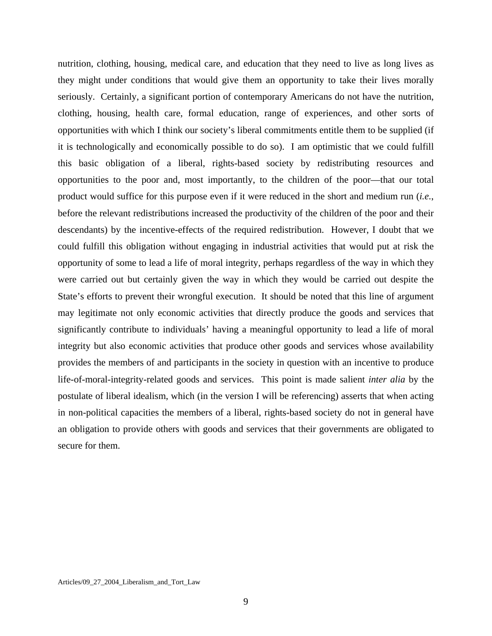nutrition, clothing, housing, medical care, and education that they need to live as long lives as they might under conditions that would give them an opportunity to take their lives morally seriously. Certainly, a significant portion of contemporary Americans do not have the nutrition, clothing, housing, health care, formal education, range of experiences, and other sorts of opportunities with which I think our society's liberal commitments entitle them to be supplied (if it is technologically and economically possible to do so). I am optimistic that we could fulfill this basic obligation of a liberal, rights-based society by redistributing resources and opportunities to the poor and, most importantly, to the children of the poor—that our total product would suffice for this purpose even if it were reduced in the short and medium run (*i.e.*, before the relevant redistributions increased the productivity of the children of the poor and their descendants) by the incentive-effects of the required redistribution. However, I doubt that we could fulfill this obligation without engaging in industrial activities that would put at risk the opportunity of some to lead a life of moral integrity, perhaps regardless of the way in which they were carried out but certainly given the way in which they would be carried out despite the State's efforts to prevent their wrongful execution. It should be noted that this line of argument may legitimate not only economic activities that directly produce the goods and services that significantly contribute to individuals' having a meaningful opportunity to lead a life of moral integrity but also economic activities that produce other goods and services whose availability provides the members of and participants in the society in question with an incentive to produce life-of-moral-integrity-related goods and services. This point is made salient *inter alia* by the postulate of liberal idealism, which (in the version I will be referencing) asserts that when acting in non-political capacities the members of a liberal, rights-based society do not in general have an obligation to provide others with goods and services that their governments are obligated to secure for them.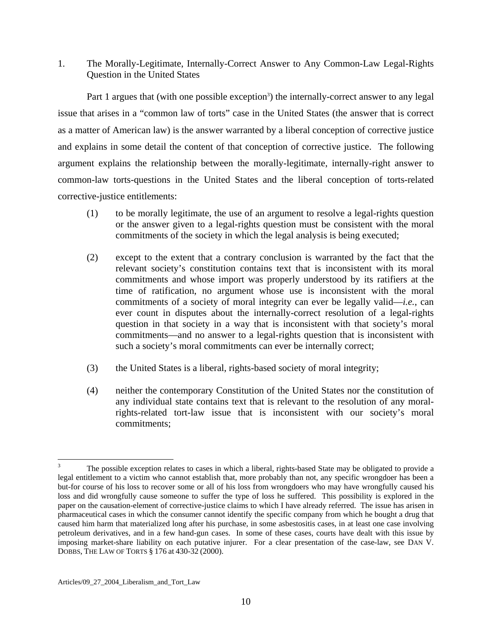1. The Morally-Legitimate, Internally-Correct Answer to Any Common-Law Legal-Rights Question in the United States

Part 1 argues that (with one possible exception<sup>3</sup>[\)](#page-10-0) the internally-correct answer to any legal issue that arises in a "common law of torts" case in the United States (the answer that is correct as a matter of American law) is the answer warranted by a liberal conception of corrective justice and explains in some detail the content of that conception of corrective justice. The following argument explains the relationship between the morally-legitimate, internally-right answer to common-law torts-questions in the United States and the liberal conception of torts-related corrective-justice entitlements:

- (1) to be morally legitimate, the use of an argument to resolve a legal-rights question or the answer given to a legal-rights question must be consistent with the moral commitments of the society in which the legal analysis is being executed;
- (2) except to the extent that a contrary conclusion is warranted by the fact that the relevant society's constitution contains text that is inconsistent with its moral commitments and whose import was properly understood by its ratifiers at the time of ratification, no argument whose use is inconsistent with the moral commitments of a society of moral integrity can ever be legally valid—*i.e.*, can ever count in disputes about the internally-correct resolution of a legal-rights question in that society in a way that is inconsistent with that society's moral commitments—and no answer to a legal-rights question that is inconsistent with such a society's moral commitments can ever be internally correct;
- (3) the United States is a liberal, rights-based society of moral integrity;
- (4) neither the contemporary Constitution of the United States nor the constitution of any individual state contains text that is relevant to the resolution of any moralrights-related tort-law issue that is inconsistent with our society's moral commitments;

<span id="page-10-0"></span> $\overline{a}$ 3 The possible exception relates to cases in which a liberal, rights-based State may be obligated to provide a legal entitlement to a victim who cannot establish that, more probably than not, any specific wrongdoer has been a but-for course of his loss to recover some or all of his loss from wrongdoers who may have wrongfully caused his loss and did wrongfully cause someone to suffer the type of loss he suffered. This possibility is explored in the paper on the causation-element of corrective-justice claims to which I have already referred. The issue has arisen in pharmaceutical cases in which the consumer cannot identify the specific company from which he bought a drug that caused him harm that materialized long after his purchase, in some asbestositis cases, in at least one case involving petroleum derivatives, and in a few hand-gun cases. In some of these cases, courts have dealt with this issue by imposing market-share liability on each putative injurer. For a clear presentation of the case-law, see DAN V. DOBBS, THE LAW OF TORTS § 176 at 430-32 (2000).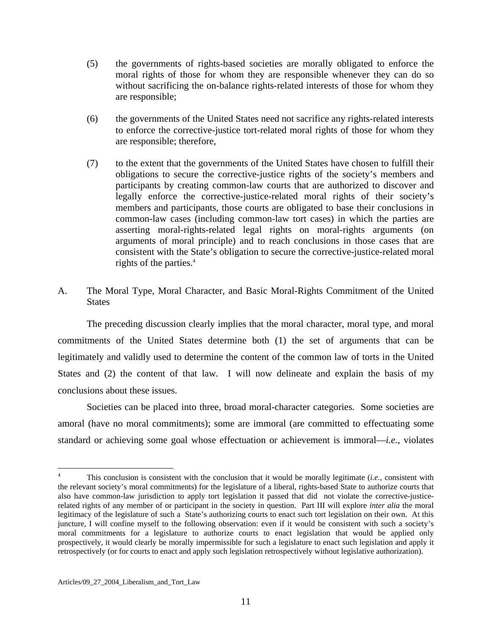- (5) the governments of rights-based societies are morally obligated to enforce the moral rights of those for whom they are responsible whenever they can do so without sacrificing the on-balance rights-related interests of those for whom they are responsible;
- (6) the governments of the United States need not sacrifice any rights-related interests to enforce the corrective-justice tort-related moral rights of those for whom they are responsible; therefore,
- (7) to the extent that the governments of the United States have chosen to fulfill their obligations to secure the corrective-justice rights of the society's members and participants by creating common-law courts that are authorized to discover and legally enforce the corrective-justice-related moral rights of their society's members and participants, those courts are obligated to base their conclusions in common-law cases (including common-law tort cases) in which the parties are asserting moral-rights-related legal rights on moral-rights arguments (on arguments of moral principle) and to reach conclusions in those cases that are consistent with the State's obligation to secure the corrective-justice-related moral rights of the parties[.4](#page-11-0)
- A. The Moral Type, Moral Character, and Basic Moral-Rights Commitment of the United **States**

 The preceding discussion clearly implies that the moral character, moral type, and moral commitments of the United States determine both (1) the set of arguments that can be legitimately and validly used to determine the content of the common law of torts in the United States and (2) the content of that law. I will now delineate and explain the basis of my conclusions about these issues.

 Societies can be placed into three, broad moral-character categories. Some societies are amoral (have no moral commitments); some are immoral (are committed to effectuating some standard or achieving some goal whose effectuation or achievement is immoral—*i.e.*, violates

<span id="page-11-0"></span><sup>4</sup> This conclusion is consistent with the conclusion that it would be morally legitimate (*i.e.*, consistent with the relevant society's moral commitments) for the legislature of a liberal, rights-based State to authorize courts that also have common-law jurisdiction to apply tort legislation it passed that did not violate the corrective-justicerelated rights of any member of or participant in the society in question. Part III will explore *inter alia* the moral legitimacy of the legislature of such a State's authorizing courts to enact such tort legislation on their own. At this juncture, I will confine myself to the following observation: even if it would be consistent with such a society's moral commitments for a legislature to authorize courts to enact legislation that would be applied only prospectively, it would clearly be morally impermissible for such a legislature to enact such legislation and apply it retrospectively (or for courts to enact and apply such legislation retrospectively without legislative authorization).

Articles/09\_27\_2004\_Liberalism\_and\_Tort\_Law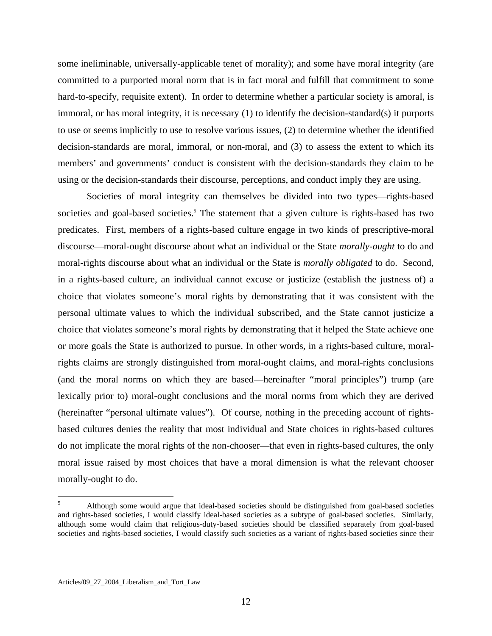some ineliminable, universally-applicable tenet of morality); and some have moral integrity (are committed to a purported moral norm that is in fact moral and fulfill that commitment to some hard-to-specify, requisite extent). In order to determine whether a particular society is amoral, is immoral, or has moral integrity, it is necessary (1) to identify the decision-standard(s) it purports to use or seems implicitly to use to resolve various issues, (2) to determine whether the identified decision-standards are moral, immoral, or non-moral, and (3) to assess the extent to which its members' and governments' conduct is consistent with the decision-standards they claim to be using or the decision-standards their discourse, perceptions, and conduct imply they are using.

 Societies of moral integrity can themselves be divided into two types—rights-based societiesand goal-based societies.<sup>5</sup> The statement that a given culture is rights-based has two predicates. First, members of a rights-based culture engage in two kinds of prescriptive-moral discourse—moral-ought discourse about what an individual or the State *morally-ought* to do and moral-rights discourse about what an individual or the State is *morally obligated* to do. Second, in a rights-based culture, an individual cannot excuse or justicize (establish the justness of) a choice that violates someone's moral rights by demonstrating that it was consistent with the personal ultimate values to which the individual subscribed, and the State cannot justicize a choice that violates someone's moral rights by demonstrating that it helped the State achieve one or more goals the State is authorized to pursue. In other words, in a rights-based culture, moralrights claims are strongly distinguished from moral-ought claims, and moral-rights conclusions (and the moral norms on which they are based—hereinafter "moral principles") trump (are lexically prior to) moral-ought conclusions and the moral norms from which they are derived (hereinafter "personal ultimate values"). Of course, nothing in the preceding account of rightsbased cultures denies the reality that most individual and State choices in rights-based cultures do not implicate the moral rights of the non-chooser—that even in rights-based cultures, the only moral issue raised by most choices that have a moral dimension is what the relevant chooser morally-ought to do.

<span id="page-12-0"></span><sup>5</sup> Although some would argue that ideal-based societies should be distinguished from goal-based societies and rights-based societies, I would classify ideal-based societies as a subtype of goal-based societies. Similarly, although some would claim that religious-duty-based societies should be classified separately from goal-based societies and rights-based societies, I would classify such societies as a variant of rights-based societies since their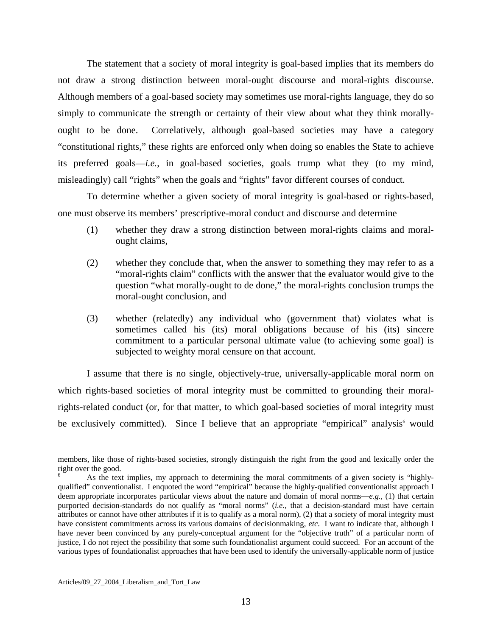The statement that a society of moral integrity is goal-based implies that its members do not draw a strong distinction between moral-ought discourse and moral-rights discourse. Although members of a goal-based society may sometimes use moral-rights language, they do so simply to communicate the strength or certainty of their view about what they think morallyought to be done. Correlatively, although goal-based societies may have a category "constitutional rights," these rights are enforced only when doing so enables the State to achieve its preferred goals—*i.e.*, in goal-based societies, goals trump what they (to my mind, misleadingly) call "rights" when the goals and "rights" favor different courses of conduct.

 To determine whether a given society of moral integrity is goal-based or rights-based, one must observe its members' prescriptive-moral conduct and discourse and determine

- (1) whether they draw a strong distinction between moral-rights claims and moralought claims,
- (2) whether they conclude that, when the answer to something they may refer to as a "moral-rights claim" conflicts with the answer that the evaluator would give to the question "what morally-ought to de done," the moral-rights conclusion trumps the moral-ought conclusion, and
- (3) whether (relatedly) any individual who (government that) violates what is sometimes called his (its) moral obligations because of his (its) sincere commitment to a particular personal ultimate value (to achieving some goal) is subjected to weighty moral censure on that account.

 I assume that there is no single, objectively-true, universally-applicable moral norm on which rights-based societies of moral integrity must be committed to grounding their moralrights-related conduct (or, for that matter, to which goal-based societies of moral integrity must beexclusively committed). Since I believe that an appropriate "empirical" analysis<sup>6</sup> would

<u>.</u>

members, like those of rights-based societies, strongly distinguish the right from the good and lexically order the right over the good.

<span id="page-13-0"></span><sup>6</sup> As the text implies, my approach to determining the moral commitments of a given society is "highlyqualified" conventionalist. I enquoted the word "empirical" because the highly-qualified conventionalist approach I deem appropriate incorporates particular views about the nature and domain of moral norms—*e.g.*, (1) that certain purported decision-standards do not qualify as "moral norms" (*i.e.*, that a decision-standard must have certain attributes or cannot have other attributes if it is to qualify as a moral norm), (2) that a society of moral integrity must have consistent commitments across its various domains of decisionmaking, *etc*. I want to indicate that, although I have never been convinced by any purely-conceptual argument for the "objective truth" of a particular norm of justice, I do not reject the possibility that some such foundationalist argument could succeed. For an account of the various types of foundationalist approaches that have been used to identify the universally-applicable norm of justice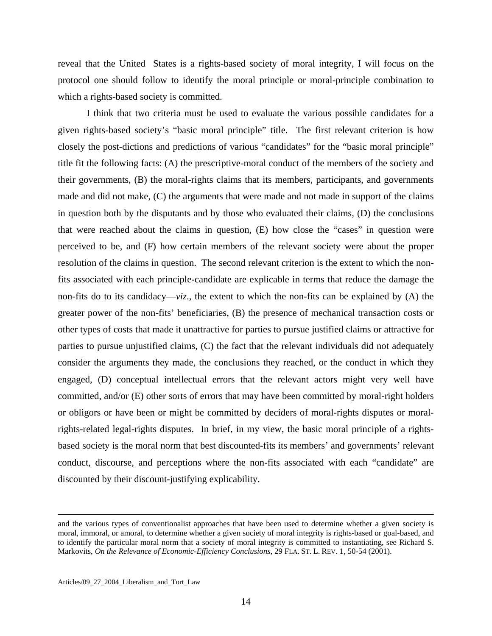reveal that the United States is a rights-based society of moral integrity, I will focus on the protocol one should follow to identify the moral principle or moral-principle combination to which a rights-based society is committed.

 I think that two criteria must be used to evaluate the various possible candidates for a given rights-based society's "basic moral principle" title. The first relevant criterion is how closely the post-dictions and predictions of various "candidates" for the "basic moral principle" title fit the following facts: (A) the prescriptive-moral conduct of the members of the society and their governments, (B) the moral-rights claims that its members, participants, and governments made and did not make, (C) the arguments that were made and not made in support of the claims in question both by the disputants and by those who evaluated their claims, (D) the conclusions that were reached about the claims in question, (E) how close the "cases" in question were perceived to be, and (F) how certain members of the relevant society were about the proper resolution of the claims in question. The second relevant criterion is the extent to which the nonfits associated with each principle-candidate are explicable in terms that reduce the damage the non-fits do to its candidacy—*viz*., the extent to which the non-fits can be explained by (A) the greater power of the non-fits' beneficiaries, (B) the presence of mechanical transaction costs or other types of costs that made it unattractive for parties to pursue justified claims or attractive for parties to pursue unjustified claims, (C) the fact that the relevant individuals did not adequately consider the arguments they made, the conclusions they reached, or the conduct in which they engaged, (D) conceptual intellectual errors that the relevant actors might very well have committed, and/or (E) other sorts of errors that may have been committed by moral-right holders or obligors or have been or might be committed by deciders of moral-rights disputes or moralrights-related legal-rights disputes. In brief, in my view, the basic moral principle of a rightsbased society is the moral norm that best discounted-fits its members' and governments' relevant conduct, discourse, and perceptions where the non-fits associated with each "candidate" are discounted by their discount-justifying explicability.

and the various types of conventionalist approaches that have been used to determine whether a given society is moral, immoral, or amoral, to determine whether a given society of moral integrity is rights-based or goal-based, and to identify the particular moral norm that a society of moral integrity is committed to instantiating, see Richard S. Markovits, *On the Relevance of Economic-Efficiency Conclusions*, 29 FLA. ST. L. REV. 1, 50-54 (2001).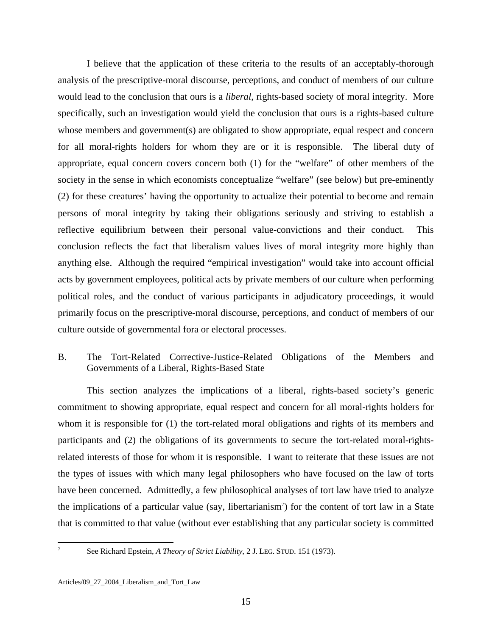I believe that the application of these criteria to the results of an acceptably-thorough analysis of the prescriptive-moral discourse, perceptions, and conduct of members of our culture would lead to the conclusion that ours is a *liberal*, rights-based society of moral integrity. More specifically, such an investigation would yield the conclusion that ours is a rights-based culture whose members and government(s) are obligated to show appropriate, equal respect and concern for all moral-rights holders for whom they are or it is responsible. The liberal duty of appropriate, equal concern covers concern both (1) for the "welfare" of other members of the society in the sense in which economists conceptualize "welfare" (see below) but pre-eminently (2) for these creatures' having the opportunity to actualize their potential to become and remain persons of moral integrity by taking their obligations seriously and striving to establish a reflective equilibrium between their personal value-convictions and their conduct. This conclusion reflects the fact that liberalism values lives of moral integrity more highly than anything else. Although the required "empirical investigation" would take into account official acts by government employees, political acts by private members of our culture when performing political roles, and the conduct of various participants in adjudicatory proceedings, it would primarily focus on the prescriptive-moral discourse, perceptions, and conduct of members of our culture outside of governmental fora or electoral processes.

#### B. The Tort-Related Corrective-Justice-Related Obligations of the Members and Governments of a Liberal, Rights-Based State

 This section analyzes the implications of a liberal, rights-based society's generic commitment to showing appropriate, equal respect and concern for all moral-rights holders for whom it is responsible for (1) the tort-related moral obligations and rights of its members and participants and (2) the obligations of its governments to secure the tort-related moral-rightsrelated interests of those for whom it is responsible. I want to reiterate that these issues are not the types of issues with which many legal philosophers who have focused on the law of torts have been concerned. Admittedly, a few philosophical analyses of tort law have tried to analyze the implications of a particular value (say, libertarianism<sup>7</sup>[\)](#page-15-0) for the content of tort law in a State that is committed to that value (without ever establishing that any particular society is committed

<span id="page-15-0"></span>-<br>7

See Richard Epstein, *A Theory of Strict Liability*, 2 J. LEG. STUD. 151 (1973).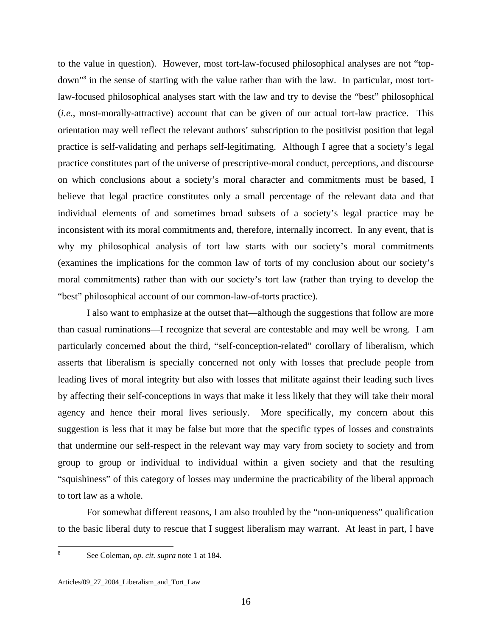to the value in question). However, most tort-law-focused philosophical analyses are not "top-down"<sup>[8](#page-16-0)</sup> in the sense of starting with the value rather than with the law. In particular, most tortlaw-focused philosophical analyses start with the law and try to devise the "best" philosophical (*i.e.*, most-morally-attractive) account that can be given of our actual tort-law practice. This orientation may well reflect the relevant authors' subscription to the positivist position that legal practice is self-validating and perhaps self-legitimating. Although I agree that a society's legal practice constitutes part of the universe of prescriptive-moral conduct, perceptions, and discourse on which conclusions about a society's moral character and commitments must be based, I believe that legal practice constitutes only a small percentage of the relevant data and that individual elements of and sometimes broad subsets of a society's legal practice may be inconsistent with its moral commitments and, therefore, internally incorrect. In any event, that is why my philosophical analysis of tort law starts with our society's moral commitments (examines the implications for the common law of torts of my conclusion about our society's moral commitments) rather than with our society's tort law (rather than trying to develop the "best" philosophical account of our common-law-of-torts practice).

 I also want to emphasize at the outset that—although the suggestions that follow are more than casual ruminations—I recognize that several are contestable and may well be wrong. I am particularly concerned about the third, "self-conception-related" corollary of liberalism, which asserts that liberalism is specially concerned not only with losses that preclude people from leading lives of moral integrity but also with losses that militate against their leading such lives by affecting their self-conceptions in ways that make it less likely that they will take their moral agency and hence their moral lives seriously. More specifically, my concern about this suggestion is less that it may be false but more that the specific types of losses and constraints that undermine our self-respect in the relevant way may vary from society to society and from group to group or individual to individual within a given society and that the resulting "squishiness" of this category of losses may undermine the practicability of the liberal approach to tort law as a whole.

 For somewhat different reasons, I am also troubled by the "non-uniqueness" qualification to the basic liberal duty to rescue that I suggest liberalism may warrant. At least in part, I have

<span id="page-16-0"></span>See Coleman, *op. cit. supra* note 1 at 184.

8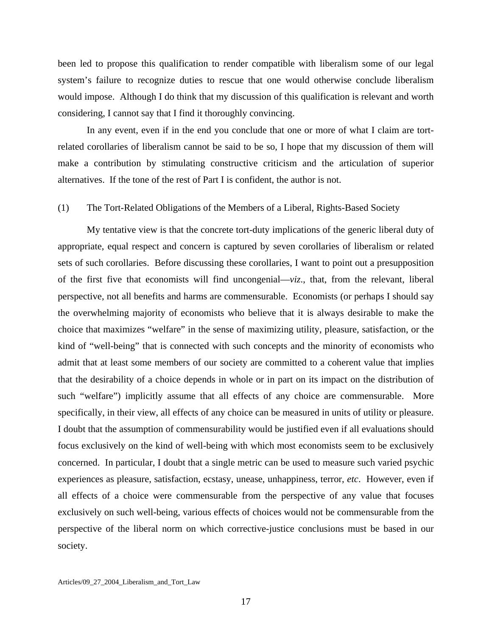been led to propose this qualification to render compatible with liberalism some of our legal system's failure to recognize duties to rescue that one would otherwise conclude liberalism would impose. Although I do think that my discussion of this qualification is relevant and worth considering, I cannot say that I find it thoroughly convincing.

 In any event, even if in the end you conclude that one or more of what I claim are tortrelated corollaries of liberalism cannot be said to be so, I hope that my discussion of them will make a contribution by stimulating constructive criticism and the articulation of superior alternatives. If the tone of the rest of Part I is confident, the author is not.

#### (1) The Tort-Related Obligations of the Members of a Liberal, Rights-Based Society

 My tentative view is that the concrete tort-duty implications of the generic liberal duty of appropriate, equal respect and concern is captured by seven corollaries of liberalism or related sets of such corollaries. Before discussing these corollaries, I want to point out a presupposition of the first five that economists will find uncongenial—*viz*., that, from the relevant, liberal perspective, not all benefits and harms are commensurable. Economists (or perhaps I should say the overwhelming majority of economists who believe that it is always desirable to make the choice that maximizes "welfare" in the sense of maximizing utility, pleasure, satisfaction, or the kind of "well-being" that is connected with such concepts and the minority of economists who admit that at least some members of our society are committed to a coherent value that implies that the desirability of a choice depends in whole or in part on its impact on the distribution of such "welfare") implicitly assume that all effects of any choice are commensurable. More specifically, in their view, all effects of any choice can be measured in units of utility or pleasure. I doubt that the assumption of commensurability would be justified even if all evaluations should focus exclusively on the kind of well-being with which most economists seem to be exclusively concerned. In particular, I doubt that a single metric can be used to measure such varied psychic experiences as pleasure, satisfaction, ecstasy, unease, unhappiness, terror, *etc*. However, even if all effects of a choice were commensurable from the perspective of any value that focuses exclusively on such well-being, various effects of choices would not be commensurable from the perspective of the liberal norm on which corrective-justice conclusions must be based in our society.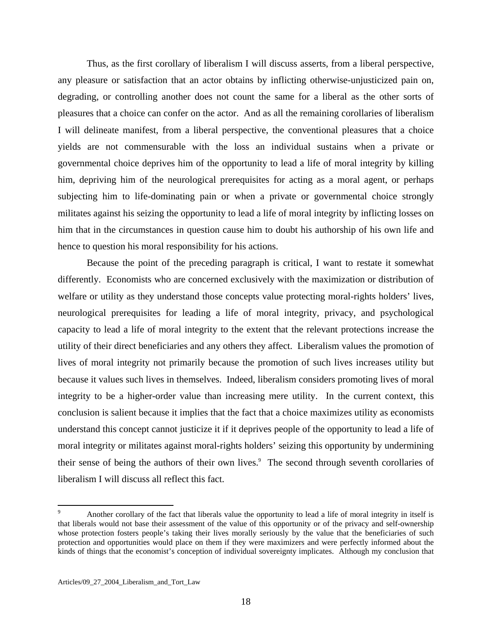Thus, as the first corollary of liberalism I will discuss asserts, from a liberal perspective, any pleasure or satisfaction that an actor obtains by inflicting otherwise-unjusticized pain on, degrading, or controlling another does not count the same for a liberal as the other sorts of pleasures that a choice can confer on the actor. And as all the remaining corollaries of liberalism I will delineate manifest, from a liberal perspective, the conventional pleasures that a choice yields are not commensurable with the loss an individual sustains when a private or governmental choice deprives him of the opportunity to lead a life of moral integrity by killing him, depriving him of the neurological prerequisites for acting as a moral agent, or perhaps subjecting him to life-dominating pain or when a private or governmental choice strongly militates against his seizing the opportunity to lead a life of moral integrity by inflicting losses on him that in the circumstances in question cause him to doubt his authorship of his own life and hence to question his moral responsibility for his actions.

 Because the point of the preceding paragraph is critical, I want to restate it somewhat differently. Economists who are concerned exclusively with the maximization or distribution of welfare or utility as they understand those concepts value protecting moral-rights holders' lives, neurological prerequisites for leading a life of moral integrity, privacy, and psychological capacity to lead a life of moral integrity to the extent that the relevant protections increase the utility of their direct beneficiaries and any others they affect. Liberalism values the promotion of lives of moral integrity not primarily because the promotion of such lives increases utility but because it values such lives in themselves. Indeed, liberalism considers promoting lives of moral integrity to be a higher-order value than increasing mere utility. In the current context, this conclusion is salient because it implies that the fact that a choice maximizes utility as economists understand this concept cannot justicize it if it deprives people of the opportunity to lead a life of moral integrity or militates against moral-rights holders' seizing this opportunity by undermining theirsense of being the authors of their own lives.<sup>9</sup> The second through seventh corollaries of liberalism I will discuss all reflect this fact.

<span id="page-18-0"></span><sup>9</sup> Another corollary of the fact that liberals value the opportunity to lead a life of moral integrity in itself is that liberals would not base their assessment of the value of this opportunity or of the privacy and self-ownership whose protection fosters people's taking their lives morally seriously by the value that the beneficiaries of such protection and opportunities would place on them if they were maximizers and were perfectly informed about the kinds of things that the economist's conception of individual sovereignty implicates. Although my conclusion that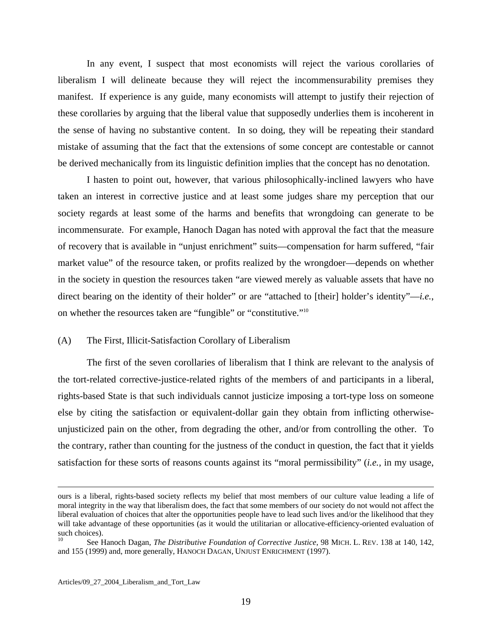In any event, I suspect that most economists will reject the various corollaries of liberalism I will delineate because they will reject the incommensurability premises they manifest. If experience is any guide, many economists will attempt to justify their rejection of these corollaries by arguing that the liberal value that supposedly underlies them is incoherent in the sense of having no substantive content. In so doing, they will be repeating their standard mistake of assuming that the fact that the extensions of some concept are contestable or cannot be derived mechanically from its linguistic definition implies that the concept has no denotation.

 I hasten to point out, however, that various philosophically-inclined lawyers who have taken an interest in corrective justice and at least some judges share my perception that our society regards at least some of the harms and benefits that wrongdoing can generate to be incommensurate. For example, Hanoch Dagan has noted with approval the fact that the measure of recovery that is available in "unjust enrichment" suits—compensation for harm suffered, "fair market value" of the resource taken, or profits realized by the wrongdoer—depends on whether in the society in question the resources taken "are viewed merely as valuable assets that have no direct bearing on the identity of their holder" or are "attached to [their] holder's identity"—*i.e.*, on whether the resources taken are "fungible" or "constitutive."[10](#page-19-0)

#### (A) The First, Illicit-Satisfaction Corollary of Liberalism

 The first of the seven corollaries of liberalism that I think are relevant to the analysis of the tort-related corrective-justice-related rights of the members of and participants in a liberal, rights-based State is that such individuals cannot justicize imposing a tort-type loss on someone else by citing the satisfaction or equivalent-dollar gain they obtain from inflicting otherwiseunjusticized pain on the other, from degrading the other, and/or from controlling the other. To the contrary, rather than counting for the justness of the conduct in question, the fact that it yields satisfaction for these sorts of reasons counts against its "moral permissibility" (*i.e.*, in my usage,

ours is a liberal, rights-based society reflects my belief that most members of our culture value leading a life of moral integrity in the way that liberalism does, the fact that some members of our society do not would not affect the liberal evaluation of choices that alter the opportunities people have to lead such lives and/or the likelihood that they will take advantage of these opportunities (as it would the utilitarian or allocative-efficiency-oriented evaluation of such choices).

<span id="page-19-0"></span><sup>10</sup> See Hanoch Dagan, *The Distributive Foundation of Corrective Justice*, 98 MICH. L. REV. 138 at 140, 142, and 155 (1999) and, more generally, HANOCH DAGAN, UNJUST ENRICHMENT (1997).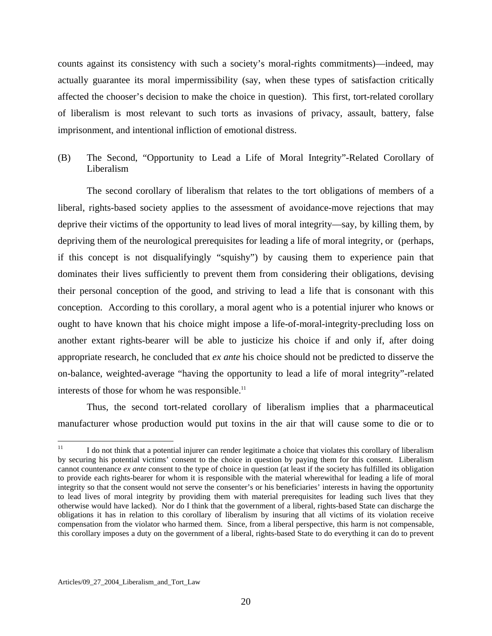counts against its consistency with such a society's moral-rights commitments)—indeed, may actually guarantee its moral impermissibility (say, when these types of satisfaction critically affected the chooser's decision to make the choice in question). This first, tort-related corollary of liberalism is most relevant to such torts as invasions of privacy, assault, battery, false imprisonment, and intentional infliction of emotional distress.

(B) The Second, "Opportunity to Lead a Life of Moral Integrity"-Related Corollary of Liberalism

 The second corollary of liberalism that relates to the tort obligations of members of a liberal, rights-based society applies to the assessment of avoidance-move rejections that may deprive their victims of the opportunity to lead lives of moral integrity—say, by killing them, by depriving them of the neurological prerequisites for leading a life of moral integrity, or (perhaps, if this concept is not disqualifyingly "squishy") by causing them to experience pain that dominates their lives sufficiently to prevent them from considering their obligations, devising their personal conception of the good, and striving to lead a life that is consonant with this conception. According to this corollary, a moral agent who is a potential injurer who knows or ought to have known that his choice might impose a life-of-moral-integrity-precluding loss on another extant rights-bearer will be able to justicize his choice if and only if, after doing appropriate research, he concluded that *ex ante* his choice should not be predicted to disserve the on-balance, weighted-average "having the opportunity to lead a life of moral integrity"-related interests of those for whom he was responsible.<sup>11</sup>

 Thus, the second tort-related corollary of liberalism implies that a pharmaceutical manufacturer whose production would put toxins in the air that will cause some to die or to

<span id="page-20-0"></span> $11$ 11 I do not think that a potential injurer can render legitimate a choice that violates this corollary of liberalism by securing his potential victims' consent to the choice in question by paying them for this consent. Liberalism cannot countenance *ex ante* consent to the type of choice in question (at least if the society has fulfilled its obligation to provide each rights-bearer for whom it is responsible with the material wherewithal for leading a life of moral integrity so that the consent would not serve the consenter's or his beneficiaries' interests in having the opportunity to lead lives of moral integrity by providing them with material prerequisites for leading such lives that they otherwise would have lacked). Nor do I think that the government of a liberal, rights-based State can discharge the obligations it has in relation to this corollary of liberalism by insuring that all victims of its violation receive compensation from the violator who harmed them. Since, from a liberal perspective, this harm is not compensable, this corollary imposes a duty on the government of a liberal, rights-based State to do everything it can do to prevent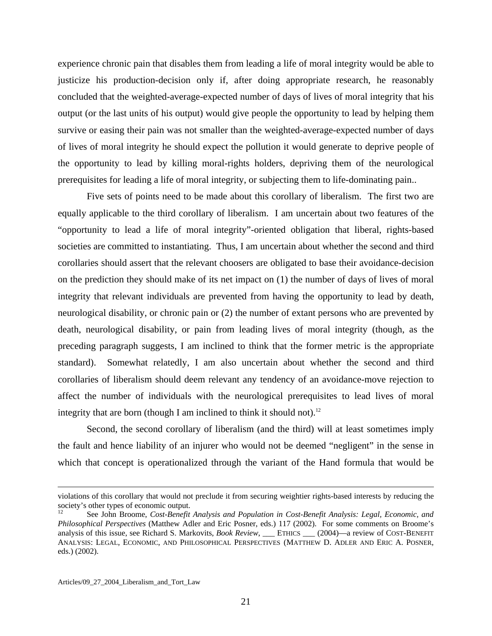experience chronic pain that disables them from leading a life of moral integrity would be able to justicize his production-decision only if, after doing appropriate research, he reasonably concluded that the weighted-average-expected number of days of lives of moral integrity that his output (or the last units of his output) would give people the opportunity to lead by helping them survive or easing their pain was not smaller than the weighted-average-expected number of days of lives of moral integrity he should expect the pollution it would generate to deprive people of the opportunity to lead by killing moral-rights holders, depriving them of the neurological prerequisites for leading a life of moral integrity, or subjecting them to life-dominating pain..

 Five sets of points need to be made about this corollary of liberalism. The first two are equally applicable to the third corollary of liberalism. I am uncertain about two features of the "opportunity to lead a life of moral integrity"-oriented obligation that liberal, rights-based societies are committed to instantiating. Thus, I am uncertain about whether the second and third corollaries should assert that the relevant choosers are obligated to base their avoidance-decision on the prediction they should make of its net impact on (1) the number of days of lives of moral integrity that relevant individuals are prevented from having the opportunity to lead by death, neurological disability, or chronic pain or (2) the number of extant persons who are prevented by death, neurological disability, or pain from leading lives of moral integrity (though, as the preceding paragraph suggests, I am inclined to think that the former metric is the appropriate standard). Somewhat relatedly, I am also uncertain about whether the second and third corollaries of liberalism should deem relevant any tendency of an avoidance-move rejection to affect the number of individuals with the neurological prerequisites to lead lives of moral integrity that are born (though I am inclined to think it should not).<sup>[12](#page-21-0)</sup>

 Second, the second corollary of liberalism (and the third) will at least sometimes imply the fault and hence liability of an injurer who would not be deemed "negligent" in the sense in which that concept is operationalized through the variant of the Hand formula that would be

violations of this corollary that would not preclude it from securing weightier rights-based interests by reducing the society's other types of economic output.

<span id="page-21-0"></span><sup>12</sup> See John Broome, *Cost-Benefit Analysis and Population in Cost-Benefit Analysis: Legal, Economic, and Philosophical Perspectives* (Matthew Adler and Eric Posner, eds.) 117 (2002). For some comments on Broome's analysis of this issue, see Richard S. Markovits, *Book Review*, \_\_\_ ETHICS \_\_\_ (2004)—a review of COST-BENEFIT ANALYSIS: LEGAL, ECONOMIC, AND PHILOSOPHICAL PERSPECTIVES (MATTHEW D. ADLER AND ERIC A. POSNER*,* eds.) (2002).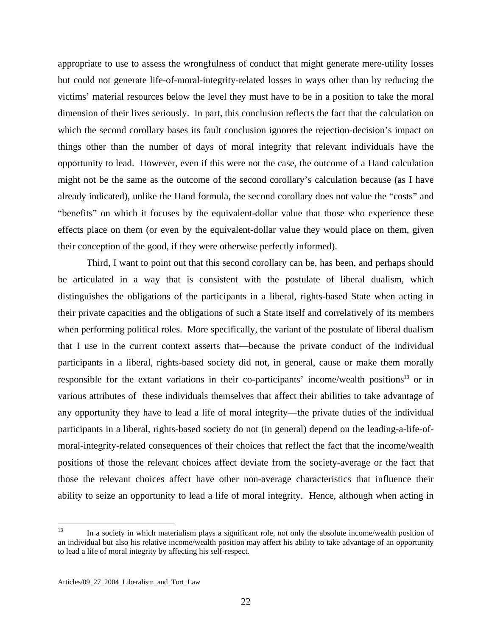appropriate to use to assess the wrongfulness of conduct that might generate mere-utility losses but could not generate life-of-moral-integrity-related losses in ways other than by reducing the victims' material resources below the level they must have to be in a position to take the moral dimension of their lives seriously. In part, this conclusion reflects the fact that the calculation on which the second corollary bases its fault conclusion ignores the rejection-decision's impact on things other than the number of days of moral integrity that relevant individuals have the opportunity to lead. However, even if this were not the case, the outcome of a Hand calculation might not be the same as the outcome of the second corollary's calculation because (as I have already indicated), unlike the Hand formula, the second corollary does not value the "costs" and "benefits" on which it focuses by the equivalent-dollar value that those who experience these effects place on them (or even by the equivalent-dollar value they would place on them, given their conception of the good, if they were otherwise perfectly informed).

 Third, I want to point out that this second corollary can be, has been, and perhaps should be articulated in a way that is consistent with the postulate of liberal dualism, which distinguishes the obligations of the participants in a liberal, rights-based State when acting in their private capacities and the obligations of such a State itself and correlatively of its members when performing political roles. More specifically, the variant of the postulate of liberal dualism that I use in the current context asserts that—because the private conduct of the individual participants in a liberal, rights-based society did not, in general, cause or make them morally responsible for the extant variations in their co-participants' income/wealth positions<sup>13</sup> or in various attributes of these individuals themselves that affect their abilities to take advantage of any opportunity they have to lead a life of moral integrity—the private duties of the individual participants in a liberal, rights-based society do not (in general) depend on the leading-a-life-ofmoral-integrity-related consequences of their choices that reflect the fact that the income/wealth positions of those the relevant choices affect deviate from the society-average or the fact that those the relevant choices affect have other non-average characteristics that influence their ability to seize an opportunity to lead a life of moral integrity. Hence, although when acting in

<span id="page-22-0"></span> $13$ In a society in which materialism plays a significant role, not only the absolute income/wealth position of an individual but also his relative income/wealth position may affect his ability to take advantage of an opportunity to lead a life of moral integrity by affecting his self-respect.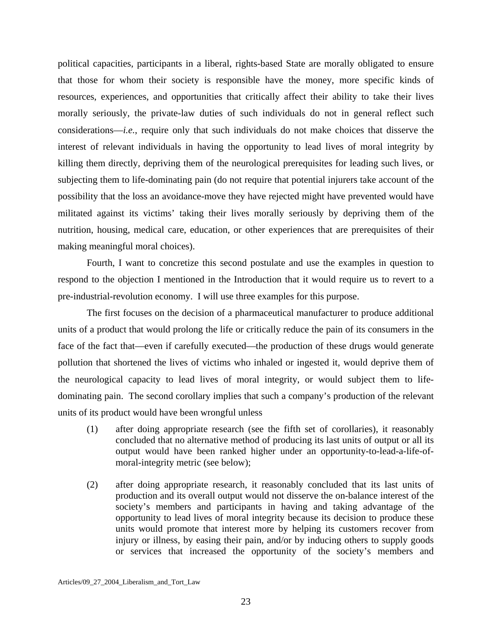political capacities, participants in a liberal, rights-based State are morally obligated to ensure that those for whom their society is responsible have the money, more specific kinds of resources, experiences, and opportunities that critically affect their ability to take their lives morally seriously, the private-law duties of such individuals do not in general reflect such considerations—*i.e.*, require only that such individuals do not make choices that disserve the interest of relevant individuals in having the opportunity to lead lives of moral integrity by killing them directly, depriving them of the neurological prerequisites for leading such lives, or subjecting them to life-dominating pain (do not require that potential injurers take account of the possibility that the loss an avoidance-move they have rejected might have prevented would have militated against its victims' taking their lives morally seriously by depriving them of the nutrition, housing, medical care, education, or other experiences that are prerequisites of their making meaningful moral choices).

 Fourth, I want to concretize this second postulate and use the examples in question to respond to the objection I mentioned in the Introduction that it would require us to revert to a pre-industrial-revolution economy. I will use three examples for this purpose.

 The first focuses on the decision of a pharmaceutical manufacturer to produce additional units of a product that would prolong the life or critically reduce the pain of its consumers in the face of the fact that—even if carefully executed—the production of these drugs would generate pollution that shortened the lives of victims who inhaled or ingested it, would deprive them of the neurological capacity to lead lives of moral integrity, or would subject them to lifedominating pain. The second corollary implies that such a company's production of the relevant units of its product would have been wrongful unless

- (1) after doing appropriate research (see the fifth set of corollaries), it reasonably concluded that no alternative method of producing its last units of output or all its output would have been ranked higher under an opportunity-to-lead-a-life-ofmoral-integrity metric (see below);
- (2) after doing appropriate research, it reasonably concluded that its last units of production and its overall output would not disserve the on-balance interest of the society's members and participants in having and taking advantage of the opportunity to lead lives of moral integrity because its decision to produce these units would promote that interest more by helping its customers recover from injury or illness, by easing their pain, and/or by inducing others to supply goods or services that increased the opportunity of the society's members and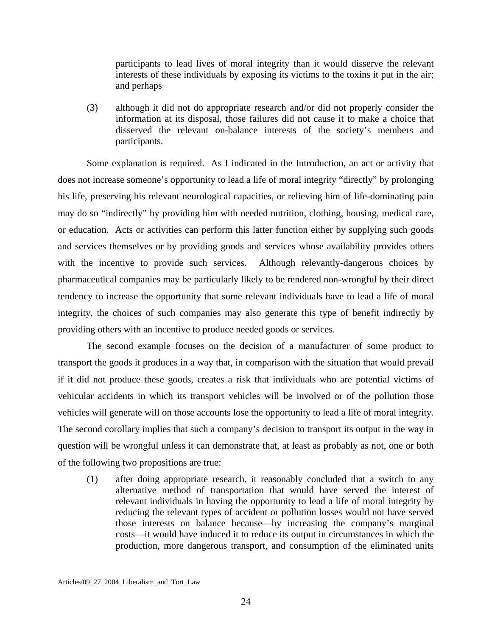participants to lead lives of moral integrity than it would disserve the relevant interests of these individuals by exposing its victims to the toxins it put in the air; and perhaps

(3) although it did not do appropriate research and/or did not properly consider the information at its disposal, those failures did not cause it to make a choice that disserved the relevant on-balance interests of the society's members and participants.

 Some explanation is required. As I indicated in the Introduction, an act or activity that does not increase someone's opportunity to lead a life of moral integrity "directly" by prolonging his life, preserving his relevant neurological capacities, or relieving him of life-dominating pain may do so "indirectly" by providing him with needed nutrition, clothing, housing, medical care, or education. Acts or activities can perform this latter function either by supplying such goods and services themselves or by providing goods and services whose availability provides others with the incentive to provide such services. Although relevantly-dangerous choices by pharmaceutical companies may be particularly likely to be rendered non-wrongful by their direct tendency to increase the opportunity that some relevant individuals have to lead a life of moral integrity, the choices of such companies may also generate this type of benefit indirectly by providing others with an incentive to produce needed goods or services.

 The second example focuses on the decision of a manufacturer of some product to transport the goods it produces in a way that, in comparison with the situation that would prevail if it did not produce these goods, creates a risk that individuals who are potential victims of vehicular accidents in which its transport vehicles will be involved or of the pollution those vehicles will generate will on those accounts lose the opportunity to lead a life of moral integrity. The second corollary implies that such a company's decision to transport its output in the way in question will be wrongful unless it can demonstrate that, at least as probably as not, one or both of the following two propositions are true:

(1) after doing appropriate research, it reasonably concluded that a switch to any alternative method of transportation that would have served the interest of relevant individuals in having the opportunity to lead a life of moral integrity by reducing the relevant types of accident or pollution losses would not have served those interests on balance because—by increasing the company's marginal costs—it would have induced it to reduce its output in circumstances in which the production, more dangerous transport, and consumption of the eliminated units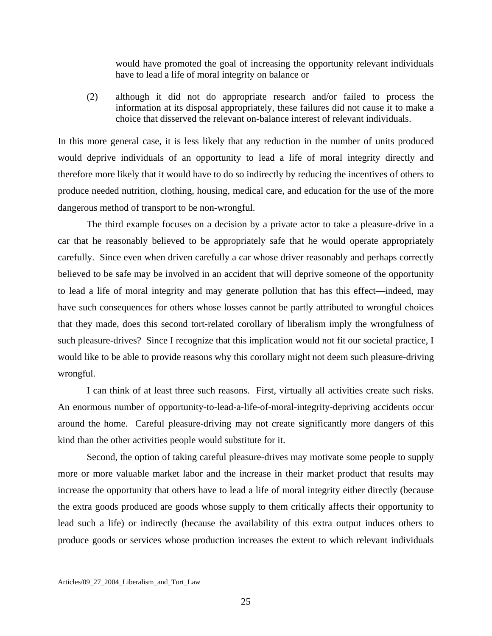would have promoted the goal of increasing the opportunity relevant individuals have to lead a life of moral integrity on balance or

(2) although it did not do appropriate research and/or failed to process the information at its disposal appropriately, these failures did not cause it to make a choice that disserved the relevant on-balance interest of relevant individuals.

In this more general case, it is less likely that any reduction in the number of units produced would deprive individuals of an opportunity to lead a life of moral integrity directly and therefore more likely that it would have to do so indirectly by reducing the incentives of others to produce needed nutrition, clothing, housing, medical care, and education for the use of the more dangerous method of transport to be non-wrongful.

 The third example focuses on a decision by a private actor to take a pleasure-drive in a car that he reasonably believed to be appropriately safe that he would operate appropriately carefully. Since even when driven carefully a car whose driver reasonably and perhaps correctly believed to be safe may be involved in an accident that will deprive someone of the opportunity to lead a life of moral integrity and may generate pollution that has this effect—indeed, may have such consequences for others whose losses cannot be partly attributed to wrongful choices that they made, does this second tort-related corollary of liberalism imply the wrongfulness of such pleasure-drives? Since I recognize that this implication would not fit our societal practice, I would like to be able to provide reasons why this corollary might not deem such pleasure-driving wrongful.

 I can think of at least three such reasons. First, virtually all activities create such risks. An enormous number of opportunity-to-lead-a-life-of-moral-integrity-depriving accidents occur around the home. Careful pleasure-driving may not create significantly more dangers of this kind than the other activities people would substitute for it.

 Second, the option of taking careful pleasure-drives may motivate some people to supply more or more valuable market labor and the increase in their market product that results may increase the opportunity that others have to lead a life of moral integrity either directly (because the extra goods produced are goods whose supply to them critically affects their opportunity to lead such a life) or indirectly (because the availability of this extra output induces others to produce goods or services whose production increases the extent to which relevant individuals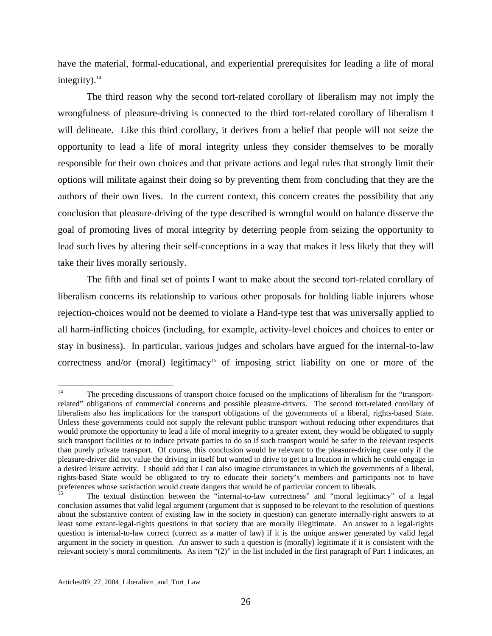have the material, formal-educational, and experiential prerequisites for leading a life of moral integrity). $14$ 

 The third reason why the second tort-related corollary of liberalism may not imply the wrongfulness of pleasure-driving is connected to the third tort-related corollary of liberalism I will delineate. Like this third corollary, it derives from a belief that people will not seize the opportunity to lead a life of moral integrity unless they consider themselves to be morally responsible for their own choices and that private actions and legal rules that strongly limit their options will militate against their doing so by preventing them from concluding that they are the authors of their own lives. In the current context, this concern creates the possibility that any conclusion that pleasure-driving of the type described is wrongful would on balance disserve the goal of promoting lives of moral integrity by deterring people from seizing the opportunity to lead such lives by altering their self-conceptions in a way that makes it less likely that they will take their lives morally seriously.

 The fifth and final set of points I want to make about the second tort-related corollary of liberalism concerns its relationship to various other proposals for holding liable injurers whose rejection-choices would not be deemed to violate a Hand-type test that was universally applied to all harm-inflicting choices (including, for example, activity-level choices and choices to enter or stay in business). In particular, various judges and scholars have argued for the internal-to-law correctness and/or (moral) legitimacy<sup>15</sup> of imposing strict liability on one or more of the

<span id="page-26-0"></span> $14$ The preceding discussions of transport choice focused on the implications of liberalism for the "transportrelated" obligations of commercial concerns and possible pleasure-drivers. The second tort-related corollary of liberalism also has implications for the transport obligations of the governments of a liberal, rights-based State. Unless these governments could not supply the relevant public transport without reducing other expenditures that would promote the opportunity to lead a life of moral integrity to a greater extent, they would be obligated to supply such transport facilities or to induce private parties to do so if such transport would be safer in the relevant respects than purely private transport. Of course, this conclusion would be relevant to the pleasure-driving case only if the pleasure-driver did not value the driving in itself but wanted to drive to get to a location in which he could engage in a desired leisure activity. I should add that I can also imagine circumstances in which the governments of a liberal, rights-based State would be obligated to try to educate their society's members and participants not to have preferences whose satisfaction would create dangers that would be of particular concern to liberals.<br>
The textual distinction between the "internal-to-law correctness" and "moral legitimacy" of a legal<br>
<sup>15</sup>

<span id="page-26-1"></span>conclusion assumes that valid legal argument (argument that is supposed to be relevant to the resolution of questions about the substantive content of existing law in the society in question) can generate internally-right answers to at least some extant-legal-rights questions in that society that are morally illegitimate. An answer to a legal-rights question is internal-to-law correct (correct as a matter of law) if it is the unique answer generated by valid legal argument in the society in question. An answer to such a question is (morally) legitimate if it is consistent with the relevant society's moral commitments. As item "(2)" in the list included in the first paragraph of Part 1 indicates, an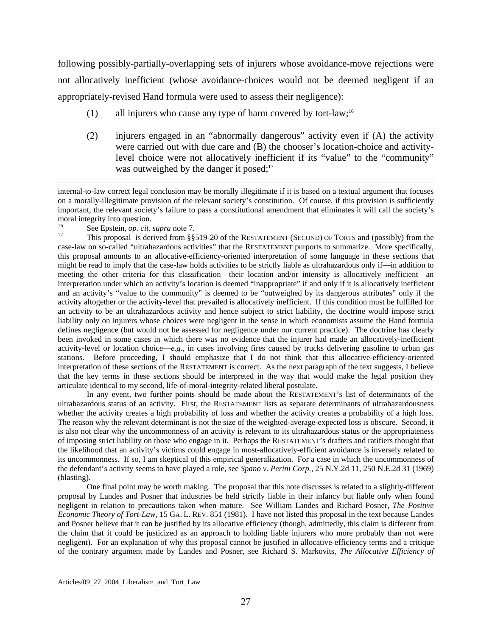following possibly-partially-overlapping sets of injurers whose avoidance-move rejections were not allocatively inefficient (whose avoidance-choices would not be deemed negligent if an appropriately-revised Hand formula were used to assess their negligence):

- (1) all injurers who cause any type of harm covered by tort-law;[16](#page-27-0)
- (2) injurers engaged in an "abnormally dangerous" activity even if (A) the activity were carried out with due care and (B) the chooser's location-choice and activitylevel choice were not allocatively inefficient if its "value" to the "community" was outweighed by the danger it posed; $17$

internal-to-law correct legal conclusion may be morally illegitimate if it is based on a textual argument that focuses on a morally-illegitimate provision of the relevant society's constitution. Of course, if this provision is sufficiently important, the relevant society's failure to pass a constitutional amendment that eliminates it will call the society's moral integrity into question.

<span id="page-27-1"></span><span id="page-27-0"></span>

 $\overline{a}$ 

<sup>16</sup> See Epstein, *op. cit. supra* note 7.<br><sup>17</sup> This proposal is derived from §§519-20 of the RESTATEMENT (SECOND) OF TORTS and (possibly) from the case-law on so-called "ultrahazardous activities" that the RESTATEMENT purports to summarize. More specifically, this proposal amounts to an allocative-efficiency-oriented interpretation of some language in these sections that might be read to imply that the case-law holds activities to be strictly liable as ultrahazardous only if—in addition to meeting the other criteria for this classification—their location and/or intensity is allocatively inefficient—an interpretation under which an activity's location is deemed "inappropriate" if and only if it is allocatively inefficient and an activity's "value to the community" is deemed to be "outweighed by its dangerous attributes" only if the activity altogether or the activity-level that prevailed is allocatively inefficient. If this condition must be fulfilled for an activity to be an ultrahazardous activity and hence subject to strict liability, the doctrine would impose strict liability only on injurers whose choices were negligent in the sense in which economists assume the Hand formula defines negligence (but would not be assessed for negligence under our current practice). The doctrine has clearly been invoked in some cases in which there was no evidence that the injurer had made an allocatively-inefficient activity-level or location choice—*e.g.*, in cases involving fires caused by trucks delivering gasoline to urban gas stations. Before proceeding, I should emphasize that I do not think that this allocative-efficiency-oriented interpretation of these sections of the RESTATEMENT is correct. As the next paragraph of the text suggests, I believe that the key terms in these sections should be interpreted in the way that would make the legal position they articulate identical to my second, life-of-moral-integrity-related liberal postulate.

 In any event, two further points should be made about the RESTATEMENT's list of determinants of the ultrahazardous status of an activity. First, the RESTATEMENT lists as separate determinants of ultrahazardousness whether the activity creates a high probability of loss and whether the activity creates a probability of a high loss. The reason why the relevant determinant is not the size of the weighted-average-expected loss is obscure. Second, it is also not clear why the uncommonness of an activity is relevant to its ultrahazardous status or the appropriateness of imposing strict liability on those who engage in it. Perhaps the RESTATEMENT's drafters and ratifiers thought that the likelihood that an activity's victims could engage in most-allocatively-efficient avoidance is inversely related to its uncommonness. If so, I am skeptical of this empirical generalization. For a case in which the uncommonness of the defendant's activity seems to have played a role, see *Spano v. Perini Corp.*, 25 N.Y.2d 11, 250 N.E.2d 31 (1969) (blasting).

 One final point may be worth making. The proposal that this note discusses is related to a slightly-different proposal by Landes and Posner that industries be held strictly liable in their infancy but liable only when found negligent in relation to precautions taken when mature. See William Landes and Richard Posner, *The Positive Economic Theory of Tort-Law*, 15 GA. L. REV. 851 (1981). I have not listed this proposal in the text because Landes and Posner believe that it can be justified by its allocative efficiency (though, admittedly, this claim is different from the claim that it could be justicized as an approach to holding liable injurers who more probably than not were negligent). For an explanation of why this proposal cannot be justified in allocative-efficiency terms and a critique of the contrary argument made by Landes and Posner, see Richard S. Markovits, *The Allocative Efficiency of*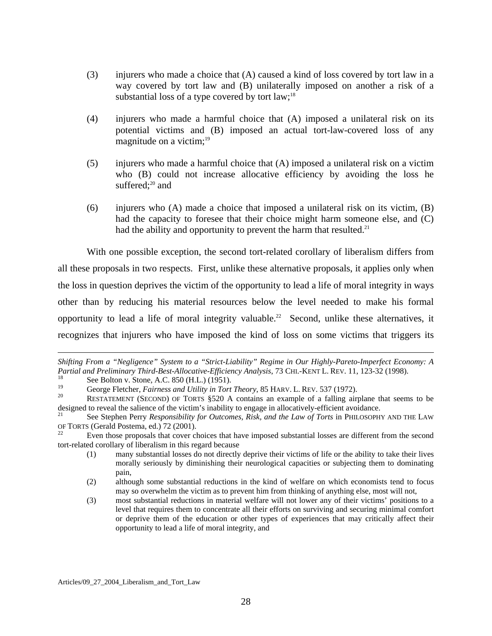- (3) injurers who made a choice that (A) caused a kind of loss covered by tort law in a way covered by tort law and (B) unilaterally imposed on another a risk of a substantial loss of a type covered by tort  $law;<sup>18</sup>$  $law;<sup>18</sup>$  $law;<sup>18</sup>$
- (4) injurers who made a harmful choice that (A) imposed a unilateral risk on its potential victims and (B) imposed an actual tort-law-covered loss of any magnitude on a victim; $19$
- (5) injurers who made a harmful choice that (A) imposed a unilateral risk on a victim who (B) could not increase allocative efficiency by avoiding the loss he suffered; $20$  and
- (6) injurers who (A) made a choice that imposed a unilateral risk on its victim, (B) had the capacity to foresee that their choice might harm someone else, and (C) had the ability and opportunity to prevent the harm that resulted.<sup>[21](#page-28-3)</sup>

 With one possible exception, the second tort-related corollary of liberalism differs from all these proposals in two respects. First, unlike these alternative proposals, it applies only when the loss in question deprives the victim of the opportunity to lead a life of moral integrity in ways other than by reducing his material resources below the level needed to make his formal opportunity to lead a life of moral integrity valuable.<sup>22</sup> Second, unlike these alternatives, it recognizes that injurers who have imposed the kind of loss on some victims that triggers its

1

*Shifting From a "Negligence" System to a "Strict-Liability" Regime in Our Highly-Pareto-Imperfect Economy: A Partial and Preliminary Third-Best-Allocative-Efficiency Analysis*, 73 CHI.-KENT L. REV. 11, 123-32 (1998).<br><sup>18</sup> See Bolton v. Stone, A.C. 850 (H.L.) (1951).<br><sup>19</sup> George Fletcher, *Fairness and Utility in Tort Theory*, 85

<span id="page-28-0"></span>

<span id="page-28-1"></span>

<span id="page-28-2"></span><sup>&</sup>lt;sup>20</sup> RESTATEMENT (SECOND) OF TORTS §520 A contains an example of a falling airplane that seems to be designed to reveal the salience of the victim's inability to engage in allocatively-efficient avoidance.<br><sup>21</sup> See Stephen Perry *Responsibility for Outcomes, Risk, and the Law of Torts* in PHILOSOPHY AND THE LAW

<span id="page-28-3"></span>OF TORTS (Gerald Postema, ed.) 72 (2001).<br><sup>22</sup> Even those proposals that cover choices that have imposed substantial losses are different from the second

<span id="page-28-4"></span>tort-related corollary of liberalism in this regard because

<sup>(1)</sup> many substantial losses do not directly deprive their victims of life or the ability to take their lives morally seriously by diminishing their neurological capacities or subjecting them to dominating pain,

<sup>(2)</sup> although some substantial reductions in the kind of welfare on which economists tend to focus may so overwhelm the victim as to prevent him from thinking of anything else, most will not,

<sup>(3)</sup> most substantial reductions in material welfare will not lower any of their victims' positions to a level that requires them to concentrate all their efforts on surviving and securing minimal comfort or deprive them of the education or other types of experiences that may critically affect their opportunity to lead a life of moral integrity, and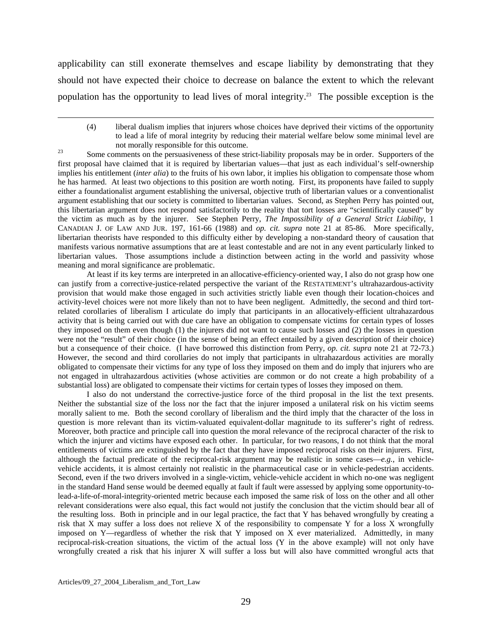applicability can still exonerate themselves and escape liability by demonstrating that they should not have expected their choice to decrease on balance the extent to which the relevant population has the opportunity to lead lives of moral integrity.<sup>23</sup> The possible exception is the

<span id="page-29-0"></span>not morally responsible for this outcome.<br>
<sup>23</sup> Some comments on the persuasiveness of these strict-liability proposals may be in order. Supporters of the first proposal have claimed that it is required by libertarian values—that just as each individual's self-ownership implies his entitlement (*inter alia*) to the fruits of his own labor, it implies his obligation to compensate those whom he has harmed. At least two objections to this position are worth noting. First, its proponents have failed to supply either a foundationalist argument establishing the universal, objective truth of libertarian values or a conventionalist argument establishing that our society is committed to libertarian values. Second, as Stephen Perry has pointed out, this libertarian argument does not respond satisfactorily to the reality that tort losses are "scientifically caused" by the victim as much as by the injurer. See Stephen Perry, *The Impossibility of a General Strict Liability*, 1 CANADIAN J. OF LAW AND JUR. 197, 161-66 (1988) and *op. cit. supra* note 21 at 85-86. More specifically, libertarian theorists have responded to this difficulty either by developing a non-standard theory of causation that manifests various normative assumptions that are at least contestable and are not in any event particularly linked to libertarian values. Those assumptions include a distinction between acting in the world and passivity whose meaning and moral significance are problematic.

 At least if its key terms are interpreted in an allocative-efficiency-oriented way, I also do not grasp how one can justify from a corrective-justice-related perspective the variant of the RESTATEMENT's ultrahazardous-activity provision that would make those engaged in such activities strictly liable even though their location-choices and activity-level choices were not more likely than not to have been negligent. Admittedly, the second and third tortrelated corollaries of liberalism I articulate do imply that participants in an allocatively-efficient ultrahazardous activity that is being carried out with due care have an obligation to compensate victims for certain types of losses they imposed on them even though (1) the injurers did not want to cause such losses and (2) the losses in question were not the "result" of their choice (in the sense of being an effect entailed by a given description of their choice) but a consequence of their choice. (I have borrowed this distinction from Perry, *op. cit. supra* note 21 at 72-73.) However, the second and third corollaries do not imply that participants in ultrahazardous activities are morally obligated to compensate their victims for any type of loss they imposed on them and do imply that injurers who are not engaged in ultrahazardous activities (whose activities are common or do not create a high probability of a substantial loss) are obligated to compensate their victims for certain types of losses they imposed on them.

 I also do not understand the corrective-justice force of the third proposal in the list the text presents. Neither the substantial size of the loss nor the fact that the injurer imposed a unilateral risk on his victim seems morally salient to me. Both the second corollary of liberalism and the third imply that the character of the loss in question is more relevant than its victim-valuated equivalent-dollar magnitude to its sufferer's right of redress. Moreover, both practice and principle call into question the moral relevance of the reciprocal character of the risk to which the injurer and victims have exposed each other. In particular, for two reasons, I do not think that the moral entitlements of victims are extinguished by the fact that they have imposed reciprocal risks on their injurers. First, although the factual predicate of the reciprocal-risk argument may be realistic in some cases—*e.g.*, in vehiclevehicle accidents, it is almost certainly not realistic in the pharmaceutical case or in vehicle-pedestrian accidents. Second, even if the two drivers involved in a single-victim, vehicle-vehicle accident in which no-one was negligent in the standard Hand sense would be deemed equally at fault if fault were assessed by applying some opportunity-tolead-a-life-of-moral-integrity-oriented metric because each imposed the same risk of loss on the other and all other relevant considerations were also equal, this fact would not justify the conclusion that the victim should bear all of the resulting loss. Both in principle and in our legal practice, the fact that Y has behaved wrongfully by creating a risk that X may suffer a loss does not relieve X of the responsibility to compensate Y for a loss X wrongfully imposed on Y—regardless of whether the risk that Y imposed on X ever materialized. Admittedly, in many reciprocal-risk-creation situations, the victim of the actual loss (Y in the above example) will not only have wrongfully created a risk that his injurer X will suffer a loss but will also have committed wrongful acts that

<sup>(4)</sup> liberal dualism implies that injurers whose choices have deprived their victims of the opportunity to lead a life of moral integrity by reducing their material welfare below some minimal level are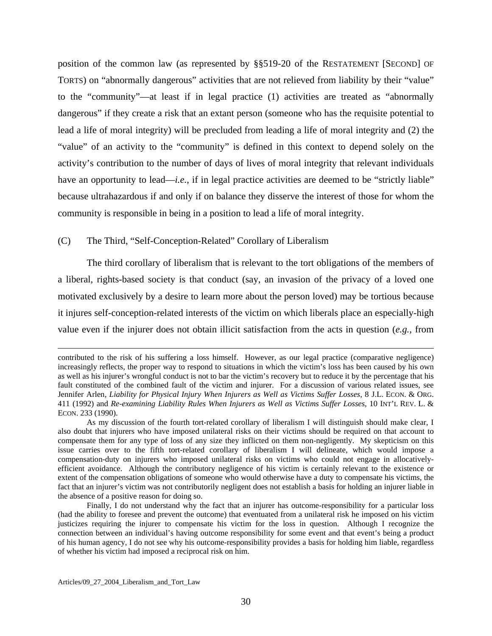position of the common law (as represented by §§519-20 of the RESTATEMENT [SECOND] OF TORTS) on "abnormally dangerous" activities that are not relieved from liability by their "value" to the "community"—at least if in legal practice (1) activities are treated as "abnormally dangerous" if they create a risk that an extant person (someone who has the requisite potential to lead a life of moral integrity) will be precluded from leading a life of moral integrity and (2) the "value" of an activity to the "community" is defined in this context to depend solely on the activity's contribution to the number of days of lives of moral integrity that relevant individuals have an opportunity to lead—*i.e.*, if in legal practice activities are deemed to be "strictly liable" because ultrahazardous if and only if on balance they disserve the interest of those for whom the community is responsible in being in a position to lead a life of moral integrity.

#### (C) The Third, "Self-Conception-Related" Corollary of Liberalism

 The third corollary of liberalism that is relevant to the tort obligations of the members of a liberal, rights-based society is that conduct (say, an invasion of the privacy of a loved one motivated exclusively by a desire to learn more about the person loved) may be tortious because it injures self-conception-related interests of the victim on which liberals place an especially-high value even if the injurer does not obtain illicit satisfaction from the acts in question (*e.g.*, from

contributed to the risk of his suffering a loss himself. However, as our legal practice (comparative negligence) increasingly reflects, the proper way to respond to situations in which the victim's loss has been caused by his own as well as his injurer's wrongful conduct is not to bar the victim's recovery but to reduce it by the percentage that his fault constituted of the combined fault of the victim and injurer. For a discussion of various related issues, see Jennifer Arlen, *Liability for Physical Injury When Injurers as Well as Victims Suffer Losses*, 8 J.L. ECON. & ORG. 411 (1992) and *Re-examining Liability Rules When Injurers as Well as Victims Suffer Losses*, 10 INT'L REV. L. & ECON. 233 (1990).

As my discussion of the fourth tort-related corollary of liberalism I will distinguish should make clear, I also doubt that injurers who have imposed unilateral risks on their victims should be required on that account to compensate them for any type of loss of any size they inflicted on them non-negligently. My skepticism on this issue carries over to the fifth tort-related corollary of liberalism I will delineate, which would impose a compensation-duty on injurers who imposed unilateral risks on victims who could not engage in allocativelyefficient avoidance. Although the contributory negligence of his victim is certainly relevant to the existence or extent of the compensation obligations of someone who would otherwise have a duty to compensate his victims, the fact that an injurer's victim was not contributorily negligent does not establish a basis for holding an injurer liable in the absence of a positive reason for doing so.

Finally, I do not understand why the fact that an injurer has outcome-responsibility for a particular loss (had the ability to foresee and prevent the outcome) that eventuated from a unilateral risk he imposed on his victim justicizes requiring the injurer to compensate his victim for the loss in question. Although I recognize the connection between an individual's having outcome responsibility for some event and that event's being a product of his human agency, I do not see why his outcome-responsibility provides a basis for holding him liable, regardless of whether his victim had imposed a reciprocal risk on him.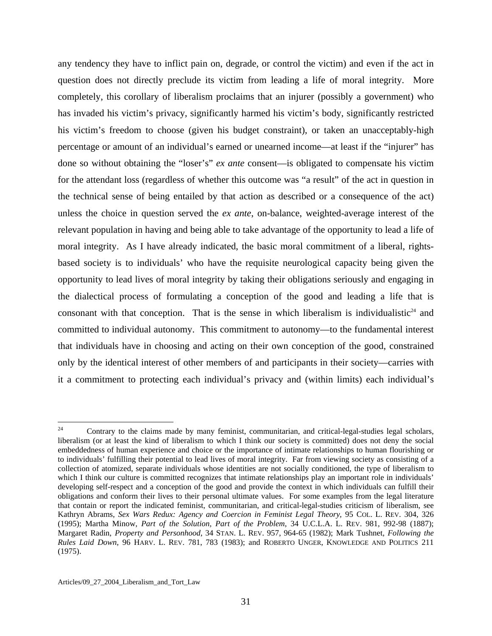any tendency they have to inflict pain on, degrade, or control the victim) and even if the act in question does not directly preclude its victim from leading a life of moral integrity. More completely, this corollary of liberalism proclaims that an injurer (possibly a government) who has invaded his victim's privacy, significantly harmed his victim's body, significantly restricted his victim's freedom to choose (given his budget constraint), or taken an unacceptably-high percentage or amount of an individual's earned or unearned income—at least if the "injurer" has done so without obtaining the "loser's" *ex ante* consent—is obligated to compensate his victim for the attendant loss (regardless of whether this outcome was "a result" of the act in question in the technical sense of being entailed by that action as described or a consequence of the act) unless the choice in question served the *ex ante*, on-balance, weighted-average interest of the relevant population in having and being able to take advantage of the opportunity to lead a life of moral integrity. As I have already indicated, the basic moral commitment of a liberal, rightsbased society is to individuals' who have the requisite neurological capacity being given the opportunity to lead lives of moral integrity by taking their obligations seriously and engaging in the dialectical process of formulating a conception of the good and leading a life that is consonant with that conception. That is the sense in which liberalism is individualistic<sup>24</sup> and committed to individual autonomy. This commitment to autonomy—to the fundamental interest that individuals have in choosing and acting on their own conception of the good, constrained only by the identical interest of other members of and participants in their society—carries with it a commitment to protecting each individual's privacy and (within limits) each individual's

<span id="page-31-0"></span> $\overline{24}$ 24 Contrary to the claims made by many feminist, communitarian, and critical-legal-studies legal scholars, liberalism (or at least the kind of liberalism to which I think our society is committed) does not deny the social embeddedness of human experience and choice or the importance of intimate relationships to human flourishing or to individuals' fulfilling their potential to lead lives of moral integrity. Far from viewing society as consisting of a collection of atomized, separate individuals whose identities are not socially conditioned, the type of liberalism to which I think our culture is committed recognizes that intimate relationships play an important role in individuals' developing self-respect and a conception of the good and provide the context in which individuals can fulfill their obligations and conform their lives to their personal ultimate values. For some examples from the legal literature that contain or report the indicated feminist, communitarian, and critical-legal-studies criticism of liberalism, see Kathryn Abrams, *Sex Wars Redux: Agency and Coercion in Feminist Legal Theory*, 95 COL. L. REV. 304, 326 (1995); Martha Minow, *Part of the Solution, Part of the Problem*, 34 U.C.L.A. L. REV. 981, 992-98 (1887); Margaret Radin, *Property and Personhood*, 34 STAN. L. REV. 957, 964-65 (1982); Mark Tushnet, *Following the Rules Laid Down*, 96 HARV. L. REV. 781, 783 (1983); and ROBERTO UNGER, KNOWLEDGE AND POLITICS 211 (1975).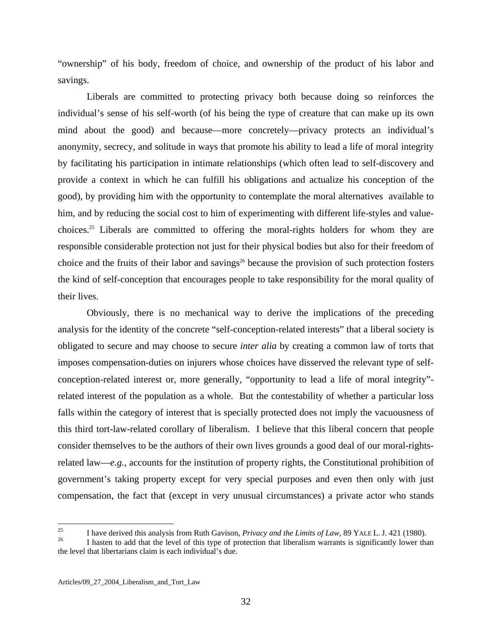"ownership" of his body, freedom of choice, and ownership of the product of his labor and savings.

 Liberals are committed to protecting privacy both because doing so reinforces the individual's sense of his self-worth (of his being the type of creature that can make up its own mind about the good) and because—more concretely—privacy protects an individual's anonymity, secrecy, and solitude in ways that promote his ability to lead a life of moral integrity by facilitating his participation in intimate relationships (which often lead to self-discovery and provide a context in which he can fulfill his obligations and actualize his conception of the good), by providing him with the opportunity to contemplate the moral alternatives available to him, and by reducing the social cost to him of experimenting with different life-styles and valuechoices[.25](#page-32-0) Liberals are committed to offering the moral-rights holders for whom they are responsible considerable protection not just for their physical bodies but also for their freedom of choice and the fruits of their labor and savings<sup>26</sup> because the provision of such protection fosters the kind of self-conception that encourages people to take responsibility for the moral quality of their lives.

 Obviously, there is no mechanical way to derive the implications of the preceding analysis for the identity of the concrete "self-conception-related interests" that a liberal society is obligated to secure and may choose to secure *inter alia* by creating a common law of torts that imposes compensation-duties on injurers whose choices have disserved the relevant type of selfconception-related interest or, more generally, "opportunity to lead a life of moral integrity" related interest of the population as a whole. But the contestability of whether a particular loss falls within the category of interest that is specially protected does not imply the vacuousness of this third tort-law-related corollary of liberalism. I believe that this liberal concern that people consider themselves to be the authors of their own lives grounds a good deal of our moral-rightsrelated law—*e.g.*, accounts for the institution of property rights, the Constitutional prohibition of government's taking property except for very special purposes and even then only with just compensation, the fact that (except in very unusual circumstances) a private actor who stands

<span id="page-32-0"></span><sup>25</sup> <sup>25</sup> I have derived this analysis from Ruth Gavison, *Privacy and the Limits of Law*, 89 YALE L. J. 421 (1980).<br><sup>26</sup> I hasten to add that the level of this type of protection that liberalism warrants is significantly lowe

<span id="page-32-1"></span>the level that libertarians claim is each individual's due.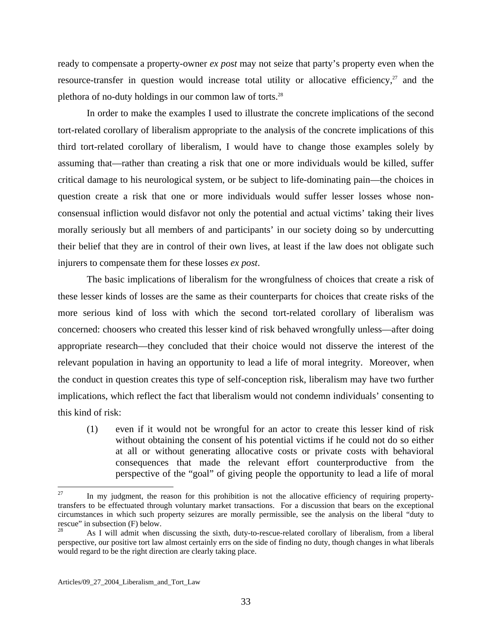ready to compensate a property-owner *ex post* may not seize that party's property even when the resource-transfer in question would increase total utility or allocative efficiency, $27$  and the plethora of no-duty holdings in our common law of torts.<sup>[28](#page-33-1)</sup>

 In order to make the examples I used to illustrate the concrete implications of the second tort-related corollary of liberalism appropriate to the analysis of the concrete implications of this third tort-related corollary of liberalism, I would have to change those examples solely by assuming that—rather than creating a risk that one or more individuals would be killed, suffer critical damage to his neurological system, or be subject to life-dominating pain—the choices in question create a risk that one or more individuals would suffer lesser losses whose nonconsensual infliction would disfavor not only the potential and actual victims' taking their lives morally seriously but all members of and participants' in our society doing so by undercutting their belief that they are in control of their own lives, at least if the law does not obligate such injurers to compensate them for these losses *ex post*.

 The basic implications of liberalism for the wrongfulness of choices that create a risk of these lesser kinds of losses are the same as their counterparts for choices that create risks of the more serious kind of loss with which the second tort-related corollary of liberalism was concerned: choosers who created this lesser kind of risk behaved wrongfully unless—after doing appropriate research—they concluded that their choice would not disserve the interest of the relevant population in having an opportunity to lead a life of moral integrity. Moreover, when the conduct in question creates this type of self-conception risk, liberalism may have two further implications, which reflect the fact that liberalism would not condemn individuals' consenting to this kind of risk:

(1) even if it would not be wrongful for an actor to create this lesser kind of risk without obtaining the consent of his potential victims if he could not do so either at all or without generating allocative costs or private costs with behavioral consequences that made the relevant effort counterproductive from the perspective of the "goal" of giving people the opportunity to lead a life of moral

<span id="page-33-0"></span><sup>27</sup> In my judgment, the reason for this prohibition is not the allocative efficiency of requiring propertytransfers to be effectuated through voluntary market transactions. For a discussion that bears on the exceptional circumstances in which such property seizures are morally permissible, see the analysis on the liberal "duty to rescue" in subsection  $(F)$  below.

<span id="page-33-1"></span><sup>28</sup> As I will admit when discussing the sixth, duty-to-rescue-related corollary of liberalism, from a liberal perspective, our positive tort law almost certainly errs on the side of finding no duty, though changes in what liberals would regard to be the right direction are clearly taking place.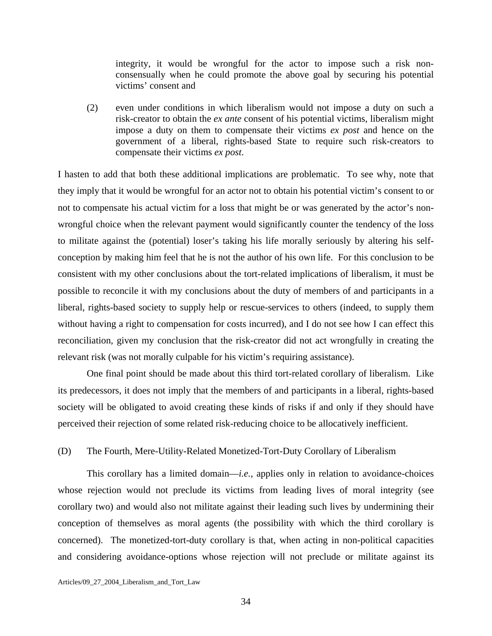integrity, it would be wrongful for the actor to impose such a risk nonconsensually when he could promote the above goal by securing his potential victims' consent and

(2) even under conditions in which liberalism would not impose a duty on such a risk-creator to obtain the *ex ante* consent of his potential victims, liberalism might impose a duty on them to compensate their victims *ex post* and hence on the government of a liberal, rights-based State to require such risk-creators to compensate their victims *ex post*.

I hasten to add that both these additional implications are problematic. To see why, note that they imply that it would be wrongful for an actor not to obtain his potential victim's consent to or not to compensate his actual victim for a loss that might be or was generated by the actor's nonwrongful choice when the relevant payment would significantly counter the tendency of the loss to militate against the (potential) loser's taking his life morally seriously by altering his selfconception by making him feel that he is not the author of his own life. For this conclusion to be consistent with my other conclusions about the tort-related implications of liberalism, it must be possible to reconcile it with my conclusions about the duty of members of and participants in a liberal, rights-based society to supply help or rescue-services to others (indeed, to supply them without having a right to compensation for costs incurred), and I do not see how I can effect this reconciliation, given my conclusion that the risk-creator did not act wrongfully in creating the relevant risk (was not morally culpable for his victim's requiring assistance).

 One final point should be made about this third tort-related corollary of liberalism. Like its predecessors, it does not imply that the members of and participants in a liberal, rights-based society will be obligated to avoid creating these kinds of risks if and only if they should have perceived their rejection of some related risk-reducing choice to be allocatively inefficient.

#### (D) The Fourth, Mere-Utility-Related Monetized-Tort-Duty Corollary of Liberalism

 This corollary has a limited domain—*i.e.*, applies only in relation to avoidance-choices whose rejection would not preclude its victims from leading lives of moral integrity (see corollary two) and would also not militate against their leading such lives by undermining their conception of themselves as moral agents (the possibility with which the third corollary is concerned). The monetized-tort-duty corollary is that, when acting in non-political capacities and considering avoidance-options whose rejection will not preclude or militate against its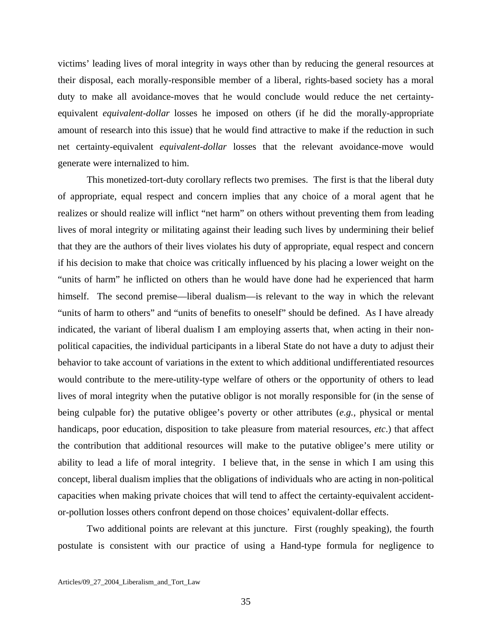victims' leading lives of moral integrity in ways other than by reducing the general resources at their disposal, each morally-responsible member of a liberal, rights-based society has a moral duty to make all avoidance-moves that he would conclude would reduce the net certaintyequivalent *equivalent-dollar* losses he imposed on others (if he did the morally-appropriate amount of research into this issue) that he would find attractive to make if the reduction in such net certainty-equivalent *equivalent-dollar* losses that the relevant avoidance-move would generate were internalized to him.

 This monetized-tort-duty corollary reflects two premises. The first is that the liberal duty of appropriate, equal respect and concern implies that any choice of a moral agent that he realizes or should realize will inflict "net harm" on others without preventing them from leading lives of moral integrity or militating against their leading such lives by undermining their belief that they are the authors of their lives violates his duty of appropriate, equal respect and concern if his decision to make that choice was critically influenced by his placing a lower weight on the "units of harm" he inflicted on others than he would have done had he experienced that harm himself. The second premise—liberal dualism—is relevant to the way in which the relevant "units of harm to others" and "units of benefits to oneself" should be defined. As I have already indicated, the variant of liberal dualism I am employing asserts that, when acting in their nonpolitical capacities, the individual participants in a liberal State do not have a duty to adjust their behavior to take account of variations in the extent to which additional undifferentiated resources would contribute to the mere-utility-type welfare of others or the opportunity of others to lead lives of moral integrity when the putative obligor is not morally responsible for (in the sense of being culpable for) the putative obligee's poverty or other attributes (*e.g.*, physical or mental handicaps, poor education, disposition to take pleasure from material resources, *etc*.) that affect the contribution that additional resources will make to the putative obligee's mere utility or ability to lead a life of moral integrity. I believe that, in the sense in which I am using this concept, liberal dualism implies that the obligations of individuals who are acting in non-political capacities when making private choices that will tend to affect the certainty-equivalent accidentor-pollution losses others confront depend on those choices' equivalent-dollar effects.

 Two additional points are relevant at this juncture. First (roughly speaking), the fourth postulate is consistent with our practice of using a Hand-type formula for negligence to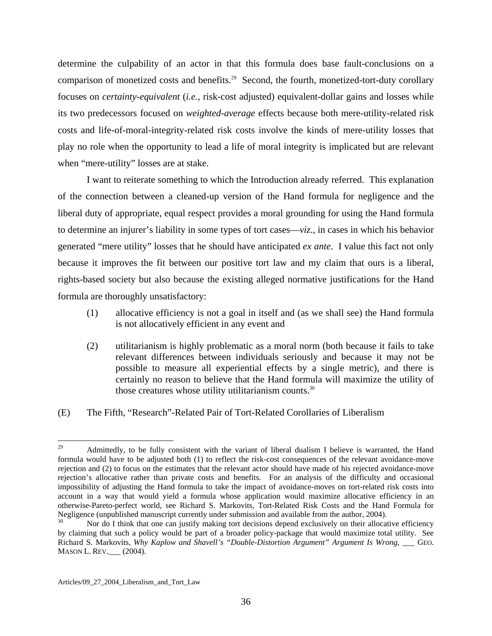determine the culpability of an actor in that this formula does base fault-conclusions on a comparison of monetized costs and benefits.<sup>29</sup> Second, the fourth, monetized-tort-duty corollary focuses on *certainty-equivalent* (*i.e.*, risk-cost adjusted) equivalent-dollar gains and losses while its two predecessors focused on *weighted-average* effects because both mere-utility-related risk costs and life-of-moral-integrity-related risk costs involve the kinds of mere-utility losses that play no role when the opportunity to lead a life of moral integrity is implicated but are relevant when "mere-utility" losses are at stake.

 I want to reiterate something to which the Introduction already referred. This explanation of the connection between a cleaned-up version of the Hand formula for negligence and the liberal duty of appropriate, equal respect provides a moral grounding for using the Hand formula to determine an injurer's liability in some types of tort cases—*viz*., in cases in which his behavior generated "mere utility" losses that he should have anticipated *ex ante*. I value this fact not only because it improves the fit between our positive tort law and my claim that ours is a liberal, rights-based society but also because the existing alleged normative justifications for the Hand formula are thoroughly unsatisfactory:

- (1) allocative efficiency is not a goal in itself and (as we shall see) the Hand formula is not allocatively efficient in any event and
- (2) utilitarianism is highly problematic as a moral norm (both because it fails to take relevant differences between individuals seriously and because it may not be possible to measure all experiential effects by a single metric), and there is certainly no reason to believe that the Hand formula will maximize the utility of those creatures whose utility utilitarianism counts.<sup>[30](#page-36-1)</sup>
- (E) The Fifth, "Research"-Related Pair of Tort-Related Corollaries of Liberalism

<span id="page-36-0"></span><sup>29</sup> Admittedly, to be fully consistent with the variant of liberal dualism I believe is warranted, the Hand formula would have to be adjusted both (1) to reflect the risk-cost consequences of the relevant avoidance-move rejection and (2) to focus on the estimates that the relevant actor should have made of his rejected avoidance-move rejection's allocative rather than private costs and benefits. For an analysis of the difficulty and occasional impossibility of adjusting the Hand formula to take the impact of avoidance-moves on tort-related risk costs into account in a way that would yield a formula whose application would maximize allocative efficiency in an otherwise-Pareto-perfect world, see Richard S. Markovits, Tort-Related Risk Costs and the Hand Formula for Negligence (unpublished manuscript currently under submission and available from the author, 2004).

<span id="page-36-1"></span>Nor do I think that one can justify making tort decisions depend exclusively on their allocative efficiency by claiming that such a policy would be part of a broader policy-package that would maximize total utility. See Richard S. Markovits, *Why Kaplow and Shavell's "Double-Distortion Argument" Argument Is Wrong*, GEO. MASON L. REV.\_\_\_ (2004).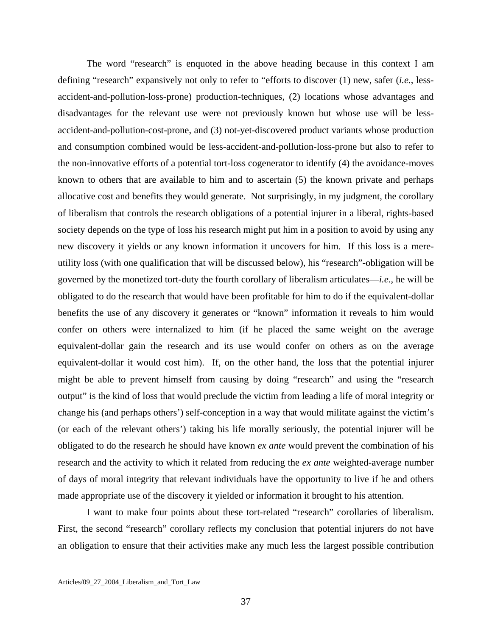The word "research" is enquoted in the above heading because in this context I am defining "research" expansively not only to refer to "efforts to discover (1) new, safer (*i.e.*, lessaccident-and-pollution-loss-prone) production-techniques, (2) locations whose advantages and disadvantages for the relevant use were not previously known but whose use will be lessaccident-and-pollution-cost-prone, and (3) not-yet-discovered product variants whose production and consumption combined would be less-accident-and-pollution-loss-prone but also to refer to the non-innovative efforts of a potential tort-loss cogenerator to identify (4) the avoidance-moves known to others that are available to him and to ascertain (5) the known private and perhaps allocative cost and benefits they would generate. Not surprisingly, in my judgment, the corollary of liberalism that controls the research obligations of a potential injurer in a liberal, rights-based society depends on the type of loss his research might put him in a position to avoid by using any new discovery it yields or any known information it uncovers for him. If this loss is a mereutility loss (with one qualification that will be discussed below), his "research"-obligation will be governed by the monetized tort-duty the fourth corollary of liberalism articulates—*i.e.*, he will be obligated to do the research that would have been profitable for him to do if the equivalent-dollar benefits the use of any discovery it generates or "known" information it reveals to him would confer on others were internalized to him (if he placed the same weight on the average equivalent-dollar gain the research and its use would confer on others as on the average equivalent-dollar it would cost him). If, on the other hand, the loss that the potential injurer might be able to prevent himself from causing by doing "research" and using the "research output" is the kind of loss that would preclude the victim from leading a life of moral integrity or change his (and perhaps others') self-conception in a way that would militate against the victim's (or each of the relevant others') taking his life morally seriously, the potential injurer will be obligated to do the research he should have known *ex ante* would prevent the combination of his research and the activity to which it related from reducing the *ex ante* weighted-average number of days of moral integrity that relevant individuals have the opportunity to live if he and others made appropriate use of the discovery it yielded or information it brought to his attention.

 I want to make four points about these tort-related "research" corollaries of liberalism. First, the second "research" corollary reflects my conclusion that potential injurers do not have an obligation to ensure that their activities make any much less the largest possible contribution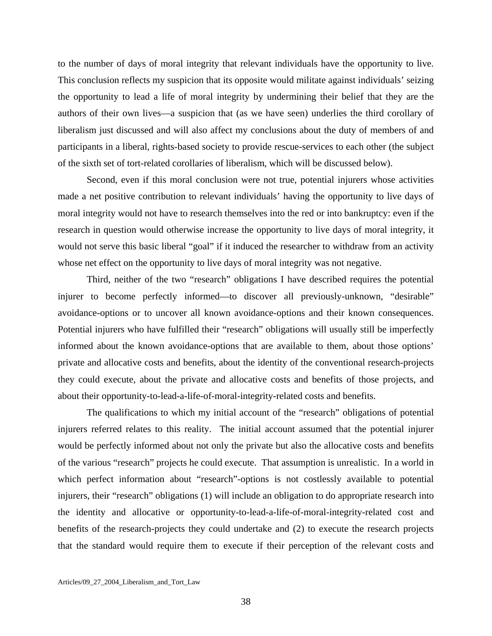to the number of days of moral integrity that relevant individuals have the opportunity to live. This conclusion reflects my suspicion that its opposite would militate against individuals' seizing the opportunity to lead a life of moral integrity by undermining their belief that they are the authors of their own lives—a suspicion that (as we have seen) underlies the third corollary of liberalism just discussed and will also affect my conclusions about the duty of members of and participants in a liberal, rights-based society to provide rescue-services to each other (the subject of the sixth set of tort-related corollaries of liberalism, which will be discussed below).

 Second, even if this moral conclusion were not true, potential injurers whose activities made a net positive contribution to relevant individuals' having the opportunity to live days of moral integrity would not have to research themselves into the red or into bankruptcy: even if the research in question would otherwise increase the opportunity to live days of moral integrity, it would not serve this basic liberal "goal" if it induced the researcher to withdraw from an activity whose net effect on the opportunity to live days of moral integrity was not negative.

 Third, neither of the two "research" obligations I have described requires the potential injurer to become perfectly informed—to discover all previously-unknown, "desirable" avoidance-options or to uncover all known avoidance-options and their known consequences. Potential injurers who have fulfilled their "research" obligations will usually still be imperfectly informed about the known avoidance-options that are available to them, about those options' private and allocative costs and benefits, about the identity of the conventional research-projects they could execute, about the private and allocative costs and benefits of those projects, and about their opportunity-to-lead-a-life-of-moral-integrity-related costs and benefits.

 The qualifications to which my initial account of the "research" obligations of potential injurers referred relates to this reality. The initial account assumed that the potential injurer would be perfectly informed about not only the private but also the allocative costs and benefits of the various "research" projects he could execute. That assumption is unrealistic. In a world in which perfect information about "research"-options is not costlessly available to potential injurers, their "research" obligations (1) will include an obligation to do appropriate research into the identity and allocative or opportunity-to-lead-a-life-of-moral-integrity-related cost and benefits of the research-projects they could undertake and (2) to execute the research projects that the standard would require them to execute if their perception of the relevant costs and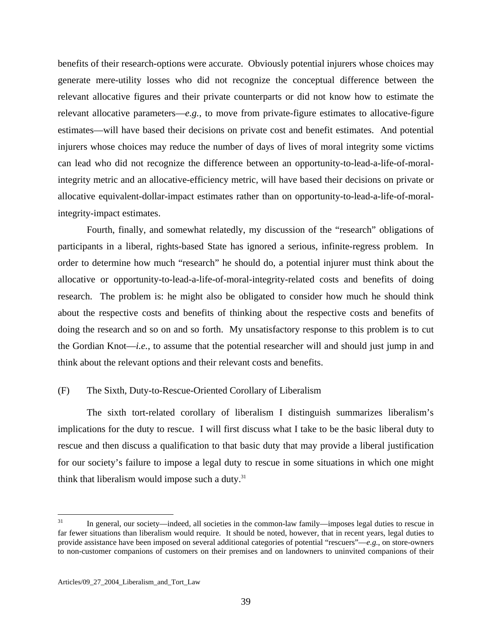benefits of their research-options were accurate. Obviously potential injurers whose choices may generate mere-utility losses who did not recognize the conceptual difference between the relevant allocative figures and their private counterparts or did not know how to estimate the relevant allocative parameters—*e.g.*, to move from private-figure estimates to allocative-figure estimates—will have based their decisions on private cost and benefit estimates. And potential injurers whose choices may reduce the number of days of lives of moral integrity some victims can lead who did not recognize the difference between an opportunity-to-lead-a-life-of-moralintegrity metric and an allocative-efficiency metric, will have based their decisions on private or allocative equivalent-dollar-impact estimates rather than on opportunity-to-lead-a-life-of-moralintegrity-impact estimates.

 Fourth, finally, and somewhat relatedly, my discussion of the "research" obligations of participants in a liberal, rights-based State has ignored a serious, infinite-regress problem. In order to determine how much "research" he should do, a potential injurer must think about the allocative or opportunity-to-lead-a-life-of-moral-integrity-related costs and benefits of doing research. The problem is: he might also be obligated to consider how much he should think about the respective costs and benefits of thinking about the respective costs and benefits of doing the research and so on and so forth. My unsatisfactory response to this problem is to cut the Gordian Knot—*i.e.*, to assume that the potential researcher will and should just jump in and think about the relevant options and their relevant costs and benefits.

#### (F) The Sixth, Duty-to-Rescue-Oriented Corollary of Liberalism

 The sixth tort-related corollary of liberalism I distinguish summarizes liberalism's implications for the duty to rescue. I will first discuss what I take to be the basic liberal duty to rescue and then discuss a qualification to that basic duty that may provide a liberal justification for our society's failure to impose a legal duty to rescue in some situations in which one might think that liberalism would impose such a duty. $31$ 

<span id="page-39-0"></span><sup>31</sup> In general, our society—indeed, all societies in the common-law family—imposes legal duties to rescue in far fewer situations than liberalism would require. It should be noted, however, that in recent years, legal duties to provide assistance have been imposed on several additional categories of potential "rescuers"—*e.g.*, on store-owners to non-customer companions of customers on their premises and on landowners to uninvited companions of their

Articles/09\_27\_2004\_Liberalism\_and\_Tort\_Law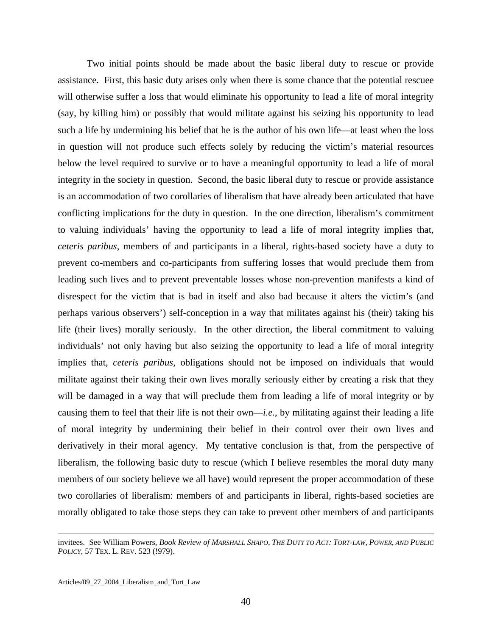Two initial points should be made about the basic liberal duty to rescue or provide assistance. First, this basic duty arises only when there is some chance that the potential rescuee will otherwise suffer a loss that would eliminate his opportunity to lead a life of moral integrity (say, by killing him) or possibly that would militate against his seizing his opportunity to lead such a life by undermining his belief that he is the author of his own life—at least when the loss in question will not produce such effects solely by reducing the victim's material resources below the level required to survive or to have a meaningful opportunity to lead a life of moral integrity in the society in question. Second, the basic liberal duty to rescue or provide assistance is an accommodation of two corollaries of liberalism that have already been articulated that have conflicting implications for the duty in question. In the one direction, liberalism's commitment to valuing individuals' having the opportunity to lead a life of moral integrity implies that, *ceteris paribus*, members of and participants in a liberal, rights-based society have a duty to prevent co-members and co-participants from suffering losses that would preclude them from leading such lives and to prevent preventable losses whose non-prevention manifests a kind of disrespect for the victim that is bad in itself and also bad because it alters the victim's (and perhaps various observers') self-conception in a way that militates against his (their) taking his life (their lives) morally seriously. In the other direction, the liberal commitment to valuing individuals' not only having but also seizing the opportunity to lead a life of moral integrity implies that, *ceteris paribus*, obligations should not be imposed on individuals that would militate against their taking their own lives morally seriously either by creating a risk that they will be damaged in a way that will preclude them from leading a life of moral integrity or by causing them to feel that their life is not their own—*i.e.*, by militating against their leading a life of moral integrity by undermining their belief in their control over their own lives and derivatively in their moral agency. My tentative conclusion is that, from the perspective of liberalism, the following basic duty to rescue (which I believe resembles the moral duty many members of our society believe we all have) would represent the proper accommodation of these two corollaries of liberalism: members of and participants in liberal, rights-based societies are morally obligated to take those steps they can take to prevent other members of and participants

 $\overline{a}$ 

invitees. See William Powers, *Book Review of MARSHALL SHAPO, THE DUTY TO ACT: TORT-LAW, POWER, AND PUBLIC POLICY*, 57 TEX. L. REV. 523 (!979).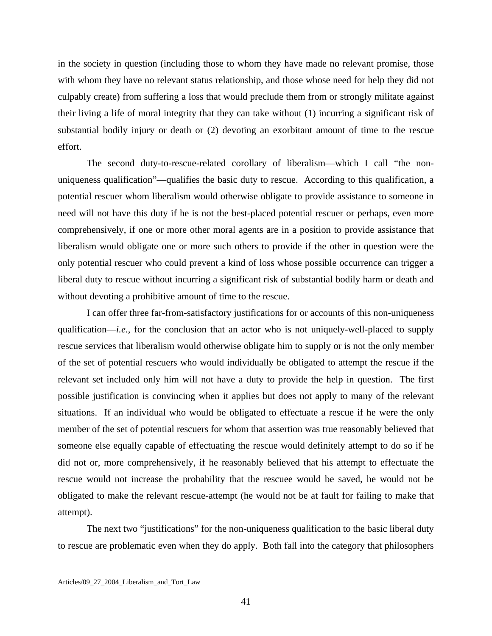in the society in question (including those to whom they have made no relevant promise, those with whom they have no relevant status relationship, and those whose need for help they did not culpably create) from suffering a loss that would preclude them from or strongly militate against their living a life of moral integrity that they can take without (1) incurring a significant risk of substantial bodily injury or death or (2) devoting an exorbitant amount of time to the rescue effort.

 The second duty-to-rescue-related corollary of liberalism—which I call "the nonuniqueness qualification"—qualifies the basic duty to rescue. According to this qualification, a potential rescuer whom liberalism would otherwise obligate to provide assistance to someone in need will not have this duty if he is not the best-placed potential rescuer or perhaps, even more comprehensively, if one or more other moral agents are in a position to provide assistance that liberalism would obligate one or more such others to provide if the other in question were the only potential rescuer who could prevent a kind of loss whose possible occurrence can trigger a liberal duty to rescue without incurring a significant risk of substantial bodily harm or death and without devoting a prohibitive amount of time to the rescue.

 I can offer three far-from-satisfactory justifications for or accounts of this non-uniqueness qualification—*i.e.*, for the conclusion that an actor who is not uniquely-well-placed to supply rescue services that liberalism would otherwise obligate him to supply or is not the only member of the set of potential rescuers who would individually be obligated to attempt the rescue if the relevant set included only him will not have a duty to provide the help in question. The first possible justification is convincing when it applies but does not apply to many of the relevant situations. If an individual who would be obligated to effectuate a rescue if he were the only member of the set of potential rescuers for whom that assertion was true reasonably believed that someone else equally capable of effectuating the rescue would definitely attempt to do so if he did not or, more comprehensively, if he reasonably believed that his attempt to effectuate the rescue would not increase the probability that the rescuee would be saved, he would not be obligated to make the relevant rescue-attempt (he would not be at fault for failing to make that attempt).

 The next two "justifications" for the non-uniqueness qualification to the basic liberal duty to rescue are problematic even when they do apply. Both fall into the category that philosophers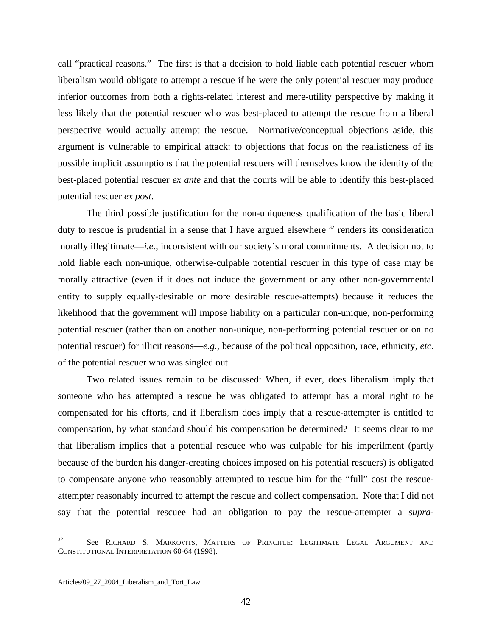call "practical reasons." The first is that a decision to hold liable each potential rescuer whom liberalism would obligate to attempt a rescue if he were the only potential rescuer may produce inferior outcomes from both a rights-related interest and mere-utility perspective by making it less likely that the potential rescuer who was best-placed to attempt the rescue from a liberal perspective would actually attempt the rescue. Normative/conceptual objections aside, this argument is vulnerable to empirical attack: to objections that focus on the realisticness of its possible implicit assumptions that the potential rescuers will themselves know the identity of the best-placed potential rescuer *ex ante* and that the courts will be able to identify this best-placed potential rescuer *ex post*.

 The third possible justification for the non-uniqueness qualification of the basic liberal duty to rescue is prudential in a sense that I have argued elsewhere  $32$  renders its consideration morally illegitimate—*i.e.*, inconsistent with our society's moral commitments. A decision not to hold liable each non-unique, otherwise-culpable potential rescuer in this type of case may be morally attractive (even if it does not induce the government or any other non-governmental entity to supply equally-desirable or more desirable rescue-attempts) because it reduces the likelihood that the government will impose liability on a particular non-unique, non-performing potential rescuer (rather than on another non-unique, non-performing potential rescuer or on no potential rescuer) for illicit reasons—*e.g.*, because of the political opposition, race, ethnicity, *etc*. of the potential rescuer who was singled out.

 Two related issues remain to be discussed: When, if ever, does liberalism imply that someone who has attempted a rescue he was obligated to attempt has a moral right to be compensated for his efforts, and if liberalism does imply that a rescue-attempter is entitled to compensation, by what standard should his compensation be determined? It seems clear to me that liberalism implies that a potential rescuee who was culpable for his imperilment (partly because of the burden his danger-creating choices imposed on his potential rescuers) is obligated to compensate anyone who reasonably attempted to rescue him for the "full" cost the rescueattempter reasonably incurred to attempt the rescue and collect compensation. Note that I did not say that the potential rescuee had an obligation to pay the rescue-attempter a *supra*-

 $\overline{a}$ 

<span id="page-42-0"></span> $32$  See RICHARD S. MARKOVITS, MATTERS OF PRINCIPLE: LEGITIMATE LEGAL ARGUMENT AND CONSTITUTIONAL INTERPRETATION 60-64 (1998).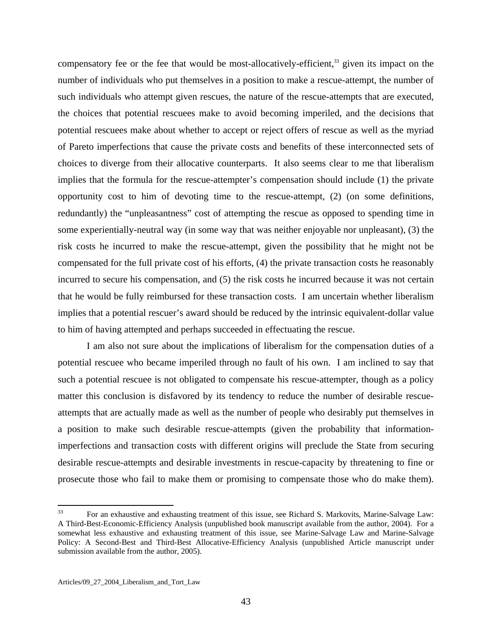compensatory fee or the fee that would be most-allocatively-efficient,<sup>33</sup> given its impact on the number of individuals who put themselves in a position to make a rescue-attempt, the number of such individuals who attempt given rescues, the nature of the rescue-attempts that are executed, the choices that potential rescuees make to avoid becoming imperiled, and the decisions that potential rescuees make about whether to accept or reject offers of rescue as well as the myriad of Pareto imperfections that cause the private costs and benefits of these interconnected sets of choices to diverge from their allocative counterparts. It also seems clear to me that liberalism implies that the formula for the rescue-attempter's compensation should include (1) the private opportunity cost to him of devoting time to the rescue-attempt, (2) (on some definitions, redundantly) the "unpleasantness" cost of attempting the rescue as opposed to spending time in some experientially-neutral way (in some way that was neither enjoyable nor unpleasant), (3) the risk costs he incurred to make the rescue-attempt, given the possibility that he might not be compensated for the full private cost of his efforts, (4) the private transaction costs he reasonably incurred to secure his compensation, and (5) the risk costs he incurred because it was not certain that he would be fully reimbursed for these transaction costs. I am uncertain whether liberalism implies that a potential rescuer's award should be reduced by the intrinsic equivalent-dollar value to him of having attempted and perhaps succeeded in effectuating the rescue.

 I am also not sure about the implications of liberalism for the compensation duties of a potential rescuee who became imperiled through no fault of his own. I am inclined to say that such a potential rescuee is not obligated to compensate his rescue-attempter, though as a policy matter this conclusion is disfavored by its tendency to reduce the number of desirable rescueattempts that are actually made as well as the number of people who desirably put themselves in a position to make such desirable rescue-attempts (given the probability that informationimperfections and transaction costs with different origins will preclude the State from securing desirable rescue-attempts and desirable investments in rescue-capacity by threatening to fine or prosecute those who fail to make them or promising to compensate those who do make them).

<span id="page-43-0"></span> $33$ 33 For an exhaustive and exhausting treatment of this issue, see Richard S. Markovits, Marine-Salvage Law: A Third-Best-Economic-Efficiency Analysis (unpublished book manuscript available from the author, 2004). For a somewhat less exhaustive and exhausting treatment of this issue, see Marine-Salvage Law and Marine-Salvage Policy: A Second-Best and Third-Best Allocative-Efficiency Analysis (unpublished Article manuscript under submission available from the author, 2005).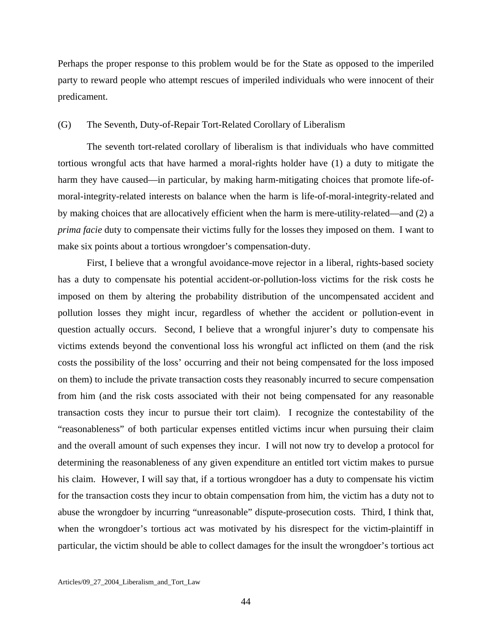Perhaps the proper response to this problem would be for the State as opposed to the imperiled party to reward people who attempt rescues of imperiled individuals who were innocent of their predicament.

#### (G) The Seventh, Duty-of-Repair Tort-Related Corollary of Liberalism

 The seventh tort-related corollary of liberalism is that individuals who have committed tortious wrongful acts that have harmed a moral-rights holder have (1) a duty to mitigate the harm they have caused—in particular, by making harm-mitigating choices that promote life-ofmoral-integrity-related interests on balance when the harm is life-of-moral-integrity-related and by making choices that are allocatively efficient when the harm is mere-utility-related—and (2) a *prima facie* duty to compensate their victims fully for the losses they imposed on them. I want to make six points about a tortious wrongdoer's compensation-duty.

 First, I believe that a wrongful avoidance-move rejector in a liberal, rights-based society has a duty to compensate his potential accident-or-pollution-loss victims for the risk costs he imposed on them by altering the probability distribution of the uncompensated accident and pollution losses they might incur, regardless of whether the accident or pollution-event in question actually occurs. Second, I believe that a wrongful injurer's duty to compensate his victims extends beyond the conventional loss his wrongful act inflicted on them (and the risk costs the possibility of the loss' occurring and their not being compensated for the loss imposed on them) to include the private transaction costs they reasonably incurred to secure compensation from him (and the risk costs associated with their not being compensated for any reasonable transaction costs they incur to pursue their tort claim). I recognize the contestability of the "reasonableness" of both particular expenses entitled victims incur when pursuing their claim and the overall amount of such expenses they incur. I will not now try to develop a protocol for determining the reasonableness of any given expenditure an entitled tort victim makes to pursue his claim. However, I will say that, if a tortious wrongdoer has a duty to compensate his victim for the transaction costs they incur to obtain compensation from him, the victim has a duty not to abuse the wrongdoer by incurring "unreasonable" dispute-prosecution costs. Third, I think that, when the wrongdoer's tortious act was motivated by his disrespect for the victim-plaintiff in particular, the victim should be able to collect damages for the insult the wrongdoer's tortious act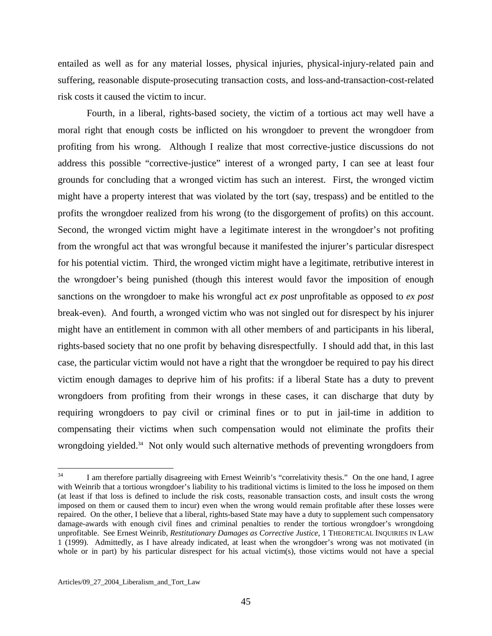entailed as well as for any material losses, physical injuries, physical-injury-related pain and suffering, reasonable dispute-prosecuting transaction costs, and loss-and-transaction-cost-related risk costs it caused the victim to incur.

 Fourth, in a liberal, rights-based society, the victim of a tortious act may well have a moral right that enough costs be inflicted on his wrongdoer to prevent the wrongdoer from profiting from his wrong. Although I realize that most corrective-justice discussions do not address this possible "corrective-justice" interest of a wronged party, I can see at least four grounds for concluding that a wronged victim has such an interest. First, the wronged victim might have a property interest that was violated by the tort (say, trespass) and be entitled to the profits the wrongdoer realized from his wrong (to the disgorgement of profits) on this account. Second, the wronged victim might have a legitimate interest in the wrongdoer's not profiting from the wrongful act that was wrongful because it manifested the injurer's particular disrespect for his potential victim. Third, the wronged victim might have a legitimate, retributive interest in the wrongdoer's being punished (though this interest would favor the imposition of enough sanctions on the wrongdoer to make his wrongful act *ex post* unprofitable as opposed to *ex post* break-even). And fourth, a wronged victim who was not singled out for disrespect by his injurer might have an entitlement in common with all other members of and participants in his liberal, rights-based society that no one profit by behaving disrespectfully. I should add that, in this last case, the particular victim would not have a right that the wrongdoer be required to pay his direct victim enough damages to deprive him of his profits: if a liberal State has a duty to prevent wrongdoers from profiting from their wrongs in these cases, it can discharge that duty by requiring wrongdoers to pay civil or criminal fines or to put in jail-time in addition to compensating their victims when such compensation would not eliminate the profits their wrongdoing yielded.<sup>34</sup> Not only would such alternative methods of preventing wrongdoers from

<span id="page-45-0"></span> $34$ I am therefore partially disagreeing with Ernest Weinrib's "correlativity thesis." On the one hand, I agree with Weinrib that a tortious wrongdoer's liability to his traditional victims is limited to the loss he imposed on them (at least if that loss is defined to include the risk costs, reasonable transaction costs, and insult costs the wrong imposed on them or caused them to incur) even when the wrong would remain profitable after these losses were repaired. On the other, I believe that a liberal, rights-based State may have a duty to supplement such compensatory damage-awards with enough civil fines and criminal penalties to render the tortious wrongdoer's wrongdoing unprofitable. See Ernest Weinrib, *Restitutionary Damages as Corrective Justice*, 1 THEORETICAL INQUIRIES IN LAW 1 (1999). Admittedly, as I have already indicated, at least when the wrongdoer's wrong was not motivated (in whole or in part) by his particular disrespect for his actual victim(s), those victims would not have a special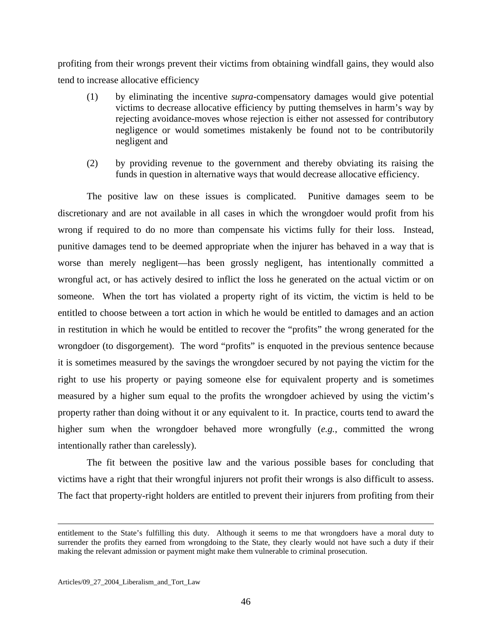profiting from their wrongs prevent their victims from obtaining windfall gains, they would also tend to increase allocative efficiency

- (1) by eliminating the incentive *supra*-compensatory damages would give potential victims to decrease allocative efficiency by putting themselves in harm's way by rejecting avoidance-moves whose rejection is either not assessed for contributory negligence or would sometimes mistakenly be found not to be contributorily negligent and
- (2) by providing revenue to the government and thereby obviating its raising the funds in question in alternative ways that would decrease allocative efficiency.

 The positive law on these issues is complicated. Punitive damages seem to be discretionary and are not available in all cases in which the wrongdoer would profit from his wrong if required to do no more than compensate his victims fully for their loss. Instead, punitive damages tend to be deemed appropriate when the injurer has behaved in a way that is worse than merely negligent—has been grossly negligent, has intentionally committed a wrongful act, or has actively desired to inflict the loss he generated on the actual victim or on someone. When the tort has violated a property right of its victim, the victim is held to be entitled to choose between a tort action in which he would be entitled to damages and an action in restitution in which he would be entitled to recover the "profits" the wrong generated for the wrongdoer (to disgorgement). The word "profits" is enquoted in the previous sentence because it is sometimes measured by the savings the wrongdoer secured by not paying the victim for the right to use his property or paying someone else for equivalent property and is sometimes measured by a higher sum equal to the profits the wrongdoer achieved by using the victim's property rather than doing without it or any equivalent to it. In practice, courts tend to award the higher sum when the wrongdoer behaved more wrongfully (*e.g.*, committed the wrong intentionally rather than carelessly).

 The fit between the positive law and the various possible bases for concluding that victims have a right that their wrongful injurers not profit their wrongs is also difficult to assess. The fact that property-right holders are entitled to prevent their injurers from profiting from their

Articles/09\_27\_2004\_Liberalism\_and\_Tort\_Law

 $\overline{a}$ 

entitlement to the State's fulfilling this duty. Although it seems to me that wrongdoers have a moral duty to surrender the profits they earned from wrongdoing to the State, they clearly would not have such a duty if their making the relevant admission or payment might make them vulnerable to criminal prosecution.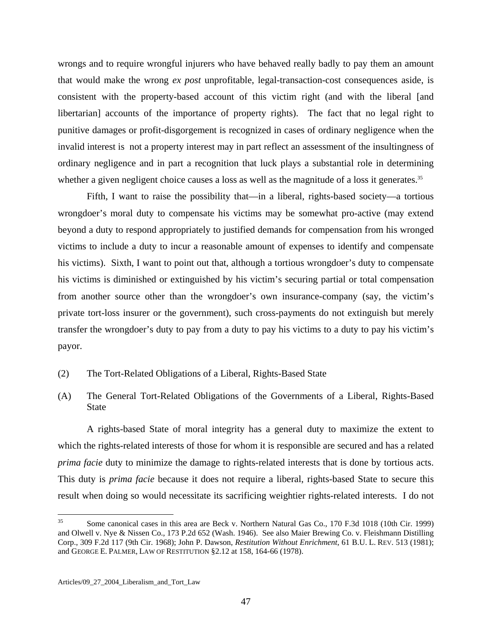wrongs and to require wrongful injurers who have behaved really badly to pay them an amount that would make the wrong *ex post* unprofitable, legal-transaction-cost consequences aside, is consistent with the property-based account of this victim right (and with the liberal [and libertarian] accounts of the importance of property rights). The fact that no legal right to punitive damages or profit-disgorgement is recognized in cases of ordinary negligence when the invalid interest is not a property interest may in part reflect an assessment of the insultingness of ordinary negligence and in part a recognition that luck plays a substantial role in determining whether a given negligent choice causes a loss as well as the magnitude of a loss it generates.<sup>[35](#page-47-0)</sup>

 Fifth, I want to raise the possibility that—in a liberal, rights-based society—a tortious wrongdoer's moral duty to compensate his victims may be somewhat pro-active (may extend beyond a duty to respond appropriately to justified demands for compensation from his wronged victims to include a duty to incur a reasonable amount of expenses to identify and compensate his victims). Sixth, I want to point out that, although a tortious wrongdoer's duty to compensate his victims is diminished or extinguished by his victim's securing partial or total compensation from another source other than the wrongdoer's own insurance-company (say, the victim's private tort-loss insurer or the government), such cross-payments do not extinguish but merely transfer the wrongdoer's duty to pay from a duty to pay his victims to a duty to pay his victim's payor.

- (2) The Tort-Related Obligations of a Liberal, Rights-Based State
- (A) The General Tort-Related Obligations of the Governments of a Liberal, Rights-Based State

 A rights-based State of moral integrity has a general duty to maximize the extent to which the rights-related interests of those for whom it is responsible are secured and has a related *prima facie* duty to minimize the damage to rights-related interests that is done by tortious acts. This duty is *prima facie* because it does not require a liberal, rights-based State to secure this result when doing so would necessitate its sacrificing weightier rights-related interests. I do not

<span id="page-47-0"></span> $35$ Some canonical cases in this area are Beck v. Northern Natural Gas Co., 170 F.3d 1018 (10th Cir. 1999) and Olwell v. Nye & Nissen Co., 173 P.2d 652 (Wash. 1946). See also Maier Brewing Co. v. Fleishmann Distilling Corp., 309 F.2d 117 (9th Cir. 1968); John P. Dawson, *Restitution Without Enrichment*, 61 B.U. L. REV. 513 (1981); and GEORGE E. PALMER, LAW OF RESTITUTION §2.12 at 158, 164-66 (1978).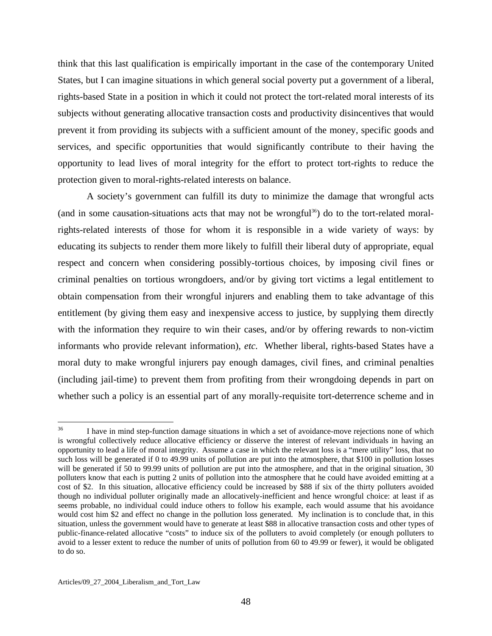think that this last qualification is empirically important in the case of the contemporary United States, but I can imagine situations in which general social poverty put a government of a liberal, rights-based State in a position in which it could not protect the tort-related moral interests of its subjects without generating allocative transaction costs and productivity disincentives that would prevent it from providing its subjects with a sufficient amount of the money, specific goods and services, and specific opportunities that would significantly contribute to their having the opportunity to lead lives of moral integrity for the effort to protect tort-rights to reduce the protection given to moral-rights-related interests on balance.

 A society's government can fulfill its duty to minimize the damage that wrongful acts (and in some causation-situations acts that may not be wrongful<sup>36</sup>) do to the tort-related moralrights-related interests of those for whom it is responsible in a wide variety of ways: by educating its subjects to render them more likely to fulfill their liberal duty of appropriate, equal respect and concern when considering possibly-tortious choices, by imposing civil fines or criminal penalties on tortious wrongdoers, and/or by giving tort victims a legal entitlement to obtain compensation from their wrongful injurers and enabling them to take advantage of this entitlement (by giving them easy and inexpensive access to justice, by supplying them directly with the information they require to win their cases, and/or by offering rewards to non-victim informants who provide relevant information), *etc.* Whether liberal, rights-based States have a moral duty to make wrongful injurers pay enough damages, civil fines, and criminal penalties (including jail-time) to prevent them from profiting from their wrongdoing depends in part on whether such a policy is an essential part of any morally-requisite tort-deterrence scheme and in

<span id="page-48-0"></span><sup>36</sup> I have in mind step-function damage situations in which a set of avoidance-move rejections none of which is wrongful collectively reduce allocative efficiency or disserve the interest of relevant individuals in having an opportunity to lead a life of moral integrity. Assume a case in which the relevant loss is a "mere utility" loss, that no such loss will be generated if 0 to 49.99 units of pollution are put into the atmosphere, that \$100 in pollution losses will be generated if 50 to 99.99 units of pollution are put into the atmosphere, and that in the original situation, 30 polluters know that each is putting 2 units of pollution into the atmosphere that he could have avoided emitting at a cost of \$2. In this situation, allocative efficiency could be increased by \$88 if six of the thirty polluters avoided though no individual polluter originally made an allocatively-inefficient and hence wrongful choice: at least if as seems probable, no individual could induce others to follow his example, each would assume that his avoidance would cost him \$2 and effect no change in the pollution loss generated. My inclination is to conclude that, in this situation, unless the government would have to generate at least \$88 in allocative transaction costs and other types of public-finance-related allocative "costs" to induce six of the polluters to avoid completely (or enough polluters to avoid to a lesser extent to reduce the number of units of pollution from 60 to 49.99 or fewer), it would be obligated to do so.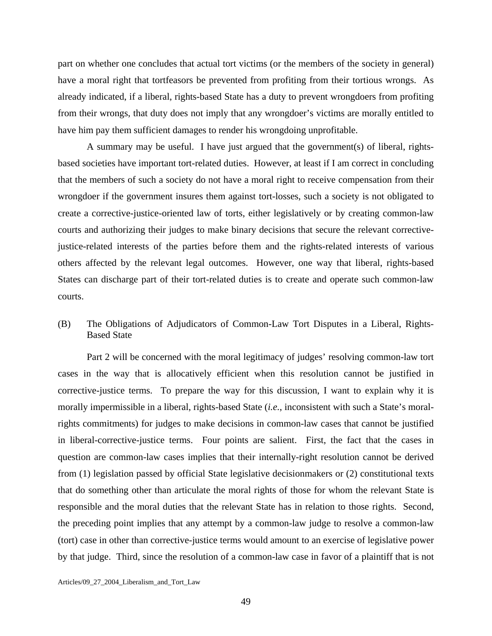part on whether one concludes that actual tort victims (or the members of the society in general) have a moral right that tortfeasors be prevented from profiting from their tortious wrongs. As already indicated, if a liberal, rights-based State has a duty to prevent wrongdoers from profiting from their wrongs, that duty does not imply that any wrongdoer's victims are morally entitled to have him pay them sufficient damages to render his wrongdoing unprofitable.

 A summary may be useful. I have just argued that the government(s) of liberal, rightsbased societies have important tort-related duties. However, at least if I am correct in concluding that the members of such a society do not have a moral right to receive compensation from their wrongdoer if the government insures them against tort-losses, such a society is not obligated to create a corrective-justice-oriented law of torts, either legislatively or by creating common-law courts and authorizing their judges to make binary decisions that secure the relevant correctivejustice-related interests of the parties before them and the rights-related interests of various others affected by the relevant legal outcomes. However, one way that liberal, rights-based States can discharge part of their tort-related duties is to create and operate such common-law courts.

## (B) The Obligations of Adjudicators of Common-Law Tort Disputes in a Liberal, Rights-Based State

 Part 2 will be concerned with the moral legitimacy of judges' resolving common-law tort cases in the way that is allocatively efficient when this resolution cannot be justified in corrective-justice terms. To prepare the way for this discussion, I want to explain why it is morally impermissible in a liberal, rights-based State (*i.e.*, inconsistent with such a State's moralrights commitments) for judges to make decisions in common-law cases that cannot be justified in liberal-corrective-justice terms. Four points are salient. First, the fact that the cases in question are common-law cases implies that their internally-right resolution cannot be derived from (1) legislation passed by official State legislative decisionmakers or (2) constitutional texts that do something other than articulate the moral rights of those for whom the relevant State is responsible and the moral duties that the relevant State has in relation to those rights. Second, the preceding point implies that any attempt by a common-law judge to resolve a common-law (tort) case in other than corrective-justice terms would amount to an exercise of legislative power by that judge. Third, since the resolution of a common-law case in favor of a plaintiff that is not

Articles/09\_27\_2004\_Liberalism\_and\_Tort\_Law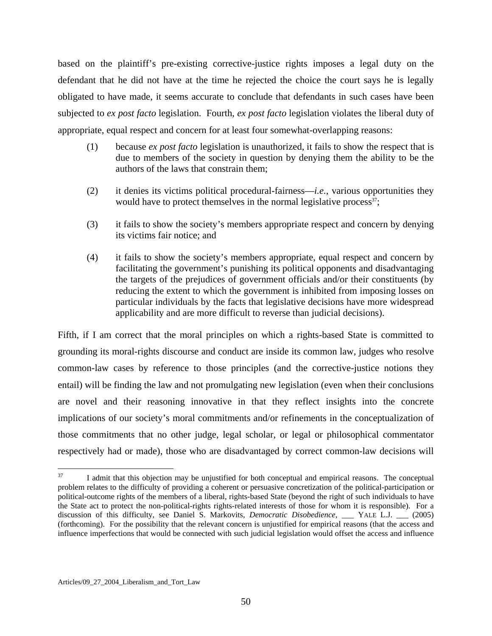based on the plaintiff's pre-existing corrective-justice rights imposes a legal duty on the defendant that he did not have at the time he rejected the choice the court says he is legally obligated to have made, it seems accurate to conclude that defendants in such cases have been subjected to *ex post facto* legislation. Fourth, *ex post facto* legislation violates the liberal duty of appropriate, equal respect and concern for at least four somewhat-overlapping reasons:

- (1) because *ex post facto* legislation is unauthorized, it fails to show the respect that is due to members of the society in question by denying them the ability to be the authors of the laws that constrain them;
- (2) it denies its victims political procedural-fairness—*i.e.*, various opportunities they would have to protect themselves in the normal legislative process<sup>37</sup>;
- (3) it fails to show the society's members appropriate respect and concern by denying its victims fair notice; and
- (4) it fails to show the society's members appropriate, equal respect and concern by facilitating the government's punishing its political opponents and disadvantaging the targets of the prejudices of government officials and/or their constituents (by reducing the extent to which the government is inhibited from imposing losses on particular individuals by the facts that legislative decisions have more widespread applicability and are more difficult to reverse than judicial decisions).

Fifth, if I am correct that the moral principles on which a rights-based State is committed to grounding its moral-rights discourse and conduct are inside its common law, judges who resolve common-law cases by reference to those principles (and the corrective-justice notions they entail) will be finding the law and not promulgating new legislation (even when their conclusions are novel and their reasoning innovative in that they reflect insights into the concrete implications of our society's moral commitments and/or refinements in the conceptualization of those commitments that no other judge, legal scholar, or legal or philosophical commentator respectively had or made), those who are disadvantaged by correct common-law decisions will

<span id="page-50-0"></span><sup>37</sup> I admit that this objection may be unjustified for both conceptual and empirical reasons. The conceptual problem relates to the difficulty of providing a coherent or persuasive concretization of the political-participation or political-outcome rights of the members of a liberal, rights-based State (beyond the right of such individuals to have the State act to protect the non-political-rights rights-related interests of those for whom it is responsible). For a discussion of this difficulty, see Daniel S. Markovits, *Democratic Disobedience*, \_\_\_ YALE L.J. \_\_\_ (2005) (forthcoming). For the possibility that the relevant concern is unjustified for empirical reasons (that the access and influence imperfections that would be connected with such judicial legislation would offset the access and influence

Articles/09\_27\_2004\_Liberalism\_and\_Tort\_Law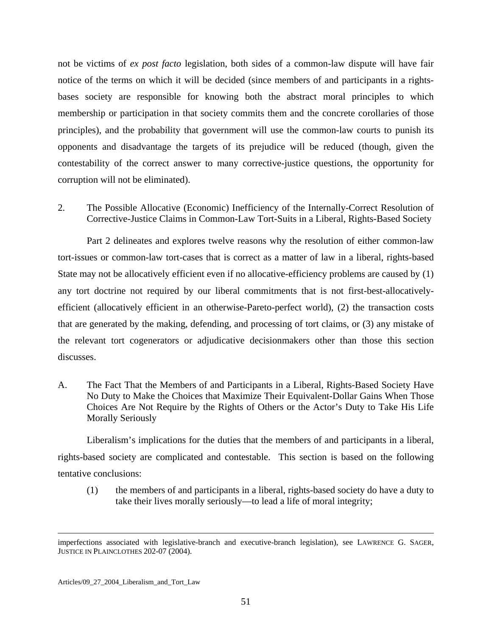not be victims of *ex post facto* legislation, both sides of a common-law dispute will have fair notice of the terms on which it will be decided (since members of and participants in a rightsbases society are responsible for knowing both the abstract moral principles to which membership or participation in that society commits them and the concrete corollaries of those principles), and the probability that government will use the common-law courts to punish its opponents and disadvantage the targets of its prejudice will be reduced (though, given the contestability of the correct answer to many corrective-justice questions, the opportunity for corruption will not be eliminated).

2. The Possible Allocative (Economic) Inefficiency of the Internally-Correct Resolution of Corrective-Justice Claims in Common-Law Tort-Suits in a Liberal, Rights-Based Society

 Part 2 delineates and explores twelve reasons why the resolution of either common-law tort-issues or common-law tort-cases that is correct as a matter of law in a liberal, rights-based State may not be allocatively efficient even if no allocative-efficiency problems are caused by (1) any tort doctrine not required by our liberal commitments that is not first-best-allocativelyefficient (allocatively efficient in an otherwise-Pareto-perfect world), (2) the transaction costs that are generated by the making, defending, and processing of tort claims, or (3) any mistake of the relevant tort cogenerators or adjudicative decisionmakers other than those this section discusses.

A. The Fact That the Members of and Participants in a Liberal, Rights-Based Society Have No Duty to Make the Choices that Maximize Their Equivalent-Dollar Gains When Those Choices Are Not Require by the Rights of Others or the Actor's Duty to Take His Life Morally Seriously

 Liberalism's implications for the duties that the members of and participants in a liberal, rights-based society are complicated and contestable. This section is based on the following tentative conclusions:

(1) the members of and participants in a liberal, rights-based society do have a duty to take their lives morally seriously—to lead a life of moral integrity;

<u>.</u>

imperfections associated with legislative-branch and executive-branch legislation), see LAWRENCE G. SAGER, JUSTICE IN PLAINCLOTHES 202-07 (2004).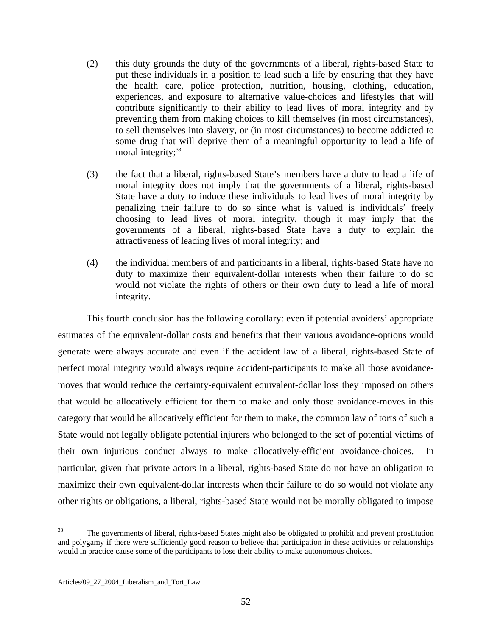- (2) this duty grounds the duty of the governments of a liberal, rights-based State to put these individuals in a position to lead such a life by ensuring that they have the health care, police protection, nutrition, housing, clothing, education, experiences, and exposure to alternative value-choices and lifestyles that will contribute significantly to their ability to lead lives of moral integrity and by preventing them from making choices to kill themselves (in most circumstances), to sell themselves into slavery, or (in most circumstances) to become addicted to some drug that will deprive them of a meaningful opportunity to lead a life of moral integrity;<sup>38</sup>
- (3) the fact that a liberal, rights-based State's members have a duty to lead a life of moral integrity does not imply that the governments of a liberal, rights-based State have a duty to induce these individuals to lead lives of moral integrity by penalizing their failure to do so since what is valued is individuals' freely choosing to lead lives of moral integrity, though it may imply that the governments of a liberal, rights-based State have a duty to explain the attractiveness of leading lives of moral integrity; and
- (4) the individual members of and participants in a liberal, rights-based State have no duty to maximize their equivalent-dollar interests when their failure to do so would not violate the rights of others or their own duty to lead a life of moral integrity.

 This fourth conclusion has the following corollary: even if potential avoiders' appropriate estimates of the equivalent-dollar costs and benefits that their various avoidance-options would generate were always accurate and even if the accident law of a liberal, rights-based State of perfect moral integrity would always require accident-participants to make all those avoidancemoves that would reduce the certainty-equivalent equivalent-dollar loss they imposed on others that would be allocatively efficient for them to make and only those avoidance-moves in this category that would be allocatively efficient for them to make, the common law of torts of such a State would not legally obligate potential injurers who belonged to the set of potential victims of their own injurious conduct always to make allocatively-efficient avoidance-choices. In particular, given that private actors in a liberal, rights-based State do not have an obligation to maximize their own equivalent-dollar interests when their failure to do so would not violate any other rights or obligations, a liberal, rights-based State would not be morally obligated to impose

<span id="page-52-0"></span> $38$ 38 The governments of liberal, rights-based States might also be obligated to prohibit and prevent prostitution and polygamy if there were sufficiently good reason to believe that participation in these activities or relationships would in practice cause some of the participants to lose their ability to make autonomous choices.

Articles/09\_27\_2004\_Liberalism\_and\_Tort\_Law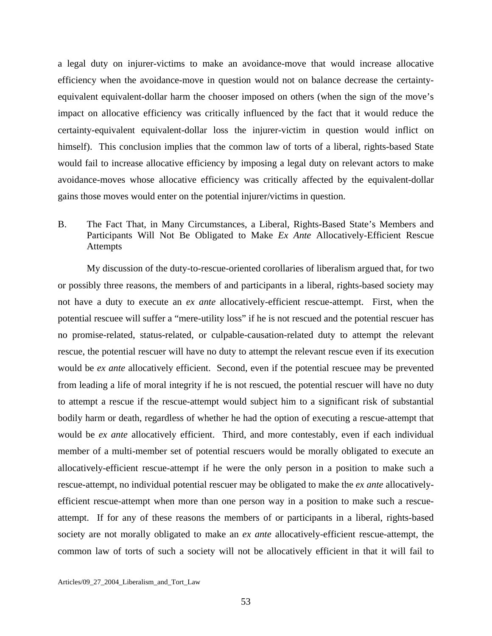a legal duty on injurer-victims to make an avoidance-move that would increase allocative efficiency when the avoidance-move in question would not on balance decrease the certaintyequivalent equivalent-dollar harm the chooser imposed on others (when the sign of the move's impact on allocative efficiency was critically influenced by the fact that it would reduce the certainty-equivalent equivalent-dollar loss the injurer-victim in question would inflict on himself). This conclusion implies that the common law of torts of a liberal, rights-based State would fail to increase allocative efficiency by imposing a legal duty on relevant actors to make avoidance-moves whose allocative efficiency was critically affected by the equivalent-dollar gains those moves would enter on the potential injurer/victims in question.

## B. The Fact That, in Many Circumstances, a Liberal, Rights-Based State's Members and Participants Will Not Be Obligated to Make *Ex Ante* Allocatively-Efficient Rescue Attempts

 My discussion of the duty-to-rescue-oriented corollaries of liberalism argued that, for two or possibly three reasons, the members of and participants in a liberal, rights-based society may not have a duty to execute an *ex ante* allocatively-efficient rescue-attempt. First, when the potential rescuee will suffer a "mere-utility loss" if he is not rescued and the potential rescuer has no promise-related, status-related, or culpable-causation-related duty to attempt the relevant rescue, the potential rescuer will have no duty to attempt the relevant rescue even if its execution would be *ex ante* allocatively efficient. Second, even if the potential rescuee may be prevented from leading a life of moral integrity if he is not rescued, the potential rescuer will have no duty to attempt a rescue if the rescue-attempt would subject him to a significant risk of substantial bodily harm or death, regardless of whether he had the option of executing a rescue-attempt that would be *ex ante* allocatively efficient. Third, and more contestably, even if each individual member of a multi-member set of potential rescuers would be morally obligated to execute an allocatively-efficient rescue-attempt if he were the only person in a position to make such a rescue-attempt, no individual potential rescuer may be obligated to make the *ex ante* allocativelyefficient rescue-attempt when more than one person way in a position to make such a rescueattempt. If for any of these reasons the members of or participants in a liberal, rights-based society are not morally obligated to make an *ex ante* allocatively-efficient rescue-attempt, the common law of torts of such a society will not be allocatively efficient in that it will fail to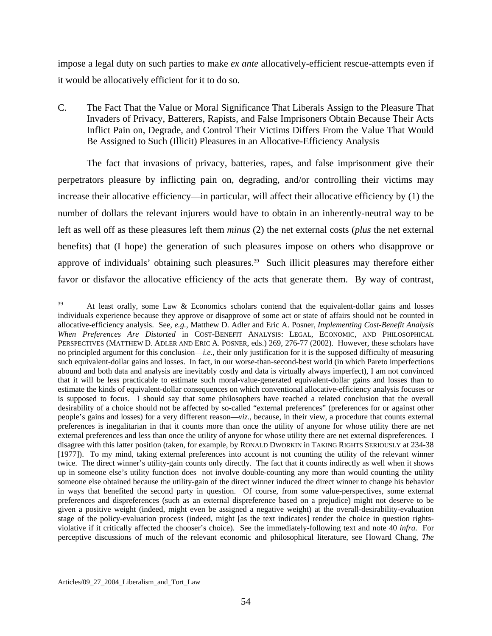impose a legal duty on such parties to make *ex ante* allocatively-efficient rescue-attempts even if it would be allocatively efficient for it to do so.

C. The Fact That the Value or Moral Significance That Liberals Assign to the Pleasure That Invaders of Privacy, Batterers, Rapists, and False Imprisoners Obtain Because Their Acts Inflict Pain on, Degrade, and Control Their Victims Differs From the Value That Would Be Assigned to Such (Illicit) Pleasures in an Allocative-Efficiency Analysis

 The fact that invasions of privacy, batteries, rapes, and false imprisonment give their perpetrators pleasure by inflicting pain on, degrading, and/or controlling their victims may increase their allocative efficiency—in particular, will affect their allocative efficiency by (1) the number of dollars the relevant injurers would have to obtain in an inherently-neutral way to be left as well off as these pleasures left them *minus* (2) the net external costs (*plus* the net external benefits) that (I hope) the generation of such pleasures impose on others who disapprove or approve of individuals' obtaining such pleasures.<sup>39</sup> Such illicit pleasures may therefore either favor or disfavor the allocative efficiency of the acts that generate them. By way of contrast,

<span id="page-54-0"></span><sup>39</sup> 39 At least orally, some Law & Economics scholars contend that the equivalent-dollar gains and losses individuals experience because they approve or disapprove of some act or state of affairs should not be counted in allocative-efficiency analysis. See, *e.g.*, Matthew D. Adler and Eric A. Posner, *Implementing Cost-Benefit Analysis When Preferences Are Distorted* in COST-BENEFIT ANALYSIS: LEGAL, ECONOMIC, AND PHILOSOPHICAL PERSPECTIVES (MATTHEW D. ADLER AND ERIC A. POSNER, eds.) 269, 276-77 (2002). However, these scholars have no principled argument for this conclusion—*i.e.*, their only justification for it is the supposed difficulty of measuring such equivalent-dollar gains and losses. In fact, in our worse-than-second-best world (in which Pareto imperfections abound and both data and analysis are inevitably costly and data is virtually always imperfect), I am not convinced that it will be less practicable to estimate such moral-value-generated equivalent-dollar gains and losses than to estimate the kinds of equivalent-dollar consequences on which conventional allocative-efficiency analysis focuses or is supposed to focus. I should say that some philosophers have reached a related conclusion that the overall desirability of a choice should not be affected by so-called "external preferences" (preferences for or against other people's gains and losses) for a very different reason—*viz.*, because, in their view, a procedure that counts external preferences is inegalitarian in that it counts more than once the utility of anyone for whose utility there are net external preferences and less than once the utility of anyone for whose utility there are net external dispreferences. I disagree with this latter position (taken, for example, by RONALD DWORKIN in TAKING RIGHTS SERIOUSLY at 234-38 [1977]). To my mind, taking external preferences into account is not counting the utility of the relevant winner twice. The direct winner's utility-gain counts only directly. The fact that it counts indirectly as well when it shows up in someone else's utility function does not involve double-counting any more than would counting the utility someone else obtained because the utility-gain of the direct winner induced the direct winner to change his behavior in ways that benefited the second party in question. Of course, from some value-perspectives, some external preferences and dispreferences (such as an external dispreference based on a prejudice) might not deserve to be given a positive weight (indeed, might even be assigned a negative weight) at the overall-desirability-evaluation stage of the policy-evaluation process (indeed, might [as the text indicates] render the choice in question rightsviolative if it critically affected the chooser's choice). See the immediately-following text and note 40 *infra*. For perceptive discussions of much of the relevant economic and philosophical literature, see Howard Chang, *The*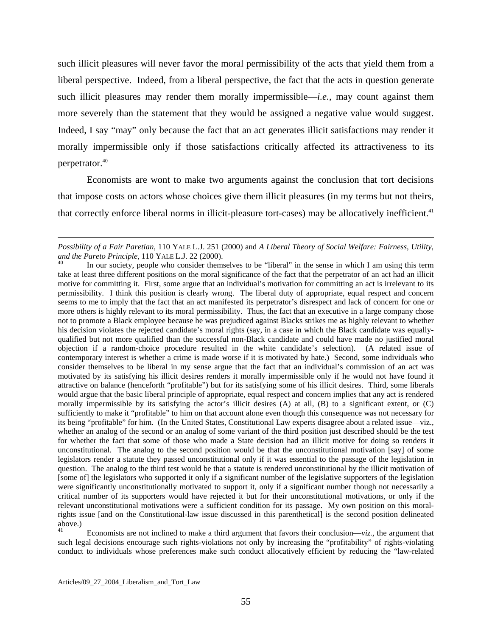such illicit pleasures will never favor the moral permissibility of the acts that yield them from a liberal perspective. Indeed, from a liberal perspective, the fact that the acts in question generate such illicit pleasures may render them morally impermissible—*i.e.*, may count against them more severely than the statement that they would be assigned a negative value would suggest. Indeed, I say "may" only because the fact that an act generates illicit satisfactions may render it morally impermissible only if those satisfactions critically affected its attractiveness to its perpetrator.[40](#page-55-0)

 Economists are wont to make two arguments against the conclusion that tort decisions that impose costs on actors whose choices give them illicit pleasures (in my terms but not theirs, that correctly enforce liberal norms in illicit-pleasure tort-cases) may be allocatively inefficient.<sup>41</sup>

<span id="page-55-1"></span>Economists are not inclined to make a third argument that favors their conclusion— $viz$ , the argument that such legal decisions encourage such rights-violations not only by increasing the "profitability" of rights-violating conduct to individuals whose preferences make such conduct allocatively efficient by reducing the "law-related

1

*Possibility of a Fair Paretian*, 110 YALE L.J. 251 (2000) and *A Liberal Theory of Social Welfare: Fairness, Utility, and the Pareto Principle*, 110 YALE L.J. 22 (2000).<br><sup>40</sup> In our society, people who consider themselves to be "liberal" in the sense in which I am using this term

<span id="page-55-0"></span>take at least three different positions on the moral significance of the fact that the perpetrator of an act had an illicit motive for committing it. First, some argue that an individual's motivation for committing an act is irrelevant to its permissibility. I think this position is clearly wrong. The liberal duty of appropriate, equal respect and concern seems to me to imply that the fact that an act manifested its perpetrator's disrespect and lack of concern for one or more others is highly relevant to its moral permissibility. Thus, the fact that an executive in a large company chose not to promote a Black employee because he was prejudiced against Blacks strikes me as highly relevant to whether his decision violates the rejected candidate's moral rights (say, in a case in which the Black candidate was equallyqualified but not more qualified than the successful non-Black candidate and could have made no justified moral objection if a random-choice procedure resulted in the white candidate's selection). (A related issue of contemporary interest is whether a crime is made worse if it is motivated by hate.) Second, some individuals who consider themselves to be liberal in my sense argue that the fact that an individual's commission of an act was motivated by its satisfying his illicit desires renders it morally impermissible only if he would not have found it attractive on balance (henceforth "profitable") but for its satisfying some of his illicit desires. Third, some liberals would argue that the basic liberal principle of appropriate, equal respect and concern implies that any act is rendered morally impermissible by its satisfying the actor's illicit desires  $(A)$  at all,  $(B)$  to a significant extent, or  $(C)$ sufficiently to make it "profitable" to him on that account alone even though this consequence was not necessary for its being "profitable" for him. (In the United States, Constitutional Law experts disagree about a related issue—viz., whether an analog of the second or an analog of some variant of the third position just described should be the test for whether the fact that some of those who made a State decision had an illicit motive for doing so renders it unconstitutional. The analog to the second position would be that the unconstitutional motivation [say] of some legislators render a statute they passed unconstitutional only if it was essential to the passage of the legislation in question. The analog to the third test would be that a statute is rendered unconstitutional by the illicit motivation of [some of] the legislators who supported it only if a significant number of the legislative supporters of the legislation were significantly unconstitutionally motivated to support it, only if a significant number though not necessarily a critical number of its supporters would have rejected it but for their unconstitutional motivations, or only if the relevant unconstitutional motivations were a sufficient condition for its passage. My own position on this moralrights issue [and on the Constitutional-law issue discussed in this parenthetical] is the second position delineated  $\overline{above.}$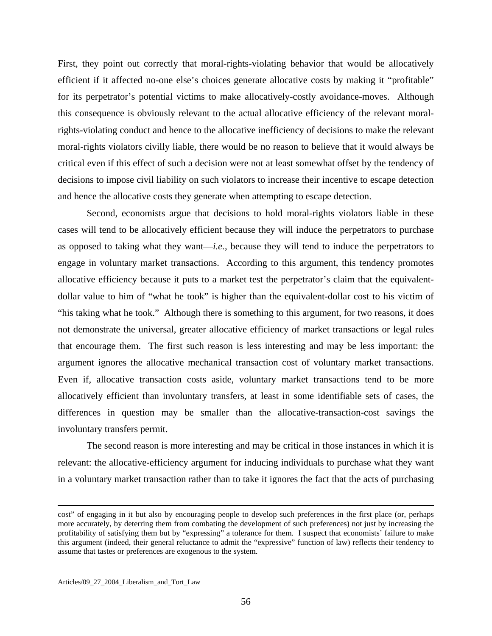First, they point out correctly that moral-rights-violating behavior that would be allocatively efficient if it affected no-one else's choices generate allocative costs by making it "profitable" for its perpetrator's potential victims to make allocatively-costly avoidance-moves. Although this consequence is obviously relevant to the actual allocative efficiency of the relevant moralrights-violating conduct and hence to the allocative inefficiency of decisions to make the relevant moral-rights violators civilly liable, there would be no reason to believe that it would always be critical even if this effect of such a decision were not at least somewhat offset by the tendency of decisions to impose civil liability on such violators to increase their incentive to escape detection and hence the allocative costs they generate when attempting to escape detection.

 Second, economists argue that decisions to hold moral-rights violators liable in these cases will tend to be allocatively efficient because they will induce the perpetrators to purchase as opposed to taking what they want—*i.e.*, because they will tend to induce the perpetrators to engage in voluntary market transactions. According to this argument, this tendency promotes allocative efficiency because it puts to a market test the perpetrator's claim that the equivalentdollar value to him of "what he took" is higher than the equivalent-dollar cost to his victim of "his taking what he took." Although there is something to this argument, for two reasons, it does not demonstrate the universal, greater allocative efficiency of market transactions or legal rules that encourage them. The first such reason is less interesting and may be less important: the argument ignores the allocative mechanical transaction cost of voluntary market transactions. Even if, allocative transaction costs aside, voluntary market transactions tend to be more allocatively efficient than involuntary transfers, at least in some identifiable sets of cases, the differences in question may be smaller than the allocative-transaction-cost savings the involuntary transfers permit.

 The second reason is more interesting and may be critical in those instances in which it is relevant: the allocative-efficiency argument for inducing individuals to purchase what they want in a voluntary market transaction rather than to take it ignores the fact that the acts of purchasing

<u>.</u>

cost" of engaging in it but also by encouraging people to develop such preferences in the first place (or, perhaps more accurately, by deterring them from combating the development of such preferences) not just by increasing the profitability of satisfying them but by "expressing" a tolerance for them. I suspect that economists' failure to make this argument (indeed, their general reluctance to admit the "expressive" function of law) reflects their tendency to assume that tastes or preferences are exogenous to the system.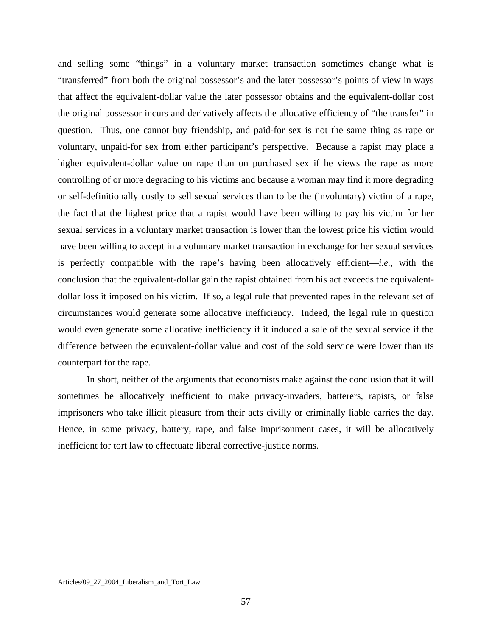and selling some "things" in a voluntary market transaction sometimes change what is "transferred" from both the original possessor's and the later possessor's points of view in ways that affect the equivalent-dollar value the later possessor obtains and the equivalent-dollar cost the original possessor incurs and derivatively affects the allocative efficiency of "the transfer" in question. Thus, one cannot buy friendship, and paid-for sex is not the same thing as rape or voluntary, unpaid-for sex from either participant's perspective. Because a rapist may place a higher equivalent-dollar value on rape than on purchased sex if he views the rape as more controlling of or more degrading to his victims and because a woman may find it more degrading or self-definitionally costly to sell sexual services than to be the (involuntary) victim of a rape, the fact that the highest price that a rapist would have been willing to pay his victim for her sexual services in a voluntary market transaction is lower than the lowest price his victim would have been willing to accept in a voluntary market transaction in exchange for her sexual services is perfectly compatible with the rape's having been allocatively efficient—*i.e.*, with the conclusion that the equivalent-dollar gain the rapist obtained from his act exceeds the equivalentdollar loss it imposed on his victim. If so, a legal rule that prevented rapes in the relevant set of circumstances would generate some allocative inefficiency. Indeed, the legal rule in question would even generate some allocative inefficiency if it induced a sale of the sexual service if the difference between the equivalent-dollar value and cost of the sold service were lower than its counterpart for the rape.

 In short, neither of the arguments that economists make against the conclusion that it will sometimes be allocatively inefficient to make privacy-invaders, batterers, rapists, or false imprisoners who take illicit pleasure from their acts civilly or criminally liable carries the day. Hence, in some privacy, battery, rape, and false imprisonment cases, it will be allocatively inefficient for tort law to effectuate liberal corrective-justice norms.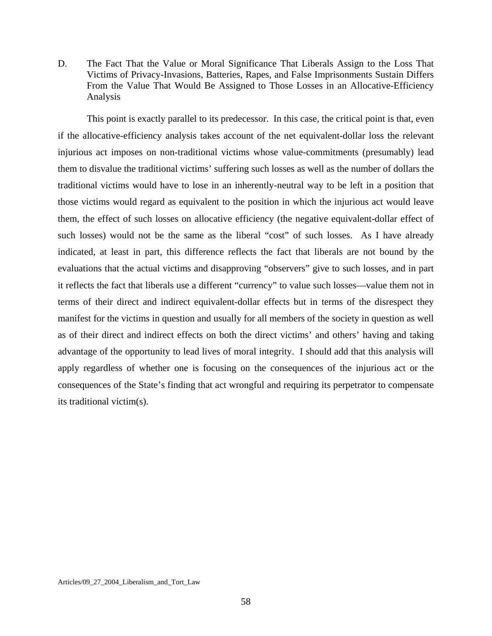D. The Fact That the Value or Moral Significance That Liberals Assign to the Loss That Victims of Privacy-Invasions, Batteries, Rapes, and False Imprisonments Sustain Differs From the Value That Would Be Assigned to Those Losses in an Allocative-Efficiency Analysis

 This point is exactly parallel to its predecessor. In this case, the critical point is that, even if the allocative-efficiency analysis takes account of the net equivalent-dollar loss the relevant injurious act imposes on non-traditional victims whose value-commitments (presumably) lead them to disvalue the traditional victims' suffering such losses as well as the number of dollars the traditional victims would have to lose in an inherently-neutral way to be left in a position that those victims would regard as equivalent to the position in which the injurious act would leave them, the effect of such losses on allocative efficiency (the negative equivalent-dollar effect of such losses) would not be the same as the liberal "cost" of such losses. As I have already indicated, at least in part, this difference reflects the fact that liberals are not bound by the evaluations that the actual victims and disapproving "observers" give to such losses, and in part it reflects the fact that liberals use a different "currency" to value such losses—value them not in terms of their direct and indirect equivalent-dollar effects but in terms of the disrespect they manifest for the victims in question and usually for all members of the society in question as well as of their direct and indirect effects on both the direct victims' and others' having and taking advantage of the opportunity to lead lives of moral integrity. I should add that this analysis will apply regardless of whether one is focusing on the consequences of the injurious act or the consequences of the State's finding that act wrongful and requiring its perpetrator to compensate its traditional victim(s).

Articles/09\_27\_2004\_Liberalism\_and\_Tort\_Law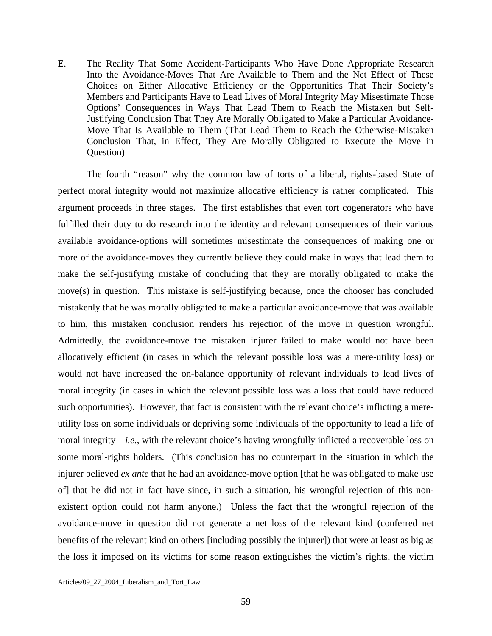E. The Reality That Some Accident-Participants Who Have Done Appropriate Research Into the Avoidance-Moves That Are Available to Them and the Net Effect of These Choices on Either Allocative Efficiency or the Opportunities That Their Society's Members and Participants Have to Lead Lives of Moral Integrity May Misestimate Those Options' Consequences in Ways That Lead Them to Reach the Mistaken but Self-Justifying Conclusion That They Are Morally Obligated to Make a Particular Avoidance-Move That Is Available to Them (That Lead Them to Reach the Otherwise-Mistaken Conclusion That, in Effect, They Are Morally Obligated to Execute the Move in Question)

 The fourth "reason" why the common law of torts of a liberal, rights-based State of perfect moral integrity would not maximize allocative efficiency is rather complicated. This argument proceeds in three stages. The first establishes that even tort cogenerators who have fulfilled their duty to do research into the identity and relevant consequences of their various available avoidance-options will sometimes misestimate the consequences of making one or more of the avoidance-moves they currently believe they could make in ways that lead them to make the self-justifying mistake of concluding that they are morally obligated to make the move(s) in question. This mistake is self-justifying because, once the chooser has concluded mistakenly that he was morally obligated to make a particular avoidance-move that was available to him, this mistaken conclusion renders his rejection of the move in question wrongful. Admittedly, the avoidance-move the mistaken injurer failed to make would not have been allocatively efficient (in cases in which the relevant possible loss was a mere-utility loss) or would not have increased the on-balance opportunity of relevant individuals to lead lives of moral integrity (in cases in which the relevant possible loss was a loss that could have reduced such opportunities). However, that fact is consistent with the relevant choice's inflicting a mereutility loss on some individuals or depriving some individuals of the opportunity to lead a life of moral integrity—*i.e.*, with the relevant choice's having wrongfully inflicted a recoverable loss on some moral-rights holders. (This conclusion has no counterpart in the situation in which the injurer believed *ex ante* that he had an avoidance-move option [that he was obligated to make use of] that he did not in fact have since, in such a situation, his wrongful rejection of this nonexistent option could not harm anyone.) Unless the fact that the wrongful rejection of the avoidance-move in question did not generate a net loss of the relevant kind (conferred net benefits of the relevant kind on others [including possibly the injurer]) that were at least as big as the loss it imposed on its victims for some reason extinguishes the victim's rights, the victim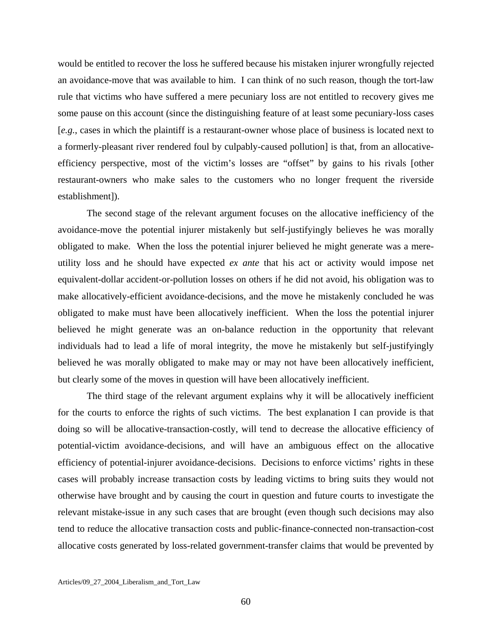would be entitled to recover the loss he suffered because his mistaken injurer wrongfully rejected an avoidance-move that was available to him. I can think of no such reason, though the tort-law rule that victims who have suffered a mere pecuniary loss are not entitled to recovery gives me some pause on this account (since the distinguishing feature of at least some pecuniary-loss cases [*e.g.*, cases in which the plaintiff is a restaurant-owner whose place of business is located next to a formerly-pleasant river rendered foul by culpably-caused pollution] is that, from an allocativeefficiency perspective, most of the victim's losses are "offset" by gains to his rivals [other restaurant-owners who make sales to the customers who no longer frequent the riverside establishment]).

 The second stage of the relevant argument focuses on the allocative inefficiency of the avoidance-move the potential injurer mistakenly but self-justifyingly believes he was morally obligated to make. When the loss the potential injurer believed he might generate was a mereutility loss and he should have expected *ex ante* that his act or activity would impose net equivalent-dollar accident-or-pollution losses on others if he did not avoid, his obligation was to make allocatively-efficient avoidance-decisions, and the move he mistakenly concluded he was obligated to make must have been allocatively inefficient. When the loss the potential injurer believed he might generate was an on-balance reduction in the opportunity that relevant individuals had to lead a life of moral integrity, the move he mistakenly but self-justifyingly believed he was morally obligated to make may or may not have been allocatively inefficient, but clearly some of the moves in question will have been allocatively inefficient.

 The third stage of the relevant argument explains why it will be allocatively inefficient for the courts to enforce the rights of such victims. The best explanation I can provide is that doing so will be allocative-transaction-costly, will tend to decrease the allocative efficiency of potential-victim avoidance-decisions, and will have an ambiguous effect on the allocative efficiency of potential-injurer avoidance-decisions. Decisions to enforce victims' rights in these cases will probably increase transaction costs by leading victims to bring suits they would not otherwise have brought and by causing the court in question and future courts to investigate the relevant mistake-issue in any such cases that are brought (even though such decisions may also tend to reduce the allocative transaction costs and public-finance-connected non-transaction-cost allocative costs generated by loss-related government-transfer claims that would be prevented by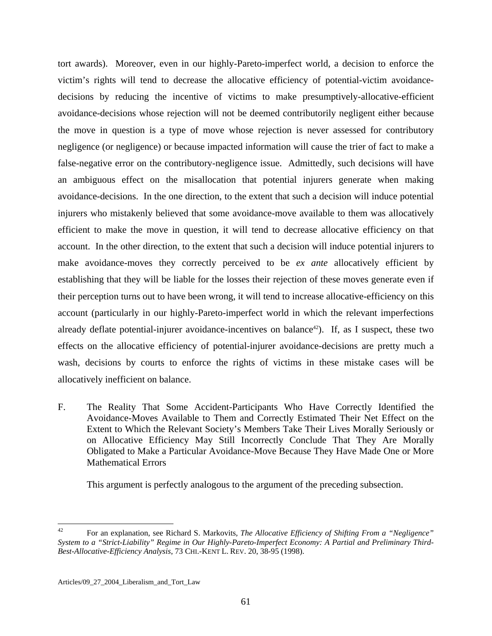tort awards). Moreover, even in our highly-Pareto-imperfect world, a decision to enforce the victim's rights will tend to decrease the allocative efficiency of potential-victim avoidancedecisions by reducing the incentive of victims to make presumptively-allocative-efficient avoidance-decisions whose rejection will not be deemed contributorily negligent either because the move in question is a type of move whose rejection is never assessed for contributory negligence (or negligence) or because impacted information will cause the trier of fact to make a false-negative error on the contributory-negligence issue. Admittedly, such decisions will have an ambiguous effect on the misallocation that potential injurers generate when making avoidance-decisions. In the one direction, to the extent that such a decision will induce potential injurers who mistakenly believed that some avoidance-move available to them was allocatively efficient to make the move in question, it will tend to decrease allocative efficiency on that account. In the other direction, to the extent that such a decision will induce potential injurers to make avoidance-moves they correctly perceived to be *ex ante* allocatively efficient by establishing that they will be liable for the losses their rejection of these moves generate even if their perception turns out to have been wrong, it will tend to increase allocative-efficiency on this account (particularly in our highly-Pareto-imperfect world in which the relevant imperfections already deflate potential-injurer avoidance-incentives on balance<sup>42</sup>). If, as I suspect, these two effects on the allocative efficiency of potential-injurer avoidance-decisions are pretty much a wash, decisions by courts to enforce the rights of victims in these mistake cases will be allocatively inefficient on balance.

F. The Reality That Some Accident-Participants Who Have Correctly Identified the Avoidance-Moves Available to Them and Correctly Estimated Their Net Effect on the Extent to Which the Relevant Society's Members Take Their Lives Morally Seriously or on Allocative Efficiency May Still Incorrectly Conclude That They Are Morally Obligated to Make a Particular Avoidance-Move Because They Have Made One or More Mathematical Errors

This argument is perfectly analogous to the argument of the preceding subsection.

<span id="page-61-0"></span> $42^{\circ}$ 42 For an explanation, see Richard S. Markovits*, The Allocative Efficiency of Shifting From a "Negligence" System to a "Strict-Liability" Regime in Our Highly-Pareto-Imperfect Economy: A Partial and Preliminary Third-Best-Allocative-Efficiency Analysis*, 73 CHI.-KENT L. REV. 20, 38-95 (1998).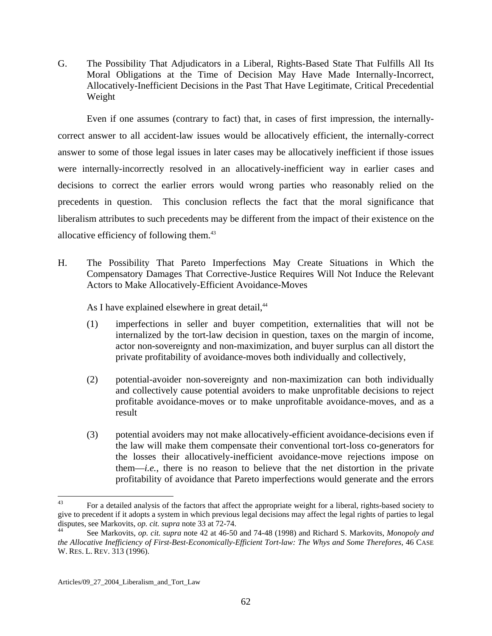G. The Possibility That Adjudicators in a Liberal, Rights-Based State That Fulfills All Its Moral Obligations at the Time of Decision May Have Made Internally-Incorrect, Allocatively-Inefficient Decisions in the Past That Have Legitimate, Critical Precedential Weight

 Even if one assumes (contrary to fact) that, in cases of first impression, the internallycorrect answer to all accident-law issues would be allocatively efficient, the internally-correct answer to some of those legal issues in later cases may be allocatively inefficient if those issues were internally-incorrectly resolved in an allocatively-inefficient way in earlier cases and decisions to correct the earlier errors would wrong parties who reasonably relied on the precedents in question. This conclusion reflects the fact that the moral significance that liberalism attributes to such precedents may be different from the impact of their existence on the allocative efficiency of following them.<sup>[43](#page-62-0)</sup>

H. The Possibility That Pareto Imperfections May Create Situations in Which the Compensatory Damages That Corrective-Justice Requires Will Not Induce the Relevant Actors to Make Allocatively-Efficient Avoidance-Moves

As I have explained elsewhere in great detail,<sup>[44](#page-62-1)</sup>

- (1) imperfections in seller and buyer competition, externalities that will not be internalized by the tort-law decision in question, taxes on the margin of income, actor non-sovereignty and non-maximization, and buyer surplus can all distort the private profitability of avoidance-moves both individually and collectively,
- (2) potential-avoider non-sovereignty and non-maximization can both individually and collectively cause potential avoiders to make unprofitable decisions to reject profitable avoidance-moves or to make unprofitable avoidance-moves, and as a result
- (3) potential avoiders may not make allocatively-efficient avoidance-decisions even if the law will make them compensate their conventional tort-loss co-generators for the losses their allocatively-inefficient avoidance-move rejections impose on them—*i.e.*, there is no reason to believe that the net distortion in the private profitability of avoidance that Pareto imperfections would generate and the errors

<span id="page-62-0"></span> $43$ 43 For a detailed analysis of the factors that affect the appropriate weight for a liberal, rights-based society to give to precedent if it adopts a system in which previous legal decisions may affect the legal rights of parties to legal disputes, see Markovits, *op. cit. supra* note 33 at 72-74.

<span id="page-62-1"></span>See Markovits, *op. cit. supra* note 42 at 46-50 and 74-48 (1998) and Richard S. Markovits, *Monopoly and the Allocative Inefficiency of First-Best-Economically-Efficient Tort-law: The Whys and Some Therefores*, 46 CASE W. RES. L. REV. 313 (1996).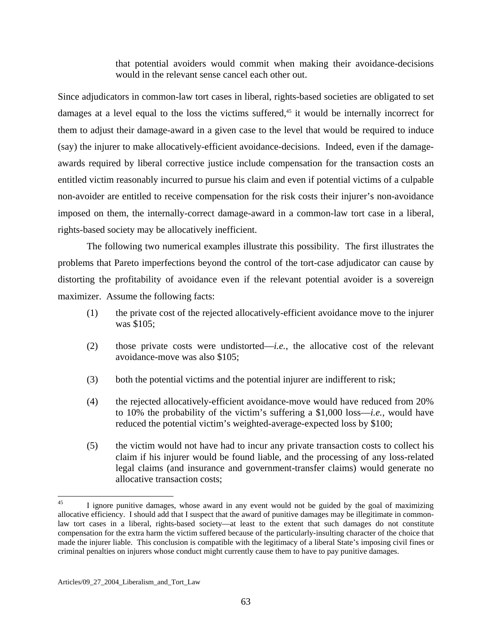that potential avoiders would commit when making their avoidance-decisions would in the relevant sense cancel each other out.

Since adjudicators in common-law tort cases in liberal, rights-based societies are obligated to set damages at a level equal to the loss the victims suffered,<sup>45</sup> it would be internally incorrect for them to adjust their damage-award in a given case to the level that would be required to induce (say) the injurer to make allocatively-efficient avoidance-decisions. Indeed, even if the damageawards required by liberal corrective justice include compensation for the transaction costs an entitled victim reasonably incurred to pursue his claim and even if potential victims of a culpable non-avoider are entitled to receive compensation for the risk costs their injurer's non-avoidance imposed on them, the internally-correct damage-award in a common-law tort case in a liberal, rights-based society may be allocatively inefficient.

 The following two numerical examples illustrate this possibility. The first illustrates the problems that Pareto imperfections beyond the control of the tort-case adjudicator can cause by distorting the profitability of avoidance even if the relevant potential avoider is a sovereign maximizer. Assume the following facts:

- (1) the private cost of the rejected allocatively-efficient avoidance move to the injurer was \$105;
- (2) those private costs were undistorted—*i.e.*, the allocative cost of the relevant avoidance-move was also \$105;
- (3) both the potential victims and the potential injurer are indifferent to risk;
- (4) the rejected allocatively-efficient avoidance-move would have reduced from 20% to 10% the probability of the victim's suffering a \$1,000 loss—*i.e.*, would have reduced the potential victim's weighted-average-expected loss by \$100;
- (5) the victim would not have had to incur any private transaction costs to collect his claim if his injurer would be found liable, and the processing of any loss-related legal claims (and insurance and government-transfer claims) would generate no allocative transaction costs;

<span id="page-63-0"></span> $45$ 45 I ignore punitive damages, whose award in any event would not be guided by the goal of maximizing allocative efficiency. I should add that I suspect that the award of punitive damages may be illegitimate in commonlaw tort cases in a liberal, rights-based society—at least to the extent that such damages do not constitute compensation for the extra harm the victim suffered because of the particularly-insulting character of the choice that made the injurer liable. This conclusion is compatible with the legitimacy of a liberal State's imposing civil fines or criminal penalties on injurers whose conduct might currently cause them to have to pay punitive damages.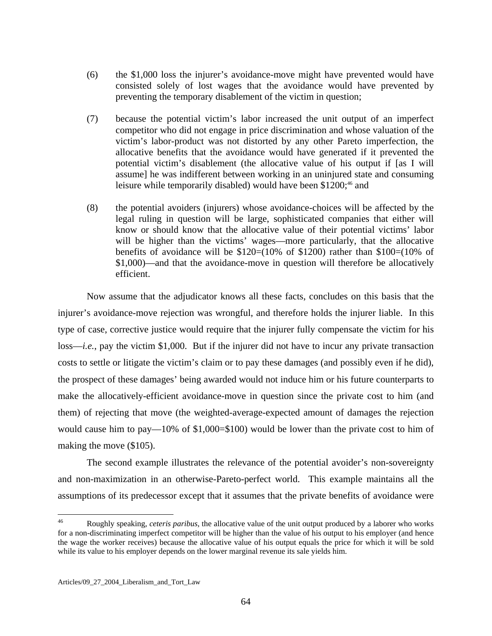- (6) the \$1,000 loss the injurer's avoidance-move might have prevented would have consisted solely of lost wages that the avoidance would have prevented by preventing the temporary disablement of the victim in question;
- (7) because the potential victim's labor increased the unit output of an imperfect competitor who did not engage in price discrimination and whose valuation of the victim's labor-product was not distorted by any other Pareto imperfection, the allocative benefits that the avoidance would have generated if it prevented the potential victim's disablement (the allocative value of his output if [as I will assume] he was indifferent between working in an uninjured state and consuming leisure while temporarily disabled) would have been \$1200;<sup>46</sup> and
- (8) the potential avoiders (injurers) whose avoidance-choices will be affected by the legal ruling in question will be large, sophisticated companies that either will know or should know that the allocative value of their potential victims' labor will be higher than the victims' wages—more particularly, that the allocative benefits of avoidance will be  $$120=(10\% \text{ of } $1200)$  rather than  $$100=(10\% \text{ of } $1200)$ \$1,000)—and that the avoidance-move in question will therefore be allocatively efficient.

 Now assume that the adjudicator knows all these facts, concludes on this basis that the injurer's avoidance-move rejection was wrongful, and therefore holds the injurer liable. In this type of case, corrective justice would require that the injurer fully compensate the victim for his loss—*i.e.*, pay the victim \$1,000. But if the injurer did not have to incur any private transaction costs to settle or litigate the victim's claim or to pay these damages (and possibly even if he did), the prospect of these damages' being awarded would not induce him or his future counterparts to make the allocatively-efficient avoidance-move in question since the private cost to him (and them) of rejecting that move (the weighted-average-expected amount of damages the rejection would cause him to pay—10% of \$1,000=\$100) would be lower than the private cost to him of making the move (\$105).

 The second example illustrates the relevance of the potential avoider's non-sovereignty and non-maximization in an otherwise-Pareto-perfect world. This example maintains all the assumptions of its predecessor except that it assumes that the private benefits of avoidance were

<span id="page-64-0"></span> $46\,$ 46 Roughly speaking, *ceteris paribus*, the allocative value of the unit output produced by a laborer who works for a non-discriminating imperfect competitor will be higher than the value of his output to his employer (and hence the wage the worker receives) because the allocative value of his output equals the price for which it will be sold while its value to his employer depends on the lower marginal revenue its sale yields him.

Articles/09\_27\_2004\_Liberalism\_and\_Tort\_Law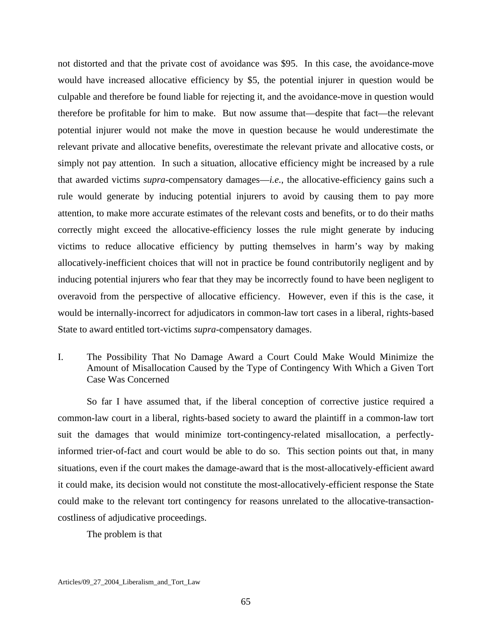not distorted and that the private cost of avoidance was \$95. In this case, the avoidance-move would have increased allocative efficiency by \$5, the potential injurer in question would be culpable and therefore be found liable for rejecting it, and the avoidance-move in question would therefore be profitable for him to make. But now assume that—despite that fact—the relevant potential injurer would not make the move in question because he would underestimate the relevant private and allocative benefits, overestimate the relevant private and allocative costs, or simply not pay attention. In such a situation, allocative efficiency might be increased by a rule that awarded victims *supra*-compensatory damages—*i.e.*, the allocative-efficiency gains such a rule would generate by inducing potential injurers to avoid by causing them to pay more attention, to make more accurate estimates of the relevant costs and benefits, or to do their maths correctly might exceed the allocative-efficiency losses the rule might generate by inducing victims to reduce allocative efficiency by putting themselves in harm's way by making allocatively-inefficient choices that will not in practice be found contributorily negligent and by inducing potential injurers who fear that they may be incorrectly found to have been negligent to overavoid from the perspective of allocative efficiency. However, even if this is the case, it would be internally-incorrect for adjudicators in common-law tort cases in a liberal, rights-based State to award entitled tort-victims *supra*-compensatory damages.

I. The Possibility That No Damage Award a Court Could Make Would Minimize the Amount of Misallocation Caused by the Type of Contingency With Which a Given Tort Case Was Concerned

 So far I have assumed that, if the liberal conception of corrective justice required a common-law court in a liberal, rights-based society to award the plaintiff in a common-law tort suit the damages that would minimize tort-contingency-related misallocation, a perfectlyinformed trier-of-fact and court would be able to do so. This section points out that, in many situations, even if the court makes the damage-award that is the most-allocatively-efficient award it could make, its decision would not constitute the most-allocatively-efficient response the State could make to the relevant tort contingency for reasons unrelated to the allocative-transactioncostliness of adjudicative proceedings.

The problem is that

Articles/09\_27\_2004\_Liberalism\_and\_Tort\_Law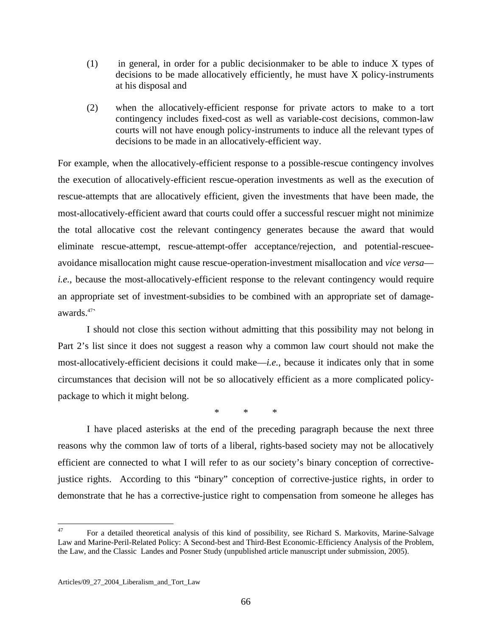- (1) in general, in order for a public decisionmaker to be able to induce X types of decisions to be made allocatively efficiently, he must have X policy-instruments at his disposal and
- (2) when the allocatively-efficient response for private actors to make to a tort contingency includes fixed-cost as well as variable-cost decisions, common-law courts will not have enough policy-instruments to induce all the relevant types of decisions to be made in an allocatively-efficient way.

For example, when the allocatively-efficient response to a possible-rescue contingency involves the execution of allocatively-efficient rescue-operation investments as well as the execution of rescue-attempts that are allocatively efficient, given the investments that have been made, the most-allocatively-efficient award that courts could offer a successful rescuer might not minimize the total allocative cost the relevant contingency generates because the award that would eliminate rescue-attempt, rescue-attempt-offer acceptance/rejection, and potential-rescueeavoidance misallocation might cause rescue-operation-investment misallocation and *vice versa i.e.*, because the most-allocatively-efficient response to the relevant contingency would require an appropriate set of investment-subsidies to be combined with an appropriate set of damageawards[.47`](#page-66-0)

 I should not close this section without admitting that this possibility may not belong in Part 2's list since it does not suggest a reason why a common law court should not make the most-allocatively-efficient decisions it could make—*i.e.*, because it indicates only that in some circumstances that decision will not be so allocatively efficient as a more complicated policypackage to which it might belong.

\* \* \*

 I have placed asterisks at the end of the preceding paragraph because the next three reasons why the common law of torts of a liberal, rights-based society may not be allocatively efficient are connected to what I will refer to as our society's binary conception of correctivejustice rights. According to this "binary" conception of corrective-justice rights, in order to demonstrate that he has a corrective-justice right to compensation from someone he alleges has

<span id="page-66-0"></span><sup>47</sup> 47 For a detailed theoretical analysis of this kind of possibility, see Richard S. Markovits, Marine-Salvage Law and Marine-Peril-Related Policy: A Second-best and Third-Best Economic-Efficiency Analysis of the Problem, the Law, and the Classic Landes and Posner Study (unpublished article manuscript under submission, 2005).

Articles/09\_27\_2004\_Liberalism\_and\_Tort\_Law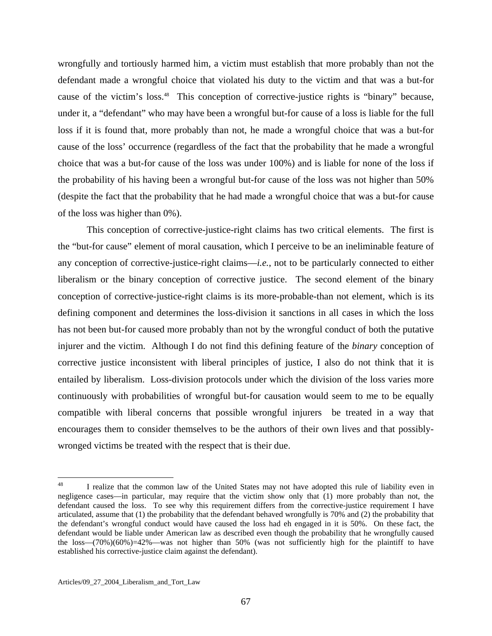wrongfully and tortiously harmed him, a victim must establish that more probably than not the defendant made a wrongful choice that violated his duty to the victim and that was a but-for cause of the victim's loss.<sup>48</sup> This conception of corrective-justice rights is "binary" because, under it, a "defendant" who may have been a wrongful but-for cause of a loss is liable for the full loss if it is found that, more probably than not, he made a wrongful choice that was a but-for cause of the loss' occurrence (regardless of the fact that the probability that he made a wrongful choice that was a but-for cause of the loss was under 100%) and is liable for none of the loss if the probability of his having been a wrongful but-for cause of the loss was not higher than 50% (despite the fact that the probability that he had made a wrongful choice that was a but-for cause of the loss was higher than 0%).

 This conception of corrective-justice-right claims has two critical elements. The first is the "but-for cause" element of moral causation, which I perceive to be an ineliminable feature of any conception of corrective-justice-right claims—*i.e.*, not to be particularly connected to either liberalism or the binary conception of corrective justice. The second element of the binary conception of corrective-justice-right claims is its more-probable-than not element, which is its defining component and determines the loss-division it sanctions in all cases in which the loss has not been but-for caused more probably than not by the wrongful conduct of both the putative injurer and the victim. Although I do not find this defining feature of the *binary* conception of corrective justice inconsistent with liberal principles of justice, I also do not think that it is entailed by liberalism. Loss-division protocols under which the division of the loss varies more continuously with probabilities of wrongful but-for causation would seem to me to be equally compatible with liberal concerns that possible wrongful injurers be treated in a way that encourages them to consider themselves to be the authors of their own lives and that possiblywronged victims be treated with the respect that is their due.

<span id="page-67-0"></span><sup>48</sup> I realize that the common law of the United States may not have adopted this rule of liability even in negligence cases—in particular, may require that the victim show only that (1) more probably than not, the defendant caused the loss. To see why this requirement differs from the corrective-justice requirement I have articulated, assume that (1) the probability that the defendant behaved wrongfully is 70% and (2) the probability that the defendant's wrongful conduct would have caused the loss had eh engaged in it is 50%. On these fact, the defendant would be liable under American law as described even though the probability that he wrongfully caused the loss— $(70\%)$  $(60\%)=42\%$ —was not higher than 50% (was not sufficiently high for the plaintiff to have established his corrective-justice claim against the defendant).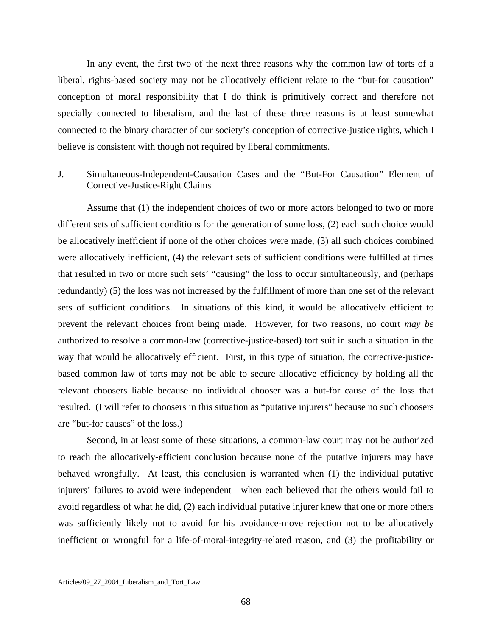In any event, the first two of the next three reasons why the common law of torts of a liberal, rights-based society may not be allocatively efficient relate to the "but-for causation" conception of moral responsibility that I do think is primitively correct and therefore not specially connected to liberalism, and the last of these three reasons is at least somewhat connected to the binary character of our society's conception of corrective-justice rights, which I believe is consistent with though not required by liberal commitments.

# J. Simultaneous-Independent-Causation Cases and the "But-For Causation" Element of Corrective-Justice-Right Claims

 Assume that (1) the independent choices of two or more actors belonged to two or more different sets of sufficient conditions for the generation of some loss, (2) each such choice would be allocatively inefficient if none of the other choices were made, (3) all such choices combined were allocatively inefficient, (4) the relevant sets of sufficient conditions were fulfilled at times that resulted in two or more such sets' "causing" the loss to occur simultaneously, and (perhaps redundantly) (5) the loss was not increased by the fulfillment of more than one set of the relevant sets of sufficient conditions. In situations of this kind, it would be allocatively efficient to prevent the relevant choices from being made. However, for two reasons, no court *may be* authorized to resolve a common-law (corrective-justice-based) tort suit in such a situation in the way that would be allocatively efficient. First, in this type of situation, the corrective-justicebased common law of torts may not be able to secure allocative efficiency by holding all the relevant choosers liable because no individual chooser was a but-for cause of the loss that resulted. (I will refer to choosers in this situation as "putative injurers" because no such choosers are "but-for causes" of the loss.)

 Second, in at least some of these situations, a common-law court may not be authorized to reach the allocatively-efficient conclusion because none of the putative injurers may have behaved wrongfully. At least, this conclusion is warranted when (1) the individual putative injurers' failures to avoid were independent—when each believed that the others would fail to avoid regardless of what he did, (2) each individual putative injurer knew that one or more others was sufficiently likely not to avoid for his avoidance-move rejection not to be allocatively inefficient or wrongful for a life-of-moral-integrity-related reason, and (3) the profitability or

Articles/09\_27\_2004\_Liberalism\_and\_Tort\_Law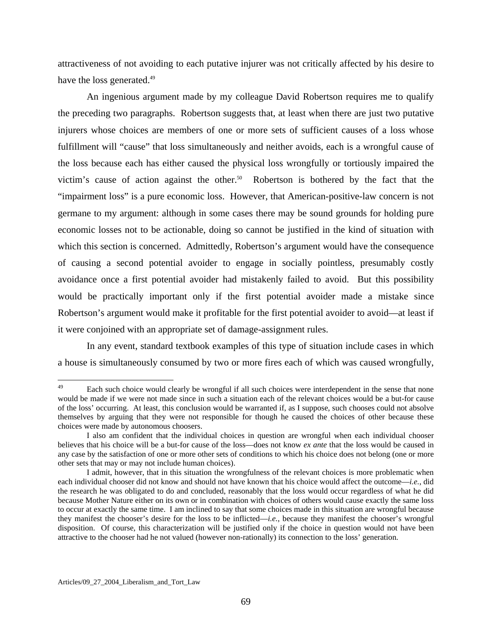attractiveness of not avoiding to each putative injurer was not critically affected by his desire to have the loss generated.<sup>[49](#page-69-0)</sup>

 An ingenious argument made by my colleague David Robertson requires me to qualify the preceding two paragraphs. Robertson suggests that, at least when there are just two putative injurers whose choices are members of one or more sets of sufficient causes of a loss whose fulfillment will "cause" that loss simultaneously and neither avoids, each is a wrongful cause of the loss because each has either caused the physical loss wrongfully or tortiously impaired the victim's cause of action against the other.<sup>50</sup> Robertson is bothered by the fact that the "impairment loss" is a pure economic loss. However, that American-positive-law concern is not germane to my argument: although in some cases there may be sound grounds for holding pure economic losses not to be actionable, doing so cannot be justified in the kind of situation with which this section is concerned. Admittedly, Robertson's argument would have the consequence of causing a second potential avoider to engage in socially pointless, presumably costly avoidance once a first potential avoider had mistakenly failed to avoid. But this possibility would be practically important only if the first potential avoider made a mistake since Robertson's argument would make it profitable for the first potential avoider to avoid—at least if it were conjoined with an appropriate set of damage-assignment rules.

 In any event, standard textbook examples of this type of situation include cases in which a house is simultaneously consumed by two or more fires each of which was caused wrongfully,

<span id="page-69-0"></span><sup>49</sup> Each such choice would clearly be wrongful if all such choices were interdependent in the sense that none would be made if we were not made since in such a situation each of the relevant choices would be a but-for cause of the loss' occurring. At least, this conclusion would be warranted if, as I suppose, such chooses could not absolve themselves by arguing that they were not responsible for though he caused the choices of other because these choices were made by autonomous choosers.

I also am confident that the individual choices in question are wrongful when each individual chooser believes that his choice will be a but-for cause of the loss—does not know *ex ante* that the loss would be caused in any case by the satisfaction of one or more other sets of conditions to which his choice does not belong (one or more other sets that may or may not include human choices).

<span id="page-69-1"></span>I admit, however, that in this situation the wrongfulness of the relevant choices is more problematic when each individual chooser did not know and should not have known that his choice would affect the outcome—*i.e.*, did the research he was obligated to do and concluded, reasonably that the loss would occur regardless of what he did because Mother Nature either on its own or in combination with choices of others would cause exactly the same loss to occur at exactly the same time. I am inclined to say that some choices made in this situation are wrongful because they manifest the chooser's desire for the loss to be inflicted—*i.e.*, because they manifest the chooser's wrongful disposition. Of course, this characterization will be justified only if the choice in question would not have been attractive to the chooser had he not valued (however non-rationally) its connection to the loss' generation.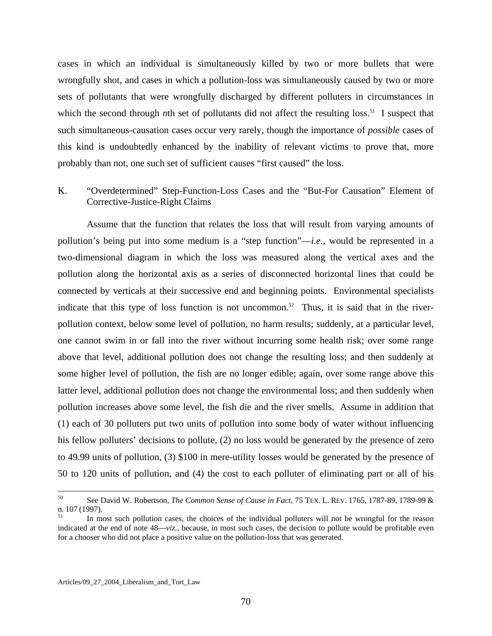cases in which an individual is simultaneously killed by two or more bullets that were wrongfully shot, and cases in which a pollution-loss was simultaneously caused by two or more sets of pollutants that were wrongfully discharged by different polluters in circumstances in which the second through *n*th set of pollutants did not affect the resulting loss.<sup>51</sup> I suspect that such simultaneous-causation cases occur very rarely, though the importance of *possible* cases of this kind is undoubtedly enhanced by the inability of relevant victims to prove that, more probably than not, one such set of sufficient causes "first caused" the loss.

# K. "Overdetermined" Step-Function-Loss Cases and the "But-For Causation" Element of Corrective-Justice-Right Claims

 Assume that the function that relates the loss that will result from varying amounts of pollution's being put into some medium is a "step function"—*i.e.*, would be represented in a two-dimensional diagram in which the loss was measured along the vertical axes and the pollution along the horizontal axis as a series of disconnected horizontal lines that could be connected by verticals at their successive end and beginning points. Environmental specialists indicate that this type of loss function is not uncommon.<sup>52</sup> Thus, it is said that in the riverpollution context, below some level of pollution, no harm results; suddenly, at a particular level, one cannot swim in or fall into the river without incurring some health risk; over some range above that level, additional pollution does not change the resulting loss; and then suddenly at some higher level of pollution, the fish are no longer edible; again, over some range above this latter level, additional pollution does not change the environmental loss; and then suddenly when pollution increases above some level, the fish die and the river smells. Assume in addition that (1) each of 30 polluters put two units of pollution into some body of water without influencing his fellow polluters' decisions to pollute, (2) no loss would be generated by the presence of zero to 49.99 units of pollution, (3) \$100 in mere-utility losses would be generated by the presence of 50 to 120 units of pollution, and (4) the cost to each polluter of eliminating part or all of his

<sup>50</sup> 50 See David W. Robertson, *The Common Sense of Cause in Fact*, 75 TEX. L. REV. 1765, 1787-89, 1789-99 & n. 107 (1997).<br> $\frac{51}{10}$  In most such pollution cases, the choices of the individual polluters will not be wrongful for the reason

<span id="page-70-1"></span><span id="page-70-0"></span>indicated at the end of note 48—*viz.*, because, in most such cases, the decision to pollute would be profitable even for a chooser who did not place a positive value on the pollution-loss that was generated.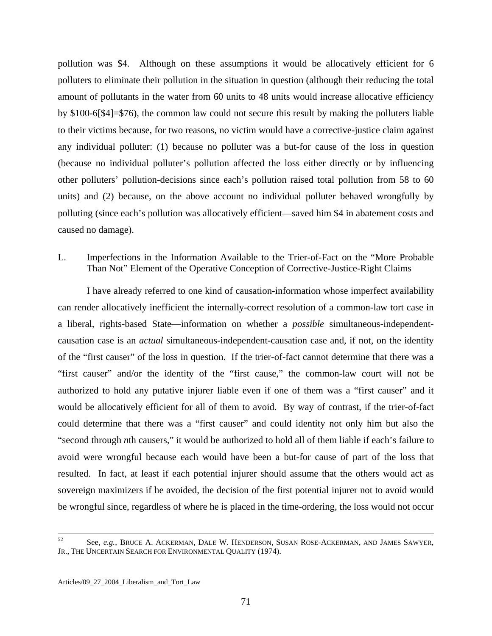pollution was \$4. Although on these assumptions it would be allocatively efficient for 6 polluters to eliminate their pollution in the situation in question (although their reducing the total amount of pollutants in the water from 60 units to 48 units would increase allocative efficiency by \$100-6[\$4]=\$76), the common law could not secure this result by making the polluters liable to their victims because, for two reasons, no victim would have a corrective-justice claim against any individual polluter: (1) because no polluter was a but-for cause of the loss in question (because no individual polluter's pollution affected the loss either directly or by influencing other polluters' pollution-decisions since each's pollution raised total pollution from 58 to 60 units) and (2) because, on the above account no individual polluter behaved wrongfully by polluting (since each's pollution was allocatively efficient—saved him \$4 in abatement costs and caused no damage).

#### L. Imperfections in the Information Available to the Trier-of-Fact on the "More Probable Than Not" Element of the Operative Conception of Corrective-Justice-Right Claims

 I have already referred to one kind of causation-information whose imperfect availability can render allocatively inefficient the internally-correct resolution of a common-law tort case in a liberal, rights-based State—information on whether a *possible* simultaneous-independentcausation case is an *actual* simultaneous-independent-causation case and, if not, on the identity of the "first causer" of the loss in question. If the trier-of-fact cannot determine that there was a "first causer" and/or the identity of the "first cause," the common-law court will not be authorized to hold any putative injurer liable even if one of them was a "first causer" and it would be allocatively efficient for all of them to avoid. By way of contrast, if the trier-of-fact could determine that there was a "first causer" and could identity not only him but also the "second through *n*th causers," it would be authorized to hold all of them liable if each's failure to avoid were wrongful because each would have been a but-for cause of part of the loss that resulted. In fact, at least if each potential injurer should assume that the others would act as sovereign maximizers if he avoided, the decision of the first potential injurer not to avoid would be wrongful since, regardless of where he is placed in the time-ordering, the loss would not occur

<u>.</u>

<sup>52</sup> See, *e.g.*, BRUCE A. ACKERMAN, DALE W. HENDERSON, SUSAN ROSE-ACKERMAN, AND JAMES SAWYER, JR., THE UNCERTAIN SEARCH FOR ENVIRONMENTAL QUALITY (1974).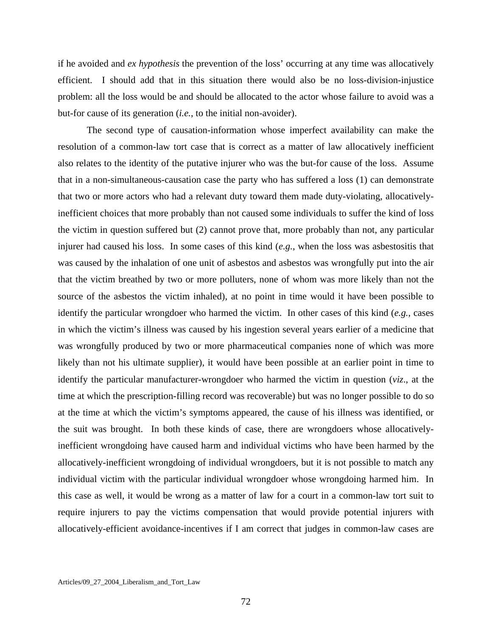if he avoided and *ex hypothesis* the prevention of the loss' occurring at any time was allocatively efficient. I should add that in this situation there would also be no loss-division-injustice problem: all the loss would be and should be allocated to the actor whose failure to avoid was a but-for cause of its generation (*i.e.*, to the initial non-avoider).

 The second type of causation-information whose imperfect availability can make the resolution of a common-law tort case that is correct as a matter of law allocatively inefficient also relates to the identity of the putative injurer who was the but-for cause of the loss. Assume that in a non-simultaneous-causation case the party who has suffered a loss (1) can demonstrate that two or more actors who had a relevant duty toward them made duty-violating, allocativelyinefficient choices that more probably than not caused some individuals to suffer the kind of loss the victim in question suffered but (2) cannot prove that, more probably than not, any particular injurer had caused his loss. In some cases of this kind (*e.g.*, when the loss was asbestositis that was caused by the inhalation of one unit of asbestos and asbestos was wrongfully put into the air that the victim breathed by two or more polluters, none of whom was more likely than not the source of the asbestos the victim inhaled), at no point in time would it have been possible to identify the particular wrongdoer who harmed the victim. In other cases of this kind (*e.g.*, cases in which the victim's illness was caused by his ingestion several years earlier of a medicine that was wrongfully produced by two or more pharmaceutical companies none of which was more likely than not his ultimate supplier), it would have been possible at an earlier point in time to identify the particular manufacturer-wrongdoer who harmed the victim in question (*viz*., at the time at which the prescription-filling record was recoverable) but was no longer possible to do so at the time at which the victim's symptoms appeared, the cause of his illness was identified, or the suit was brought. In both these kinds of case, there are wrongdoers whose allocativelyinefficient wrongdoing have caused harm and individual victims who have been harmed by the allocatively-inefficient wrongdoing of individual wrongdoers, but it is not possible to match any individual victim with the particular individual wrongdoer whose wrongdoing harmed him. In this case as well, it would be wrong as a matter of law for a court in a common-law tort suit to require injurers to pay the victims compensation that would provide potential injurers with allocatively-efficient avoidance-incentives if I am correct that judges in common-law cases are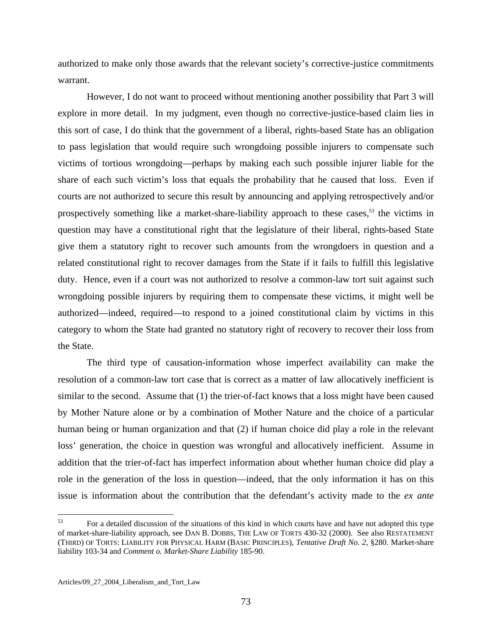authorized to make only those awards that the relevant society's corrective-justice commitments warrant.

 However, I do not want to proceed without mentioning another possibility that Part 3 will explore in more detail. In my judgment, even though no corrective-justice-based claim lies in this sort of case, I do think that the government of a liberal, rights-based State has an obligation to pass legislation that would require such wrongdoing possible injurers to compensate such victims of tortious wrongdoing—perhaps by making each such possible injurer liable for the share of each such victim's loss that equals the probability that he caused that loss. Even if courts are not authorized to secure this result by announcing and applying retrospectively and/or prospectively something like a market-share-liability approach to these cases,<sup>53</sup> the victims in question may have a constitutional right that the legislature of their liberal, rights-based State give them a statutory right to recover such amounts from the wrongdoers in question and a related constitutional right to recover damages from the State if it fails to fulfill this legislative duty. Hence, even if a court was not authorized to resolve a common-law tort suit against such wrongdoing possible injurers by requiring them to compensate these victims, it might well be authorized—indeed, required—to respond to a joined constitutional claim by victims in this category to whom the State had granted no statutory right of recovery to recover their loss from the State.

 The third type of causation-information whose imperfect availability can make the resolution of a common-law tort case that is correct as a matter of law allocatively inefficient is similar to the second. Assume that (1) the trier-of-fact knows that a loss might have been caused by Mother Nature alone or by a combination of Mother Nature and the choice of a particular human being or human organization and that (2) if human choice did play a role in the relevant loss' generation, the choice in question was wrongful and allocatively inefficient. Assume in addition that the trier-of-fact has imperfect information about whether human choice did play a role in the generation of the loss in question—indeed, that the only information it has on this issue is information about the contribution that the defendant's activity made to the *ex ante*

<span id="page-73-0"></span><sup>53</sup> 53 For a detailed discussion of the situations of this kind in which courts have and have not adopted this type of market-share-liability approach, see DAN B. DOBBS, THE LAW OF TORTS 430-32 (2000). See also RESTATEMENT (THIRD) OF TORTS: LIABILITY FOR PHYSICAL HARM (BASIC PRINCIPLES), *Tentative Draft No. 2*, §280. Market-share liability 103-34 and *Comment o. Market-Share Liability* 185-90.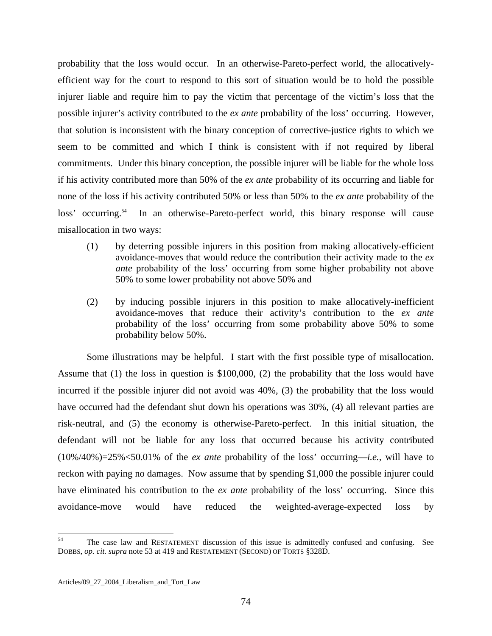probability that the loss would occur. In an otherwise-Pareto-perfect world, the allocativelyefficient way for the court to respond to this sort of situation would be to hold the possible injurer liable and require him to pay the victim that percentage of the victim's loss that the possible injurer's activity contributed to the *ex ante* probability of the loss' occurring. However, that solution is inconsistent with the binary conception of corrective-justice rights to which we seem to be committed and which I think is consistent with if not required by liberal commitments. Under this binary conception, the possible injurer will be liable for the whole loss if his activity contributed more than 50% of the *ex ante* probability of its occurring and liable for none of the loss if his activity contributed 50% or less than 50% to the *ex ante* probability of the loss' occurring.<sup>54</sup> In an otherwise-Pareto-perfect world, this binary response will cause misallocation in two ways:

- (1) by deterring possible injurers in this position from making allocatively-efficient avoidance-moves that would reduce the contribution their activity made to the *ex ante* probability of the loss' occurring from some higher probability not above 50% to some lower probability not above 50% and
- (2) by inducing possible injurers in this position to make allocatively-inefficient avoidance-moves that reduce their activity's contribution to the *ex ante* probability of the loss' occurring from some probability above 50% to some probability below 50%.

 Some illustrations may be helpful. I start with the first possible type of misallocation. Assume that (1) the loss in question is \$100,000, (2) the probability that the loss would have incurred if the possible injurer did not avoid was 40%, (3) the probability that the loss would have occurred had the defendant shut down his operations was 30%, (4) all relevant parties are risk-neutral, and (5) the economy is otherwise-Pareto-perfect. In this initial situation, the defendant will not be liable for any loss that occurred because his activity contributed (10%/40%)=25%<50.01% of the *ex ante* probability of the loss' occurring—*i.e.*, will have to reckon with paying no damages. Now assume that by spending \$1,000 the possible injurer could have eliminated his contribution to the *ex ante* probability of the loss' occurring. Since this avoidance-move would have reduced the weighted-average-expected loss by

 $\overline{a}$ 

<span id="page-74-0"></span><sup>&</sup>lt;sup>54</sup> The case law and RESTATEMENT discussion of this issue is admittedly confused and confusing. See DOBBS, *op. cit. supra* note 53 at 419 and RESTATEMENT (SECOND) OF TORTS §328D.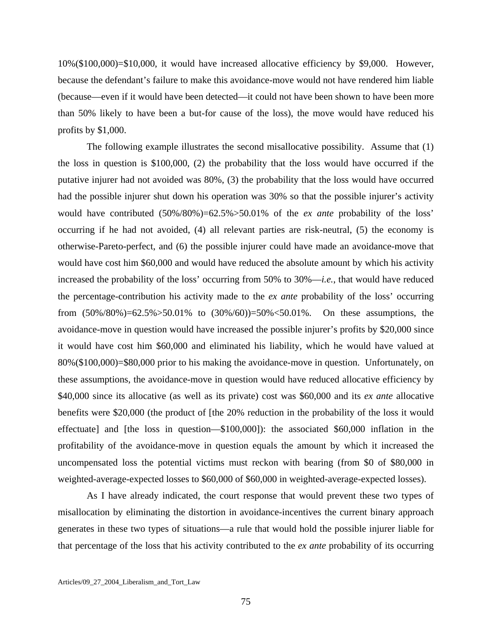10%(\$100,000)=\$10,000, it would have increased allocative efficiency by \$9,000. However, because the defendant's failure to make this avoidance-move would not have rendered him liable (because—even if it would have been detected—it could not have been shown to have been more than 50% likely to have been a but-for cause of the loss), the move would have reduced his profits by \$1,000.

 The following example illustrates the second misallocative possibility. Assume that (1) the loss in question is \$100,000, (2) the probability that the loss would have occurred if the putative injurer had not avoided was 80%, (3) the probability that the loss would have occurred had the possible injurer shut down his operation was 30% so that the possible injurer's activity would have contributed (50%/80%)=62.5%>50.01% of the *ex ante* probability of the loss' occurring if he had not avoided, (4) all relevant parties are risk-neutral, (5) the economy is otherwise-Pareto-perfect, and (6) the possible injurer could have made an avoidance-move that would have cost him \$60,000 and would have reduced the absolute amount by which his activity increased the probability of the loss' occurring from 50% to 30%—*i.e.*, that would have reduced the percentage-contribution his activity made to the *ex ante* probability of the loss' occurring from (50%/80%)=62.5%>50.01% to (30%/60))=50%<50.01%. On these assumptions, the avoidance-move in question would have increased the possible injurer's profits by \$20,000 since it would have cost him \$60,000 and eliminated his liability, which he would have valued at 80%(\$100,000)=\$80,000 prior to his making the avoidance-move in question. Unfortunately, on these assumptions, the avoidance-move in question would have reduced allocative efficiency by \$40,000 since its allocative (as well as its private) cost was \$60,000 and its *ex ante* allocative benefits were \$20,000 (the product of [the 20% reduction in the probability of the loss it would effectuate] and [the loss in question—\$100,000]): the associated \$60,000 inflation in the profitability of the avoidance-move in question equals the amount by which it increased the uncompensated loss the potential victims must reckon with bearing (from \$0 of \$80,000 in weighted-average-expected losses to \$60,000 of \$60,000 in weighted-average-expected losses).

 As I have already indicated, the court response that would prevent these two types of misallocation by eliminating the distortion in avoidance-incentives the current binary approach generates in these two types of situations—a rule that would hold the possible injurer liable for that percentage of the loss that his activity contributed to the *ex ante* probability of its occurring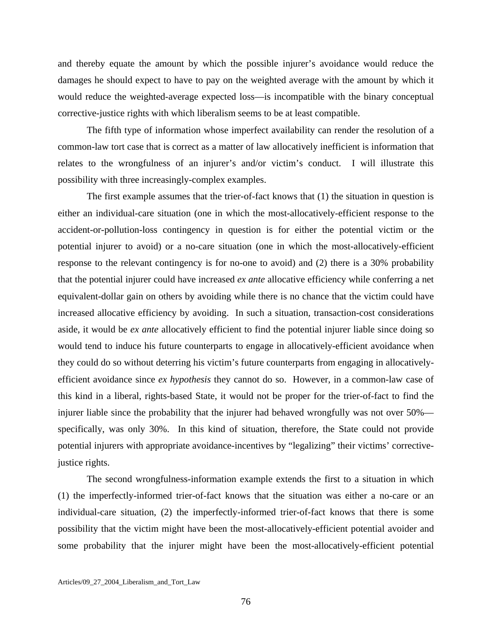and thereby equate the amount by which the possible injurer's avoidance would reduce the damages he should expect to have to pay on the weighted average with the amount by which it would reduce the weighted-average expected loss—is incompatible with the binary conceptual corrective-justice rights with which liberalism seems to be at least compatible.

 The fifth type of information whose imperfect availability can render the resolution of a common-law tort case that is correct as a matter of law allocatively inefficient is information that relates to the wrongfulness of an injurer's and/or victim's conduct. I will illustrate this possibility with three increasingly-complex examples.

 The first example assumes that the trier-of-fact knows that (1) the situation in question is either an individual-care situation (one in which the most-allocatively-efficient response to the accident-or-pollution-loss contingency in question is for either the potential victim or the potential injurer to avoid) or a no-care situation (one in which the most-allocatively-efficient response to the relevant contingency is for no-one to avoid) and (2) there is a 30% probability that the potential injurer could have increased *ex ante* allocative efficiency while conferring a net equivalent-dollar gain on others by avoiding while there is no chance that the victim could have increased allocative efficiency by avoiding. In such a situation, transaction-cost considerations aside, it would be *ex ante* allocatively efficient to find the potential injurer liable since doing so would tend to induce his future counterparts to engage in allocatively-efficient avoidance when they could do so without deterring his victim's future counterparts from engaging in allocativelyefficient avoidance since *ex hypothesis* they cannot do so. However, in a common-law case of this kind in a liberal, rights-based State, it would not be proper for the trier-of-fact to find the injurer liable since the probability that the injurer had behaved wrongfully was not over 50% specifically, was only 30%. In this kind of situation, therefore, the State could not provide potential injurers with appropriate avoidance-incentives by "legalizing" their victims' correctivejustice rights.

 The second wrongfulness-information example extends the first to a situation in which (1) the imperfectly-informed trier-of-fact knows that the situation was either a no-care or an individual-care situation, (2) the imperfectly-informed trier-of-fact knows that there is some possibility that the victim might have been the most-allocatively-efficient potential avoider and some probability that the injurer might have been the most-allocatively-efficient potential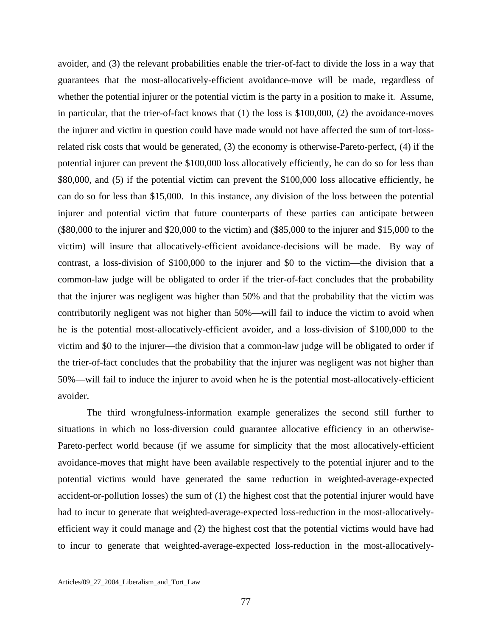avoider, and (3) the relevant probabilities enable the trier-of-fact to divide the loss in a way that guarantees that the most-allocatively-efficient avoidance-move will be made, regardless of whether the potential injurer or the potential victim is the party in a position to make it. Assume, in particular, that the trier-of-fact knows that  $(1)$  the loss is \$100,000,  $(2)$  the avoidance-moves the injurer and victim in question could have made would not have affected the sum of tort-lossrelated risk costs that would be generated, (3) the economy is otherwise-Pareto-perfect, (4) if the potential injurer can prevent the \$100,000 loss allocatively efficiently, he can do so for less than \$80,000, and (5) if the potential victim can prevent the \$100,000 loss allocative efficiently, he can do so for less than \$15,000. In this instance, any division of the loss between the potential injurer and potential victim that future counterparts of these parties can anticipate between (\$80,000 to the injurer and \$20,000 to the victim) and (\$85,000 to the injurer and \$15,000 to the victim) will insure that allocatively-efficient avoidance-decisions will be made. By way of contrast, a loss-division of \$100,000 to the injurer and \$0 to the victim—the division that a common-law judge will be obligated to order if the trier-of-fact concludes that the probability that the injurer was negligent was higher than 50% and that the probability that the victim was contributorily negligent was not higher than 50%—will fail to induce the victim to avoid when he is the potential most-allocatively-efficient avoider, and a loss-division of \$100,000 to the victim and \$0 to the injurer—the division that a common-law judge will be obligated to order if the trier-of-fact concludes that the probability that the injurer was negligent was not higher than 50%—will fail to induce the injurer to avoid when he is the potential most-allocatively-efficient avoider.

 The third wrongfulness-information example generalizes the second still further to situations in which no loss-diversion could guarantee allocative efficiency in an otherwise-Pareto-perfect world because (if we assume for simplicity that the most allocatively-efficient avoidance-moves that might have been available respectively to the potential injurer and to the potential victims would have generated the same reduction in weighted-average-expected accident-or-pollution losses) the sum of (1) the highest cost that the potential injurer would have had to incur to generate that weighted-average-expected loss-reduction in the most-allocativelyefficient way it could manage and (2) the highest cost that the potential victims would have had to incur to generate that weighted-average-expected loss-reduction in the most-allocatively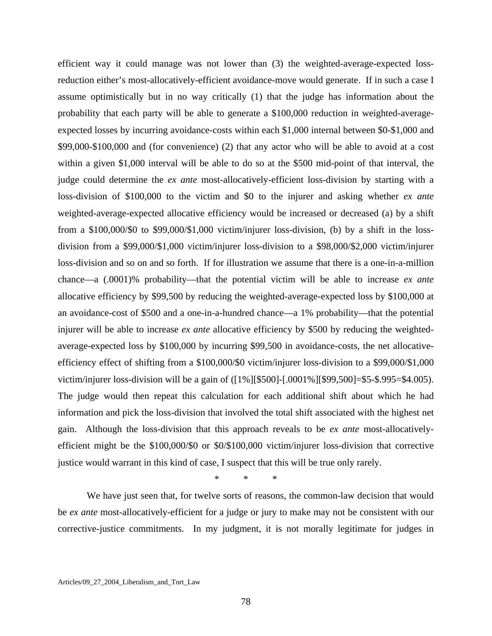efficient way it could manage was not lower than (3) the weighted-average-expected lossreduction either's most-allocatively-efficient avoidance-move would generate. If in such a case I assume optimistically but in no way critically (1) that the judge has information about the probability that each party will be able to generate a \$100,000 reduction in weighted-averageexpected losses by incurring avoidance-costs within each \$1,000 internal between \$0-\$1,000 and \$99,000-\$100,000 and (for convenience) (2) that any actor who will be able to avoid at a cost within a given \$1,000 interval will be able to do so at the \$500 mid-point of that interval, the judge could determine the *ex ante* most-allocatively-efficient loss-division by starting with a loss-division of \$100,000 to the victim and \$0 to the injurer and asking whether *ex ante* weighted-average-expected allocative efficiency would be increased or decreased (a) by a shift from a \$100,000/\$0 to \$99,000/\$1,000 victim/injurer loss-division, (b) by a shift in the lossdivision from a \$99,000/\$1,000 victim/injurer loss-division to a \$98,000/\$2,000 victim/injurer loss-division and so on and so forth. If for illustration we assume that there is a one-in-a-million chance—a (.0001)% probability—that the potential victim will be able to increase *ex ante* allocative efficiency by \$99,500 by reducing the weighted-average-expected loss by \$100,000 at an avoidance-cost of \$500 and a one-in-a-hundred chance—a 1% probability—that the potential injurer will be able to increase *ex ante* allocative efficiency by \$500 by reducing the weightedaverage-expected loss by \$100,000 by incurring \$99,500 in avoidance-costs, the net allocativeefficiency effect of shifting from a \$100,000/\$0 victim/injurer loss-division to a \$99,000/\$1,000 victim/injurer loss-division will be a gain of ([1%][\$500]-[.0001%][\$99,500]=\$5-\$.995=\$4.005). The judge would then repeat this calculation for each additional shift about which he had information and pick the loss-division that involved the total shift associated with the highest net gain. Although the loss-division that this approach reveals to be *ex ante* most-allocativelyefficient might be the \$100,000/\$0 or \$0/\$100,000 victim/injurer loss-division that corrective justice would warrant in this kind of case, I suspect that this will be true only rarely.

\* \* \*

We have just seen that, for twelve sorts of reasons, the common-law decision that would be *ex ante* most-allocatively-efficient for a judge or jury to make may not be consistent with our corrective-justice commitments. In my judgment, it is not morally legitimate for judges in

Articles/09\_27\_2004\_Liberalism\_and\_Tort\_Law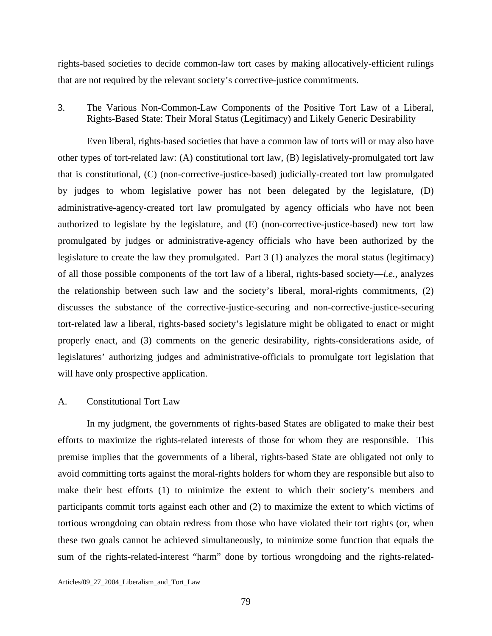rights-based societies to decide common-law tort cases by making allocatively-efficient rulings that are not required by the relevant society's corrective-justice commitments.

3. The Various Non-Common-Law Components of the Positive Tort Law of a Liberal, Rights-Based State: Their Moral Status (Legitimacy) and Likely Generic Desirability

 Even liberal, rights-based societies that have a common law of torts will or may also have other types of tort-related law: (A) constitutional tort law, (B) legislatively-promulgated tort law that is constitutional, (C) (non-corrective-justice-based) judicially-created tort law promulgated by judges to whom legislative power has not been delegated by the legislature, (D) administrative-agency-created tort law promulgated by agency officials who have not been authorized to legislate by the legislature, and (E) (non-corrective-justice-based) new tort law promulgated by judges or administrative-agency officials who have been authorized by the legislature to create the law they promulgated. Part 3 (1) analyzes the moral status (legitimacy) of all those possible components of the tort law of a liberal, rights-based society—*i.e.*, analyzes the relationship between such law and the society's liberal, moral-rights commitments, (2) discusses the substance of the corrective-justice-securing and non-corrective-justice-securing tort-related law a liberal, rights-based society's legislature might be obligated to enact or might properly enact, and (3) comments on the generic desirability, rights-considerations aside, of legislatures' authorizing judges and administrative-officials to promulgate tort legislation that will have only prospective application.

## A. Constitutional Tort Law

 In my judgment, the governments of rights-based States are obligated to make their best efforts to maximize the rights-related interests of those for whom they are responsible. This premise implies that the governments of a liberal, rights-based State are obligated not only to avoid committing torts against the moral-rights holders for whom they are responsible but also to make their best efforts (1) to minimize the extent to which their society's members and participants commit torts against each other and (2) to maximize the extent to which victims of tortious wrongdoing can obtain redress from those who have violated their tort rights (or, when these two goals cannot be achieved simultaneously, to minimize some function that equals the sum of the rights-related-interest "harm" done by tortious wrongdoing and the rights-related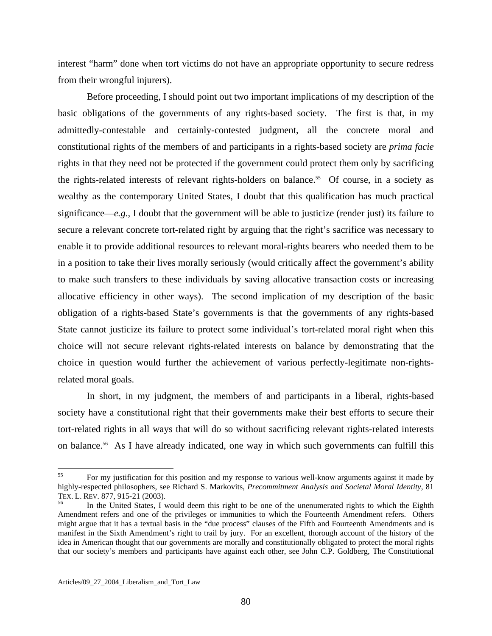interest "harm" done when tort victims do not have an appropriate opportunity to secure redress from their wrongful injurers).

 Before proceeding, I should point out two important implications of my description of the basic obligations of the governments of any rights-based society. The first is that, in my admittedly-contestable and certainly-contested judgment, all the concrete moral and constitutional rights of the members of and participants in a rights-based society are *prima facie* rights in that they need not be protected if the government could protect them only by sacrificing the rights-related interests of relevant rights-holders on balance.<sup>55</sup> Of course, in a society as wealthy as the contemporary United States, I doubt that this qualification has much practical significance—*e.g.*, I doubt that the government will be able to justicize (render just) its failure to secure a relevant concrete tort-related right by arguing that the right's sacrifice was necessary to enable it to provide additional resources to relevant moral-rights bearers who needed them to be in a position to take their lives morally seriously (would critically affect the government's ability to make such transfers to these individuals by saving allocative transaction costs or increasing allocative efficiency in other ways). The second implication of my description of the basic obligation of a rights-based State's governments is that the governments of any rights-based State cannot justicize its failure to protect some individual's tort-related moral right when this choice will not secure relevant rights-related interests on balance by demonstrating that the choice in question would further the achievement of various perfectly-legitimate non-rightsrelated moral goals.

 In short, in my judgment, the members of and participants in a liberal, rights-based society have a constitutional right that their governments make their best efforts to secure their tort-related rights in all ways that will do so without sacrificing relevant rights-related interests on balance.<sup>56</sup> As I have already indicated, one way in which such governments can fulfill this

<span id="page-80-0"></span><sup>55</sup> 55 For my justification for this position and my response to various well-know arguments against it made by highly-respected philosophers, see Richard S. Markovits, *Precommitment Analysis and Societal Moral Identity*, 81 TEX. L. REV. 877, 915-21 (2003).<br><sup>56</sup> In the United States, I would deem this right to be one of the unenumerated rights to which the Eighth

<span id="page-80-1"></span>Amendment refers and one of the privileges or immunities to which the Fourteenth Amendment refers. Others might argue that it has a textual basis in the "due process" clauses of the Fifth and Fourteenth Amendments and is manifest in the Sixth Amendment's right to trail by jury. For an excellent, thorough account of the history of the idea in American thought that our governments are morally and constitutionally obligated to protect the moral rights that our society's members and participants have against each other, see John C.P. Goldberg, The Constitutional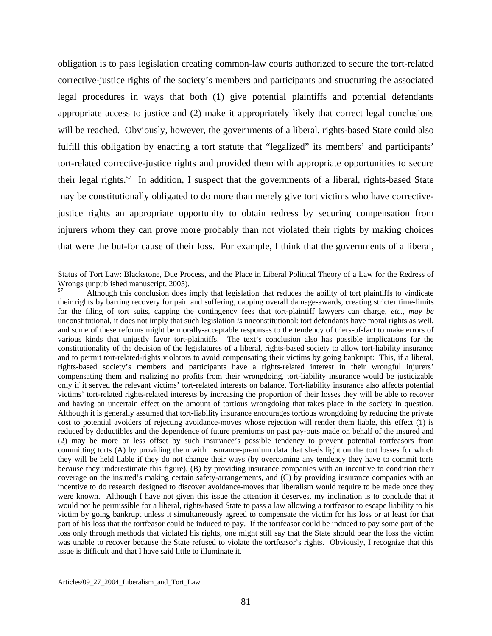obligation is to pass legislation creating common-law courts authorized to secure the tort-related corrective-justice rights of the society's members and participants and structuring the associated legal procedures in ways that both (1) give potential plaintiffs and potential defendants appropriate access to justice and (2) make it appropriately likely that correct legal conclusions will be reached. Obviously, however, the governments of a liberal, rights-based State could also fulfill this obligation by enacting a tort statute that "legalized" its members' and participants' tort-related corrective-justice rights and provided them with appropriate opportunities to secure their legal rights.[57](#page-81-0) In addition, I suspect that the governments of a liberal, rights-based State may be constitutionally obligated to do more than merely give tort victims who have correctivejustice rights an appropriate opportunity to obtain redress by securing compensation from injurers whom they can prove more probably than not violated their rights by making choices that were the but-for cause of their loss. For example, I think that the governments of a liberal,

 $\overline{a}$ 

Status of Tort Law: Blackstone, Due Process, and the Place in Liberal Political Theory of a Law for the Redress of Wrongs (unpublished manuscript, 2005).

<span id="page-81-0"></span><sup>57</sup> Although this conclusion does imply that legislation that reduces the ability of tort plaintiffs to vindicate their rights by barring recovery for pain and suffering, capping overall damage-awards, creating stricter time-limits for the filing of tort suits, capping the contingency fees that tort-plaintiff lawyers can charge, *etc*., *may be* unconstitutional, it does not imply that such legislation *is* unconstitutional: tort defendants have moral rights as well, and some of these reforms might be morally-acceptable responses to the tendency of triers-of-fact to make errors of various kinds that unjustly favor tort-plaintiffs. The text's conclusion also has possible implications for the constitutionality of the decision of the legislatures of a liberal, rights-based society to allow tort-liability insurance and to permit tort-related-rights violators to avoid compensating their victims by going bankrupt: This, if a liberal, rights-based society's members and participants have a rights-related interest in their wrongful injurers' compensating them and realizing no profits from their wrongdoing, tort-liability insurance would be justicizable only if it served the relevant victims' tort-related interests on balance. Tort-liability insurance also affects potential victims' tort-related rights-related interests by increasing the proportion of their losses they will be able to recover and having an uncertain effect on the amount of tortious wrongdoing that takes place in the society in question. Although it is generally assumed that tort-liability insurance encourages tortious wrongdoing by reducing the private cost to potential avoiders of rejecting avoidance-moves whose rejection will render them liable, this effect (1) is reduced by deductibles and the dependence of future premiums on past pay-outs made on behalf of the insured and (2) may be more or less offset by such insurance's possible tendency to prevent potential tortfeasors from committing torts (A) by providing them with insurance-premium data that sheds light on the tort losses for which they will be held liable if they do not change their ways (by overcoming any tendency they have to commit torts because they underestimate this figure), (B) by providing insurance companies with an incentive to condition their coverage on the insured's making certain safety-arrangements, and (C) by providing insurance companies with an incentive to do research designed to discover avoidance-moves that liberalism would require to be made once they were known. Although I have not given this issue the attention it deserves, my inclination is to conclude that it would not be permissible for a liberal, rights-based State to pass a law allowing a tortfeasor to escape liability to his victim by going bankrupt unless it simultaneously agreed to compensate the victim for his loss or at least for that part of his loss that the tortfeasor could be induced to pay. If the tortfeasor could be induced to pay some part of the loss only through methods that violated his rights, one might still say that the State should bear the loss the victim was unable to recover because the State refused to violate the tortfeasor's rights. Obviously, I recognize that this issue is difficult and that I have said little to illuminate it.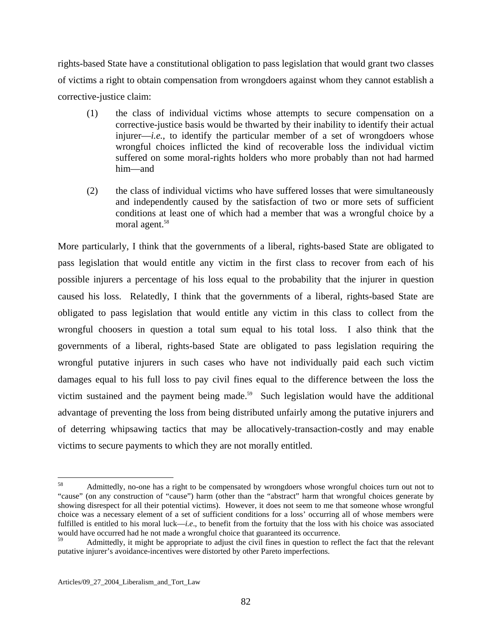rights-based State have a constitutional obligation to pass legislation that would grant two classes of victims a right to obtain compensation from wrongdoers against whom they cannot establish a corrective-justice claim:

- (1) the class of individual victims whose attempts to secure compensation on a corrective-justice basis would be thwarted by their inability to identify their actual injurer—*i.e.*, to identify the particular member of a set of wrongdoers whose wrongful choices inflicted the kind of recoverable loss the individual victim suffered on some moral-rights holders who more probably than not had harmed him—and
- (2) the class of individual victims who have suffered losses that were simultaneously and independently caused by the satisfaction of two or more sets of sufficient conditions at least one of which had a member that was a wrongful choice by a moral agent.<sup>58</sup>

More particularly, I think that the governments of a liberal, rights-based State are obligated to pass legislation that would entitle any victim in the first class to recover from each of his possible injurers a percentage of his loss equal to the probability that the injurer in question caused his loss. Relatedly, I think that the governments of a liberal, rights-based State are obligated to pass legislation that would entitle any victim in this class to collect from the wrongful choosers in question a total sum equal to his total loss. I also think that the governments of a liberal, rights-based State are obligated to pass legislation requiring the wrongful putative injurers in such cases who have not individually paid each such victim damages equal to his full loss to pay civil fines equal to the difference between the loss the victim sustained and the payment being made.<sup>59</sup> Such legislation would have the additional advantage of preventing the loss from being distributed unfairly among the putative injurers and of deterring whipsawing tactics that may be allocatively-transaction-costly and may enable victims to secure payments to which they are not morally entitled.

<span id="page-82-0"></span><sup>58</sup> 58 Admittedly, no-one has a right to be compensated by wrongdoers whose wrongful choices turn out not to "cause" (on any construction of "cause") harm (other than the "abstract" harm that wrongful choices generate by showing disrespect for all their potential victims). However, it does not seem to me that someone whose wrongful choice was a necessary element of a set of sufficient conditions for a loss' occurring all of whose members were fulfilled is entitled to his moral luck—*i.e*., to benefit from the fortuity that the loss with his choice was associated would have occurred had he not made a wrongful choice that guaranteed its occurrence.

<span id="page-82-1"></span><sup>59</sup> Admittedly, it might be appropriate to adjust the civil fines in question to reflect the fact that the relevant putative injurer's avoidance-incentives were distorted by other Pareto imperfections.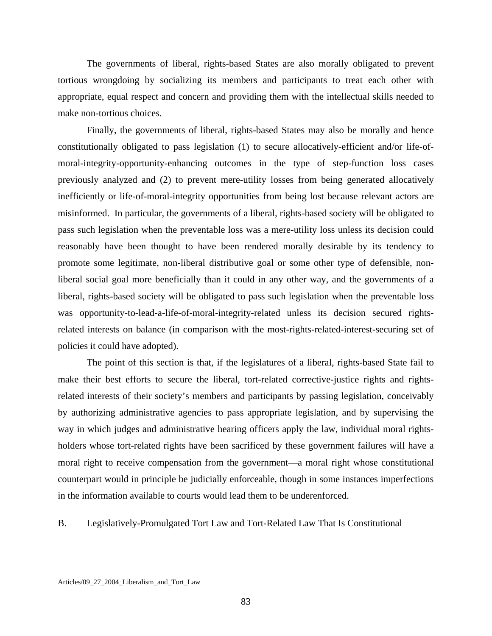The governments of liberal, rights-based States are also morally obligated to prevent tortious wrongdoing by socializing its members and participants to treat each other with appropriate, equal respect and concern and providing them with the intellectual skills needed to make non-tortious choices.

 Finally, the governments of liberal, rights-based States may also be morally and hence constitutionally obligated to pass legislation (1) to secure allocatively-efficient and/or life-ofmoral-integrity-opportunity-enhancing outcomes in the type of step-function loss cases previously analyzed and (2) to prevent mere-utility losses from being generated allocatively inefficiently or life-of-moral-integrity opportunities from being lost because relevant actors are misinformed. In particular, the governments of a liberal, rights-based society will be obligated to pass such legislation when the preventable loss was a mere-utility loss unless its decision could reasonably have been thought to have been rendered morally desirable by its tendency to promote some legitimate, non-liberal distributive goal or some other type of defensible, nonliberal social goal more beneficially than it could in any other way, and the governments of a liberal, rights-based society will be obligated to pass such legislation when the preventable loss was opportunity-to-lead-a-life-of-moral-integrity-related unless its decision secured rightsrelated interests on balance (in comparison with the most-rights-related-interest-securing set of policies it could have adopted).

 The point of this section is that, if the legislatures of a liberal, rights-based State fail to make their best efforts to secure the liberal, tort-related corrective-justice rights and rightsrelated interests of their society's members and participants by passing legislation, conceivably by authorizing administrative agencies to pass appropriate legislation, and by supervising the way in which judges and administrative hearing officers apply the law, individual moral rightsholders whose tort-related rights have been sacrificed by these government failures will have a moral right to receive compensation from the government—a moral right whose constitutional counterpart would in principle be judicially enforceable, though in some instances imperfections in the information available to courts would lead them to be underenforced.

B. Legislatively-Promulgated Tort Law and Tort-Related Law That Is Constitutional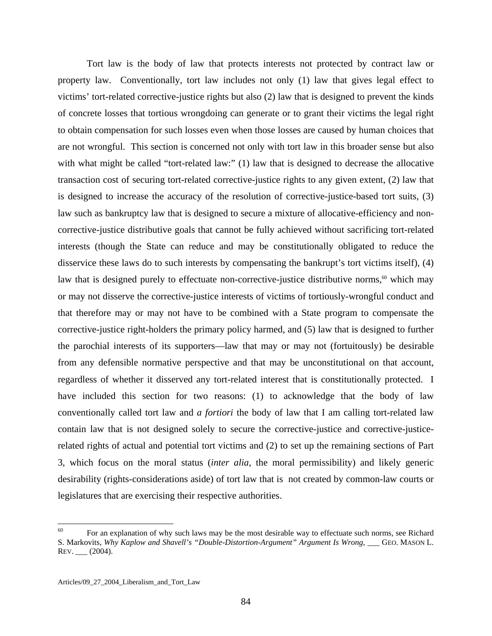Tort law is the body of law that protects interests not protected by contract law or property law. Conventionally, tort law includes not only (1) law that gives legal effect to victims' tort-related corrective-justice rights but also (2) law that is designed to prevent the kinds of concrete losses that tortious wrongdoing can generate or to grant their victims the legal right to obtain compensation for such losses even when those losses are caused by human choices that are not wrongful. This section is concerned not only with tort law in this broader sense but also with what might be called "tort-related law:" (1) law that is designed to decrease the allocative transaction cost of securing tort-related corrective-justice rights to any given extent, (2) law that is designed to increase the accuracy of the resolution of corrective-justice-based tort suits, (3) law such as bankruptcy law that is designed to secure a mixture of allocative-efficiency and noncorrective-justice distributive goals that cannot be fully achieved without sacrificing tort-related interests (though the State can reduce and may be constitutionally obligated to reduce the disservice these laws do to such interests by compensating the bankrupt's tort victims itself), (4) law that is designed purely to effectuate non-corrective-justice distributive norms, $60$  which may or may not disserve the corrective-justice interests of victims of tortiously-wrongful conduct and that therefore may or may not have to be combined with a State program to compensate the corrective-justice right-holders the primary policy harmed, and (5) law that is designed to further the parochial interests of its supporters—law that may or may not (fortuitously) be desirable from any defensible normative perspective and that may be unconstitutional on that account, regardless of whether it disserved any tort-related interest that is constitutionally protected. I have included this section for two reasons: (1) to acknowledge that the body of law conventionally called tort law and *a fortiori* the body of law that I am calling tort-related law contain law that is not designed solely to secure the corrective-justice and corrective-justicerelated rights of actual and potential tort victims and (2) to set up the remaining sections of Part 3, which focus on the moral status (*inter alia*, the moral permissibility) and likely generic desirability (rights-considerations aside) of tort law that is not created by common-law courts or legislatures that are exercising their respective authorities.

<span id="page-84-0"></span><sup>60</sup> For an explanation of why such laws may be the most desirable way to effectuate such norms, see Richard S. Markovits, *Why Kaplow and Shavell's "Double-Distortion-Argument" Argument Is Wrong*, \_\_\_ GEO. MASON L. REV. \_\_\_ (2004).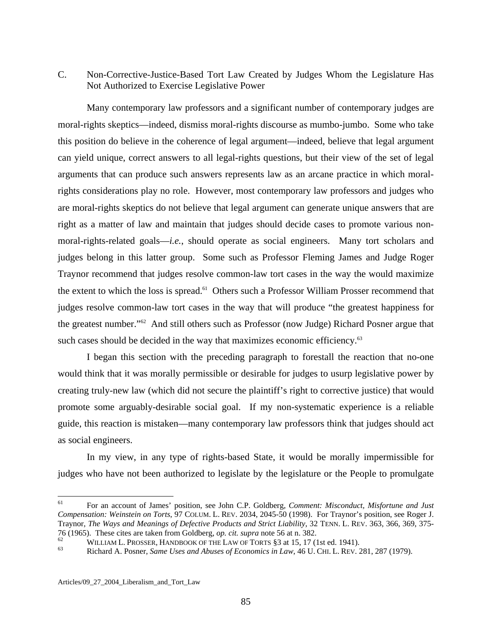## C. Non-Corrective-Justice-Based Tort Law Created by Judges Whom the Legislature Has Not Authorized to Exercise Legislative Power

 Many contemporary law professors and a significant number of contemporary judges are moral-rights skeptics—indeed, dismiss moral-rights discourse as mumbo-jumbo. Some who take this position do believe in the coherence of legal argument—indeed, believe that legal argument can yield unique, correct answers to all legal-rights questions, but their view of the set of legal arguments that can produce such answers represents law as an arcane practice in which moralrights considerations play no role. However, most contemporary law professors and judges who are moral-rights skeptics do not believe that legal argument can generate unique answers that are right as a matter of law and maintain that judges should decide cases to promote various nonmoral-rights-related goals—*i.e.*, should operate as social engineers. Many tort scholars and judges belong in this latter group. Some such as Professor Fleming James and Judge Roger Traynor recommend that judges resolve common-law tort cases in the way the would maximize the extent to which the loss is spread.<sup>61</sup> Others such a Professor William Prosser recommend that judges resolve common-law tort cases in the way that will produce "the greatest happiness for the greatest number."[62](#page-85-1) And still others such as Professor (now Judge) Richard Posner argue that such cases should be decided in the way that maximizes economic efficiency.<sup>[63](#page-85-2)</sup>

 I began this section with the preceding paragraph to forestall the reaction that no-one would think that it was morally permissible or desirable for judges to usurp legislative power by creating truly-new law (which did not secure the plaintiff's right to corrective justice) that would promote some arguably-desirable social goal. If my non-systematic experience is a reliable guide, this reaction is mistaken—many contemporary law professors think that judges should act as social engineers.

 In my view, in any type of rights-based State, it would be morally impermissible for judges who have not been authorized to legislate by the legislature or the People to promulgate

<span id="page-85-0"></span><sup>61</sup> 61 For an account of James' position, see John C.P. Goldberg, *Comment: Misconduct, Misfortune and Just Compensation: Weinstein on Torts*, 97 COLUM. L. REV. 2034, 2045-50 (1998). For Traynor's position, see Roger J. Traynor, *The Ways and Meanings of Defective Products and Strict Liability*, 32 TENN. L. REV. 363, 366, 369, 375- 76 (1965). These cites are taken from Goldberg, *op. cit. supra* note 56 at n. 382.<br><sup>62</sup> WILLIAM L. PROSSER, HANDBOOK OF THE LAW OF TORTS §3 at 15, 17 (1st ed. 1941).<br><sup>63</sup> Richard A. Posner, *Same Uses and Abuses of Econom* 

<span id="page-85-1"></span>

<span id="page-85-2"></span>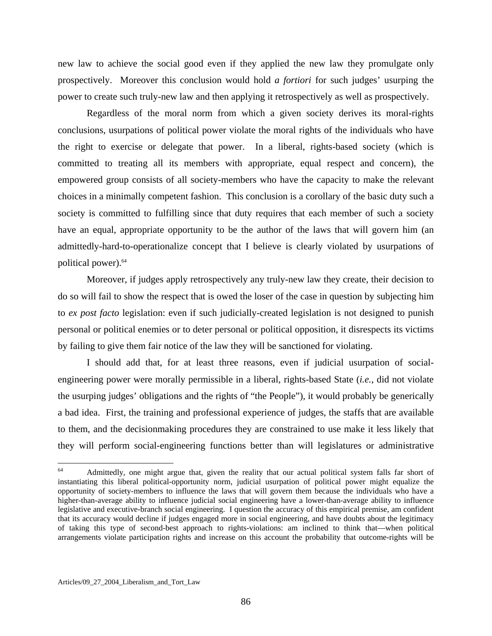new law to achieve the social good even if they applied the new law they promulgate only prospectively. Moreover this conclusion would hold *a fortiori* for such judges' usurping the power to create such truly-new law and then applying it retrospectively as well as prospectively.

 Regardless of the moral norm from which a given society derives its moral-rights conclusions, usurpations of political power violate the moral rights of the individuals who have the right to exercise or delegate that power. In a liberal, rights-based society (which is committed to treating all its members with appropriate, equal respect and concern), the empowered group consists of all society-members who have the capacity to make the relevant choices in a minimally competent fashion. This conclusion is a corollary of the basic duty such a society is committed to fulfilling since that duty requires that each member of such a society have an equal, appropriate opportunity to be the author of the laws that will govern him (an admittedly-hard-to-operationalize concept that I believe is clearly violated by usurpations of political power).[64](#page-86-0)

 Moreover, if judges apply retrospectively any truly-new law they create, their decision to do so will fail to show the respect that is owed the loser of the case in question by subjecting him to *ex post facto* legislation: even if such judicially-created legislation is not designed to punish personal or political enemies or to deter personal or political opposition, it disrespects its victims by failing to give them fair notice of the law they will be sanctioned for violating.

 I should add that, for at least three reasons, even if judicial usurpation of socialengineering power were morally permissible in a liberal, rights-based State (*i.e.*, did not violate the usurping judges' obligations and the rights of "the People"), it would probably be generically a bad idea. First, the training and professional experience of judges, the staffs that are available to them, and the decisionmaking procedures they are constrained to use make it less likely that they will perform social-engineering functions better than will legislatures or administrative

1

<span id="page-86-0"></span><sup>64</sup> Admittedly, one might argue that, given the reality that our actual political system falls far short of instantiating this liberal political-opportunity norm, judicial usurpation of political power might equalize the opportunity of society-members to influence the laws that will govern them because the individuals who have a higher-than-average ability to influence judicial social engineering have a lower-than-average ability to influence legislative and executive-branch social engineering. I question the accuracy of this empirical premise, am confident that its accuracy would decline if judges engaged more in social engineering, and have doubts about the legitimacy of taking this type of second-best approach to rights-violations: am inclined to think that—when political arrangements violate participation rights and increase on this account the probability that outcome-rights will be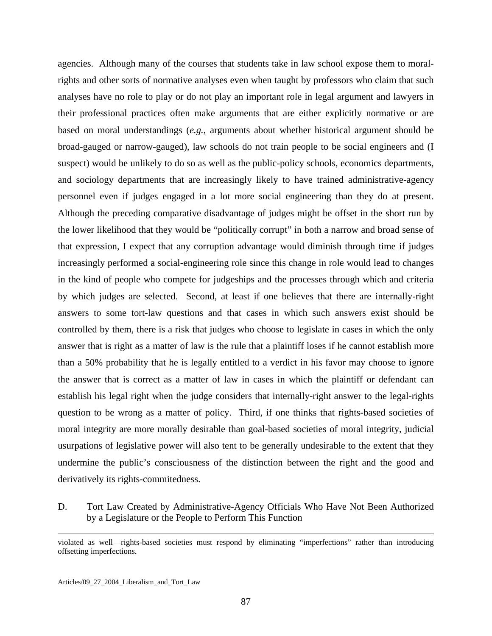agencies. Although many of the courses that students take in law school expose them to moralrights and other sorts of normative analyses even when taught by professors who claim that such analyses have no role to play or do not play an important role in legal argument and lawyers in their professional practices often make arguments that are either explicitly normative or are based on moral understandings (*e.g.*, arguments about whether historical argument should be broad-gauged or narrow-gauged), law schools do not train people to be social engineers and (I suspect) would be unlikely to do so as well as the public-policy schools, economics departments, and sociology departments that are increasingly likely to have trained administrative-agency personnel even if judges engaged in a lot more social engineering than they do at present. Although the preceding comparative disadvantage of judges might be offset in the short run by the lower likelihood that they would be "politically corrupt" in both a narrow and broad sense of that expression, I expect that any corruption advantage would diminish through time if judges increasingly performed a social-engineering role since this change in role would lead to changes in the kind of people who compete for judgeships and the processes through which and criteria by which judges are selected. Second, at least if one believes that there are internally-right answers to some tort-law questions and that cases in which such answers exist should be controlled by them, there is a risk that judges who choose to legislate in cases in which the only answer that is right as a matter of law is the rule that a plaintiff loses if he cannot establish more than a 50% probability that he is legally entitled to a verdict in his favor may choose to ignore the answer that is correct as a matter of law in cases in which the plaintiff or defendant can establish his legal right when the judge considers that internally-right answer to the legal-rights question to be wrong as a matter of policy. Third, if one thinks that rights-based societies of moral integrity are more morally desirable than goal-based societies of moral integrity, judicial usurpations of legislative power will also tent to be generally undesirable to the extent that they undermine the public's consciousness of the distinction between the right and the good and derivatively its rights-commitedness.

D. Tort Law Created by Administrative-Agency Officials Who Have Not Been Authorized by a Legislature or the People to Perform This Function

<u>.</u>

violated as well—rights-based societies must respond by eliminating "imperfections" rather than introducing offsetting imperfections.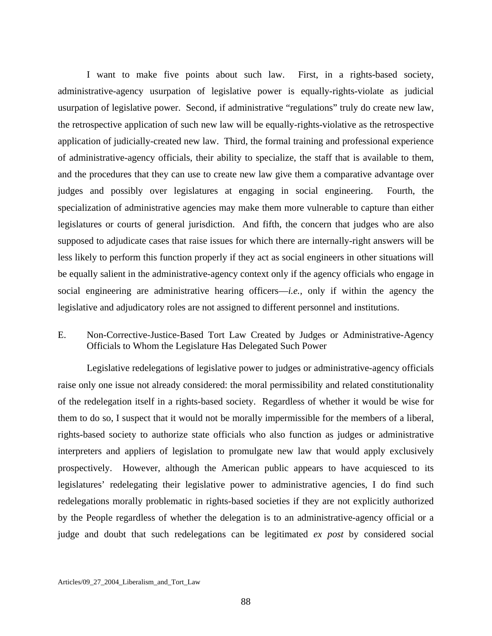I want to make five points about such law. First, in a rights-based society, administrative-agency usurpation of legislative power is equally-rights-violate as judicial usurpation of legislative power. Second, if administrative "regulations" truly do create new law, the retrospective application of such new law will be equally-rights-violative as the retrospective application of judicially-created new law. Third, the formal training and professional experience of administrative-agency officials, their ability to specialize, the staff that is available to them, and the procedures that they can use to create new law give them a comparative advantage over judges and possibly over legislatures at engaging in social engineering. Fourth, the specialization of administrative agencies may make them more vulnerable to capture than either legislatures or courts of general jurisdiction. And fifth, the concern that judges who are also supposed to adjudicate cases that raise issues for which there are internally-right answers will be less likely to perform this function properly if they act as social engineers in other situations will be equally salient in the administrative-agency context only if the agency officials who engage in social engineering are administrative hearing officers—*i.e.*, only if within the agency the legislative and adjudicatory roles are not assigned to different personnel and institutions.

## E. Non-Corrective-Justice-Based Tort Law Created by Judges or Administrative-Agency Officials to Whom the Legislature Has Delegated Such Power

 Legislative redelegations of legislative power to judges or administrative-agency officials raise only one issue not already considered: the moral permissibility and related constitutionality of the redelegation itself in a rights-based society. Regardless of whether it would be wise for them to do so, I suspect that it would not be morally impermissible for the members of a liberal, rights-based society to authorize state officials who also function as judges or administrative interpreters and appliers of legislation to promulgate new law that would apply exclusively prospectively. However, although the American public appears to have acquiesced to its legislatures' redelegating their legislative power to administrative agencies, I do find such redelegations morally problematic in rights-based societies if they are not explicitly authorized by the People regardless of whether the delegation is to an administrative-agency official or a judge and doubt that such redelegations can be legitimated *ex post* by considered social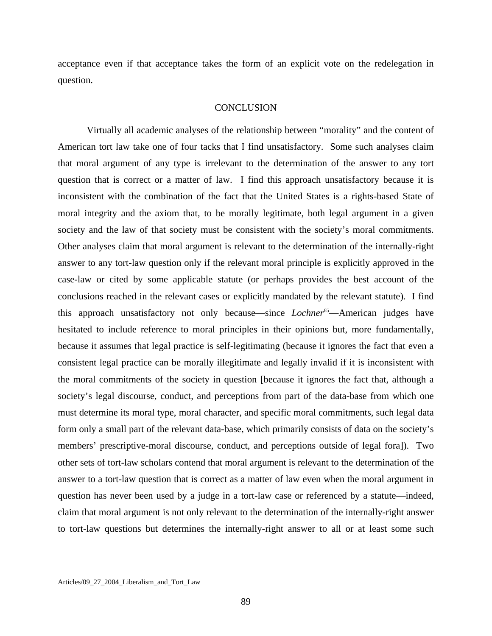acceptance even if that acceptance takes the form of an explicit vote on the redelegation in question.

## **CONCLUSION**

 Virtually all academic analyses of the relationship between "morality" and the content of American tort law take one of four tacks that I find unsatisfactory. Some such analyses claim that moral argument of any type is irrelevant to the determination of the answer to any tort question that is correct or a matter of law. I find this approach unsatisfactory because it is inconsistent with the combination of the fact that the United States is a rights-based State of moral integrity and the axiom that, to be morally legitimate, both legal argument in a given society and the law of that society must be consistent with the society's moral commitments. Other analyses claim that moral argument is relevant to the determination of the internally-right answer to any tort-law question only if the relevant moral principle is explicitly approved in the case-law or cited by some applicable statute (or perhaps provides the best account of the conclusions reached in the relevant cases or explicitly mandated by the relevant statute). I find this approach unsatisfactory not only because—since *Lochner*<sup>65</sup>—American judges have hesitated to include reference to moral principles in their opinions but, more fundamentally, because it assumes that legal practice is self-legitimating (because it ignores the fact that even a consistent legal practice can be morally illegitimate and legally invalid if it is inconsistent with the moral commitments of the society in question [because it ignores the fact that, although a society's legal discourse, conduct, and perceptions from part of the data-base from which one must determine its moral type, moral character, and specific moral commitments, such legal data form only a small part of the relevant data-base, which primarily consists of data on the society's members' prescriptive-moral discourse, conduct, and perceptions outside of legal fora]). Two other sets of tort-law scholars contend that moral argument is relevant to the determination of the answer to a tort-law question that is correct as a matter of law even when the moral argument in question has never been used by a judge in a tort-law case or referenced by a statute—indeed, claim that moral argument is not only relevant to the determination of the internally-right answer to tort-law questions but determines the internally-right answer to all or at least some such

<span id="page-89-0"></span>Articles/09\_27\_2004\_Liberalism\_and\_Tort\_Law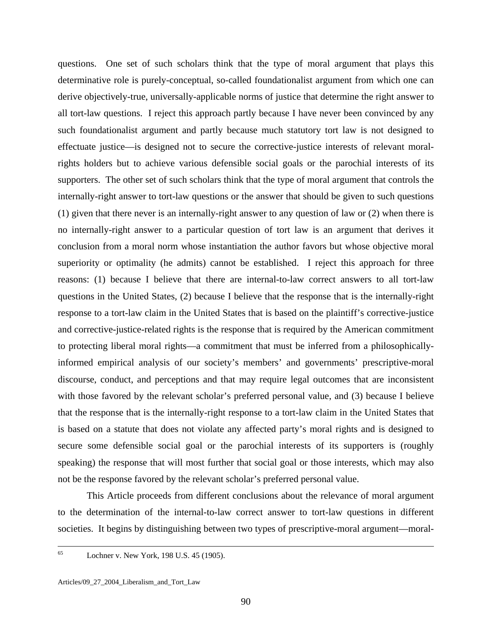questions. One set of such scholars think that the type of moral argument that plays this determinative role is purely-conceptual, so-called foundationalist argument from which one can derive objectively-true, universally-applicable norms of justice that determine the right answer to all tort-law questions. I reject this approach partly because I have never been convinced by any such foundationalist argument and partly because much statutory tort law is not designed to effectuate justice—is designed not to secure the corrective-justice interests of relevant moralrights holders but to achieve various defensible social goals or the parochial interests of its supporters. The other set of such scholars think that the type of moral argument that controls the internally-right answer to tort-law questions or the answer that should be given to such questions (1) given that there never is an internally-right answer to any question of law or (2) when there is no internally-right answer to a particular question of tort law is an argument that derives it conclusion from a moral norm whose instantiation the author favors but whose objective moral superiority or optimality (he admits) cannot be established. I reject this approach for three reasons: (1) because I believe that there are internal-to-law correct answers to all tort-law questions in the United States, (2) because I believe that the response that is the internally-right response to a tort-law claim in the United States that is based on the plaintiff's corrective-justice and corrective-justice-related rights is the response that is required by the American commitment to protecting liberal moral rights—a commitment that must be inferred from a philosophicallyinformed empirical analysis of our society's members' and governments' prescriptive-moral discourse, conduct, and perceptions and that may require legal outcomes that are inconsistent with those favored by the relevant scholar's preferred personal value, and (3) because I believe that the response that is the internally-right response to a tort-law claim in the United States that is based on a statute that does not violate any affected party's moral rights and is designed to secure some defensible social goal or the parochial interests of its supporters is (roughly speaking) the response that will most further that social goal or those interests, which may also not be the response favored by the relevant scholar's preferred personal value.

 This Article proceeds from different conclusions about the relevance of moral argument to the determination of the internal-to-law correct answer to tort-law questions in different societies. It begins by distinguishing between two types of prescriptive-moral argument—moral-

<sup>65</sup> Lochner v. New York, 198 U.S. 45 (1905).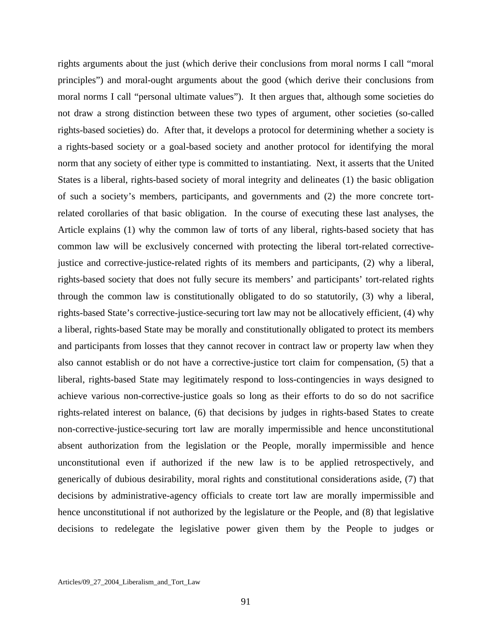rights arguments about the just (which derive their conclusions from moral norms I call "moral principles") and moral-ought arguments about the good (which derive their conclusions from moral norms I call "personal ultimate values"). It then argues that, although some societies do not draw a strong distinction between these two types of argument, other societies (so-called rights-based societies) do. After that, it develops a protocol for determining whether a society is a rights-based society or a goal-based society and another protocol for identifying the moral norm that any society of either type is committed to instantiating. Next, it asserts that the United States is a liberal, rights-based society of moral integrity and delineates (1) the basic obligation of such a society's members, participants, and governments and (2) the more concrete tortrelated corollaries of that basic obligation. In the course of executing these last analyses, the Article explains (1) why the common law of torts of any liberal, rights-based society that has common law will be exclusively concerned with protecting the liberal tort-related correctivejustice and corrective-justice-related rights of its members and participants, (2) why a liberal, rights-based society that does not fully secure its members' and participants' tort-related rights through the common law is constitutionally obligated to do so statutorily, (3) why a liberal, rights-based State's corrective-justice-securing tort law may not be allocatively efficient, (4) why a liberal, rights-based State may be morally and constitutionally obligated to protect its members and participants from losses that they cannot recover in contract law or property law when they also cannot establish or do not have a corrective-justice tort claim for compensation, (5) that a liberal, rights-based State may legitimately respond to loss-contingencies in ways designed to achieve various non-corrective-justice goals so long as their efforts to do so do not sacrifice rights-related interest on balance, (6) that decisions by judges in rights-based States to create non-corrective-justice-securing tort law are morally impermissible and hence unconstitutional absent authorization from the legislation or the People, morally impermissible and hence unconstitutional even if authorized if the new law is to be applied retrospectively, and generically of dubious desirability, moral rights and constitutional considerations aside, (7) that decisions by administrative-agency officials to create tort law are morally impermissible and hence unconstitutional if not authorized by the legislature or the People, and (8) that legislative decisions to redelegate the legislative power given them by the People to judges or